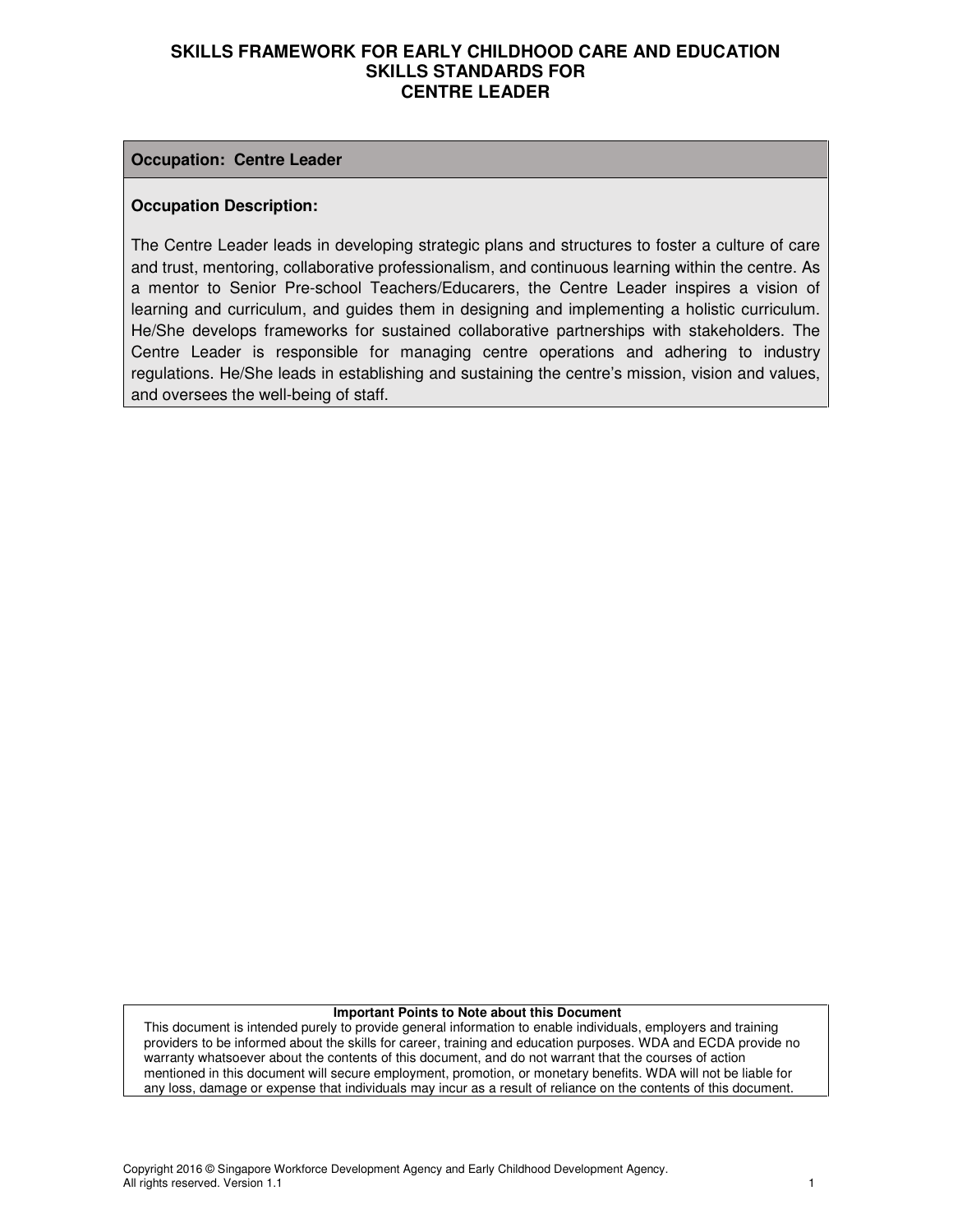#### **Occupation: Centre Leader**

#### **Occupation Description:**

The Centre Leader leads in developing strategic plans and structures to foster a culture of care and trust, mentoring, collaborative professionalism, and continuous learning within the centre. As a mentor to Senior Pre-school Teachers/Educarers, the Centre Leader inspires a vision of learning and curriculum, and guides them in designing and implementing a holistic curriculum. He/She develops frameworks for sustained collaborative partnerships with stakeholders. The Centre Leader is responsible for managing centre operations and adhering to industry regulations. He/She leads in establishing and sustaining the centre's mission, vision and values, and oversees the well-being of staff.

#### **Important Points to Note about this Document**

This document is intended purely to provide general information to enable individuals, employers and training providers to be informed about the skills for career, training and education purposes. WDA and ECDA provide no warranty whatsoever about the contents of this document, and do not warrant that the courses of action mentioned in this document will secure employment, promotion, or monetary benefits. WDA will not be liable for any loss, damage or expense that individuals may incur as a result of reliance on the contents of this document.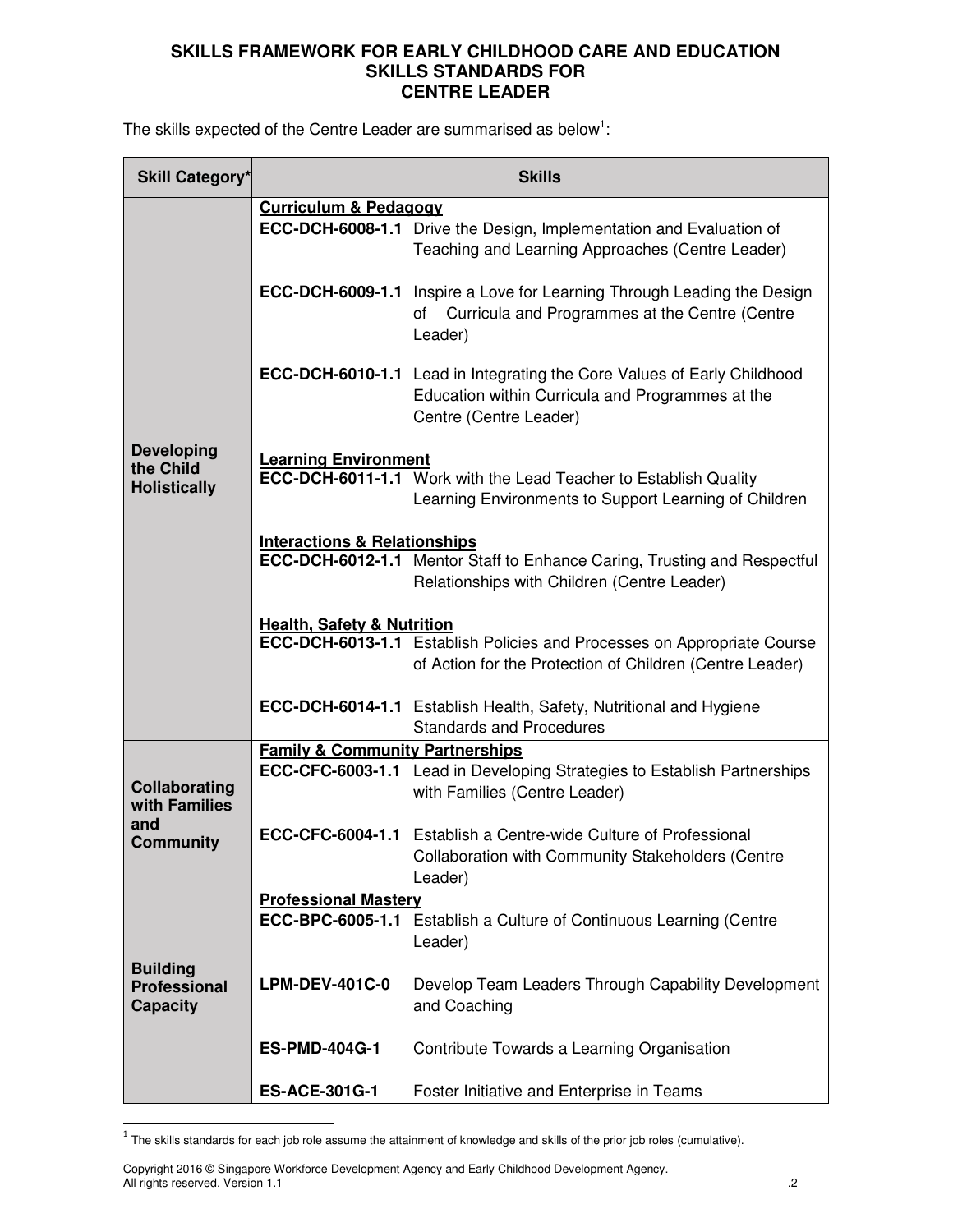The skills expected of the Centre Leader are summarised as below<sup>1</sup>:

| Skill Category*                                           | <b>Skills</b>                              |                                                                                                                                                              |  |
|-----------------------------------------------------------|--------------------------------------------|--------------------------------------------------------------------------------------------------------------------------------------------------------------|--|
|                                                           | <b>Curriculum &amp; Pedagogy</b>           |                                                                                                                                                              |  |
|                                                           |                                            | <b>ECC-DCH-6008-1.1</b> Drive the Design, Implementation and Evaluation of<br>Teaching and Learning Approaches (Centre Leader)                               |  |
|                                                           |                                            | <b>ECC-DCH-6009-1.1</b> Inspire a Love for Learning Through Leading the Design<br>of Curricula and Programmes at the Centre (Centre<br>Leader)               |  |
|                                                           |                                            | <b>ECC-DCH-6010-1.1</b> Lead in Integrating the Core Values of Early Childhood<br>Education within Curricula and Programmes at the<br>Centre (Centre Leader) |  |
| <b>Developing</b><br>the Child<br><b>Holistically</b>     | <b>Learning Environment</b>                | <b>ECC-DCH-6011-1.1</b> Work with the Lead Teacher to Establish Quality<br>Learning Environments to Support Learning of Children                             |  |
|                                                           | <b>Interactions &amp; Relationships</b>    | <b>ECC-DCH-6012-1.1</b> Mentor Staff to Enhance Caring, Trusting and Respectful<br>Relationships with Children (Centre Leader)                               |  |
|                                                           | <b>Health, Safety &amp; Nutrition</b>      | ECC-DCH-6013-1.1 Establish Policies and Processes on Appropriate Course<br>of Action for the Protection of Children (Centre Leader)                          |  |
|                                                           |                                            | <b>ECC-DCH-6014-1.1</b> Establish Health, Safety, Nutritional and Hygiene<br><b>Standards and Procedures</b>                                                 |  |
|                                                           | <b>Family &amp; Community Partnerships</b> |                                                                                                                                                              |  |
| Collaborating<br>with Families                            |                                            | <b>ECC-CFC-6003-1.1</b> Lead in Developing Strategies to Establish Partnerships<br>with Families (Centre Leader)                                             |  |
| and<br><b>Community</b>                                   |                                            | <b>ECC-CFC-6004-1.1</b> Establish a Centre-wide Culture of Professional<br><b>Collaboration with Community Stakeholders (Centre</b><br>Leader)               |  |
|                                                           | <b>Professional Mastery</b>                |                                                                                                                                                              |  |
|                                                           | ECC-BPC-6005-1.1                           | Establish a Culture of Continuous Learning (Centre<br>Leader)                                                                                                |  |
| <b>Building</b><br><b>Professional</b><br><b>Capacity</b> | <b>LPM-DEV-401C-0</b>                      | Develop Team Leaders Through Capability Development<br>and Coaching                                                                                          |  |
|                                                           | <b>ES-PMD-404G-1</b>                       | Contribute Towards a Learning Organisation                                                                                                                   |  |
|                                                           | <b>ES-ACE-301G-1</b>                       | Foster Initiative and Enterprise in Teams                                                                                                                    |  |

 $^1$  The skills standards for each job role assume the attainment of knowledge and skills of the prior job roles (cumulative).

Copyright 2016 © Singapore Workforce Development Agency and Early Childhood Development Agency. All rights reserved. Version 1.1 .2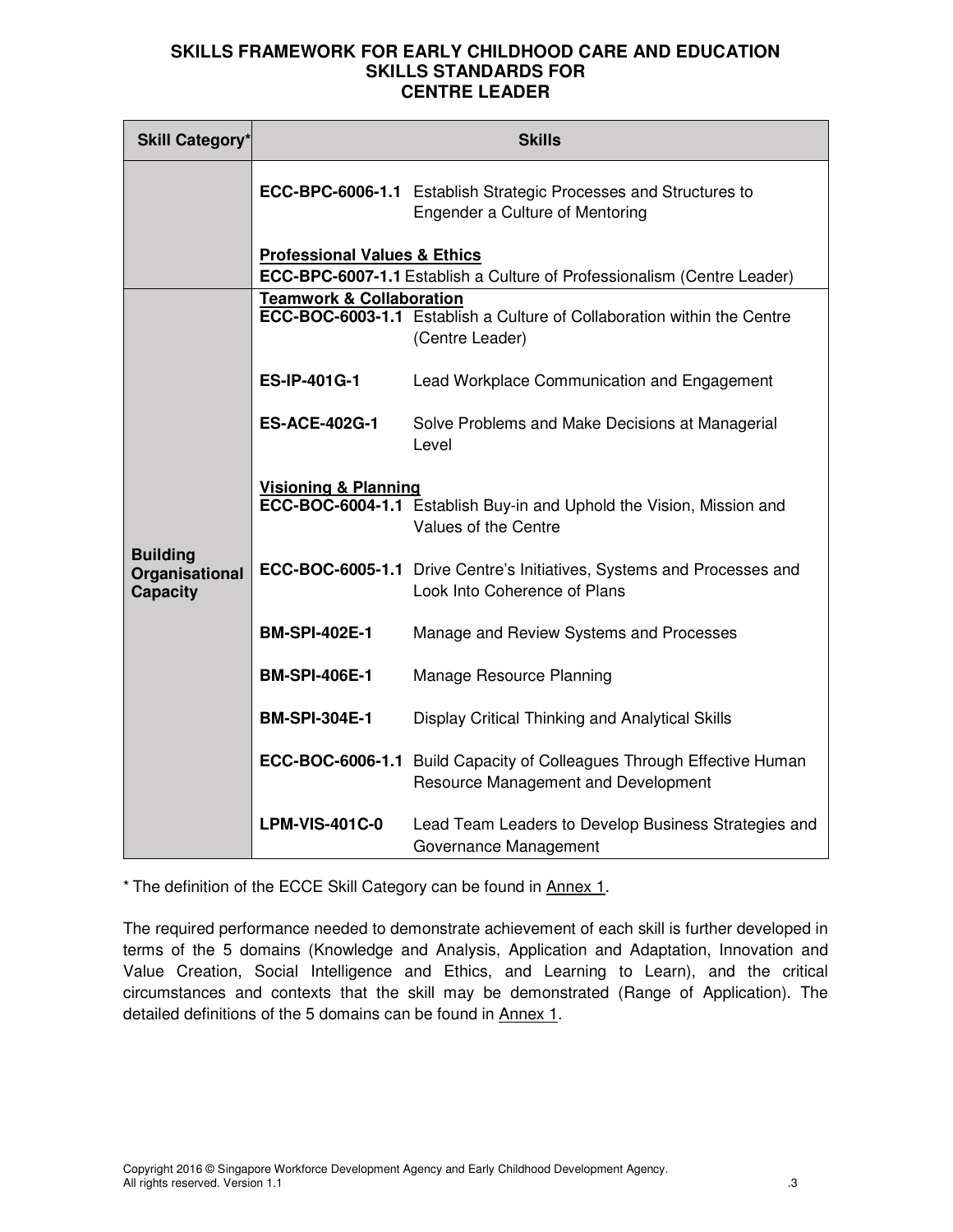| <b>Skill Category*</b>                               | <b>Skills</b>                           |                                                                                                                     |  |
|------------------------------------------------------|-----------------------------------------|---------------------------------------------------------------------------------------------------------------------|--|
|                                                      |                                         | <b>ECC-BPC-6006-1.1</b> Establish Strategic Processes and Structures to<br>Engender a Culture of Mentoring          |  |
|                                                      | <b>Professional Values &amp; Ethics</b> | <b>ECC-BPC-6007-1.1</b> Establish a Culture of Professionalism (Centre Leader)                                      |  |
|                                                      |                                         |                                                                                                                     |  |
|                                                      | <b>Teamwork &amp; Collaboration</b>     | ECC-BOC-6003-1.1 Establish a Culture of Collaboration within the Centre<br>(Centre Leader)                          |  |
|                                                      | <b>ES-IP-401G-1</b>                     | Lead Workplace Communication and Engagement                                                                         |  |
| <b>Building</b><br>Organisational<br><b>Capacity</b> | <b>ES-ACE-402G-1</b>                    | Solve Problems and Make Decisions at Managerial<br>Level                                                            |  |
|                                                      | <b>Visioning &amp; Planning</b>         | ECC-BOC-6004-1.1 Establish Buy-in and Uphold the Vision, Mission and<br>Values of the Centre                        |  |
|                                                      |                                         | ECC-BOC-6005-1.1 Drive Centre's Initiatives, Systems and Processes and<br>Look Into Coherence of Plans              |  |
|                                                      | <b>BM-SPI-402E-1</b>                    | Manage and Review Systems and Processes                                                                             |  |
|                                                      | <b>BM-SPI-406E-1</b>                    | Manage Resource Planning                                                                                            |  |
|                                                      | <b>BM-SPI-304E-1</b>                    | Display Critical Thinking and Analytical Skills                                                                     |  |
|                                                      |                                         | <b>ECC-BOC-6006-1.1</b> Build Capacity of Colleagues Through Effective Human<br>Resource Management and Development |  |
|                                                      | <b>LPM-VIS-401C-0</b>                   | Lead Team Leaders to Develop Business Strategies and<br>Governance Management                                       |  |

\* The definition of the ECCE Skill Category can be found in Annex 1.

The required performance needed to demonstrate achievement of each skill is further developed in terms of the 5 domains (Knowledge and Analysis, Application and Adaptation, Innovation and Value Creation, Social Intelligence and Ethics, and Learning to Learn), and the critical circumstances and contexts that the skill may be demonstrated (Range of Application). The detailed definitions of the 5 domains can be found in Annex 1.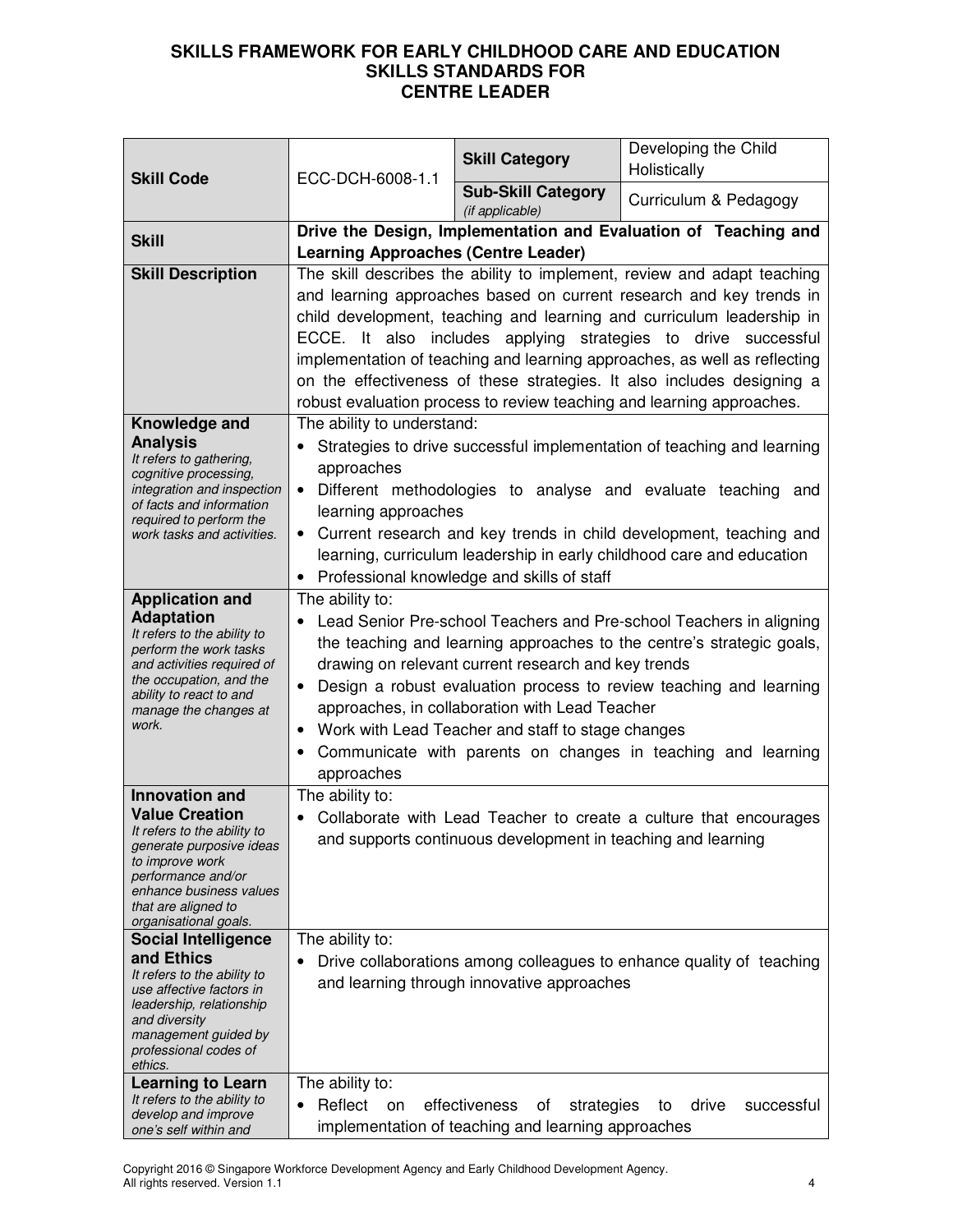|                                                        | ECC-DCH-6008-1.1<br><b>Skill Code</b>                                                                                 | <b>Skill Category</b>                                        | Developing the Child<br>Holistically                                                                                                        |
|--------------------------------------------------------|-----------------------------------------------------------------------------------------------------------------------|--------------------------------------------------------------|---------------------------------------------------------------------------------------------------------------------------------------------|
|                                                        |                                                                                                                       | <b>Sub-Skill Category</b><br>(if applicable)                 | Curriculum & Pedagogy                                                                                                                       |
| <b>Skill</b>                                           | Drive the Design, Implementation and Evaluation of Teaching and                                                       |                                                              |                                                                                                                                             |
|                                                        | <b>Learning Approaches (Centre Leader)</b><br>The skill describes the ability to implement, review and adapt teaching |                                                              |                                                                                                                                             |
| <b>Skill Description</b>                               |                                                                                                                       |                                                              | and learning approaches based on current research and key trends in                                                                         |
|                                                        |                                                                                                                       |                                                              | child development, teaching and learning and curriculum leadership in                                                                       |
|                                                        |                                                                                                                       |                                                              | ECCE. It also includes applying strategies to drive successful                                                                              |
|                                                        |                                                                                                                       |                                                              | implementation of teaching and learning approaches, as well as reflecting                                                                   |
|                                                        |                                                                                                                       |                                                              | on the effectiveness of these strategies. It also includes designing a                                                                      |
|                                                        |                                                                                                                       |                                                              | robust evaluation process to review teaching and learning approaches.                                                                       |
| Knowledge and                                          | The ability to understand:                                                                                            |                                                              |                                                                                                                                             |
| <b>Analysis</b><br>It refers to gathering,             |                                                                                                                       |                                                              | Strategies to drive successful implementation of teaching and learning                                                                      |
| cognitive processing,                                  | approaches                                                                                                            |                                                              |                                                                                                                                             |
| integration and inspection<br>of facts and information | $\bullet$                                                                                                             |                                                              | Different methodologies to analyse and evaluate teaching and                                                                                |
| required to perform the                                | learning approaches                                                                                                   |                                                              |                                                                                                                                             |
| work tasks and activities.                             |                                                                                                                       |                                                              | Current research and key trends in child development, teaching and<br>learning, curriculum leadership in early childhood care and education |
|                                                        | $\bullet$                                                                                                             | Professional knowledge and skills of staff                   |                                                                                                                                             |
| <b>Application and</b>                                 | The ability to:                                                                                                       |                                                              |                                                                                                                                             |
| <b>Adaptation</b>                                      |                                                                                                                       |                                                              | Lead Senior Pre-school Teachers and Pre-school Teachers in aligning                                                                         |
| It refers to the ability to<br>perform the work tasks  | the teaching and learning approaches to the centre's strategic goals,                                                 |                                                              |                                                                                                                                             |
| and activities required of                             | drawing on relevant current research and key trends                                                                   |                                                              |                                                                                                                                             |
| the occupation, and the<br>ability to react to and     | Design a robust evaluation process to review teaching and learning                                                    |                                                              |                                                                                                                                             |
| manage the changes at<br>work.                         |                                                                                                                       | approaches, in collaboration with Lead Teacher               |                                                                                                                                             |
|                                                        | $\bullet$                                                                                                             | Work with Lead Teacher and staff to stage changes            |                                                                                                                                             |
|                                                        | approaches                                                                                                            |                                                              | Communicate with parents on changes in teaching and learning                                                                                |
| <b>Innovation and</b>                                  | The ability to:                                                                                                       |                                                              |                                                                                                                                             |
| <b>Value Creation</b><br>It refers to the ability to   |                                                                                                                       |                                                              | Collaborate with Lead Teacher to create a culture that encourages                                                                           |
| generate purposive ideas                               |                                                                                                                       | and supports continuous development in teaching and learning |                                                                                                                                             |
| to improve work<br>performance and/or                  |                                                                                                                       |                                                              |                                                                                                                                             |
| enhance business values<br>that are aligned to         |                                                                                                                       |                                                              |                                                                                                                                             |
| organisational goals.                                  |                                                                                                                       |                                                              |                                                                                                                                             |
| <b>Social Intelligence</b>                             | The ability to:                                                                                                       |                                                              |                                                                                                                                             |
| and Ethics<br>It refers to the ability to              |                                                                                                                       |                                                              | Drive collaborations among colleagues to enhance quality of teaching                                                                        |
| use affective factors in                               |                                                                                                                       | and learning through innovative approaches                   |                                                                                                                                             |
| leadership, relationship<br>and diversity              |                                                                                                                       |                                                              |                                                                                                                                             |
| management guided by<br>professional codes of          |                                                                                                                       |                                                              |                                                                                                                                             |
| ethics.                                                |                                                                                                                       |                                                              |                                                                                                                                             |
| <b>Learning to Learn</b>                               | The ability to:                                                                                                       |                                                              |                                                                                                                                             |
| It refers to the ability to<br>develop and improve     | Reflect<br>on<br>$\bullet$                                                                                            | effectiveness<br>οf<br>strategies                            | drive<br>successful<br>to                                                                                                                   |
| one's self within and                                  |                                                                                                                       | implementation of teaching and learning approaches           |                                                                                                                                             |

Copyright 2016 © Singapore Workforce Development Agency and Early Childhood Development Agency. All rights reserved. Version 1.1 4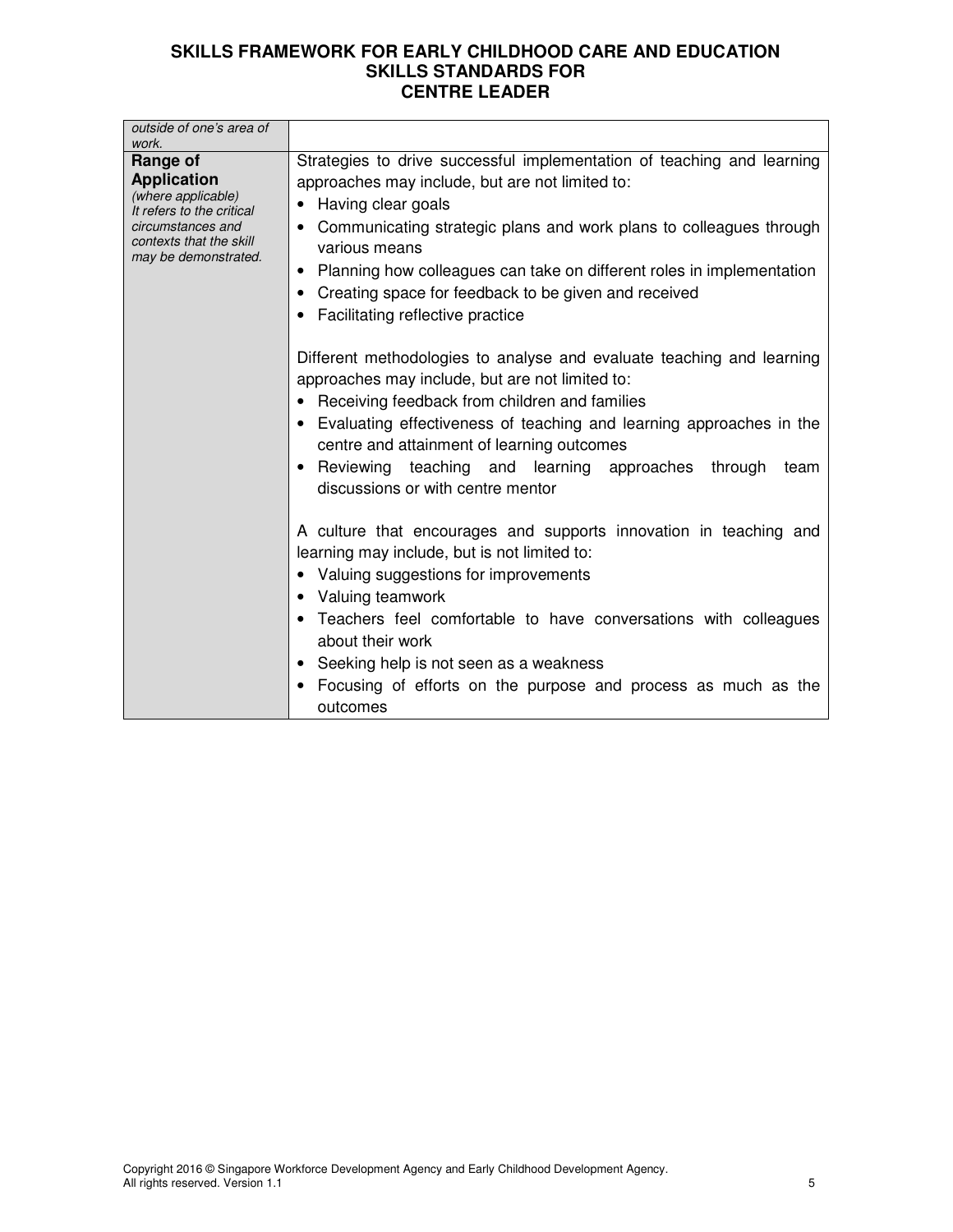| outside of one's area of<br>work.                                                                                                                         |                                                                                                                                                                                                                                                                                                                                                                                                                          |
|-----------------------------------------------------------------------------------------------------------------------------------------------------------|--------------------------------------------------------------------------------------------------------------------------------------------------------------------------------------------------------------------------------------------------------------------------------------------------------------------------------------------------------------------------------------------------------------------------|
| Range of<br><b>Application</b><br>(where applicable)<br>It refers to the critical<br>circumstances and<br>contexts that the skill<br>may be demonstrated. | Strategies to drive successful implementation of teaching and learning<br>approaches may include, but are not limited to:<br>• Having clear goals<br>• Communicating strategic plans and work plans to colleagues through<br>various means<br>Planning how colleagues can take on different roles in implementation<br>٠<br>• Creating space for feedback to be given and received<br>• Facilitating reflective practice |
|                                                                                                                                                           | Different methodologies to analyse and evaluate teaching and learning<br>approaches may include, but are not limited to:<br>• Receiving feedback from children and families<br>• Evaluating effectiveness of teaching and learning approaches in the<br>centre and attainment of learning outcomes<br>• Reviewing teaching and learning approaches through<br>team<br>discussions or with centre mentor                  |
|                                                                                                                                                           | A culture that encourages and supports innovation in teaching and<br>learning may include, but is not limited to:<br>• Valuing suggestions for improvements<br>• Valuing teamwork<br>• Teachers feel comfortable to have conversations with colleagues<br>about their work<br>• Seeking help is not seen as a weakness<br>Focusing of efforts on the purpose and process as much as the<br>outcomes                      |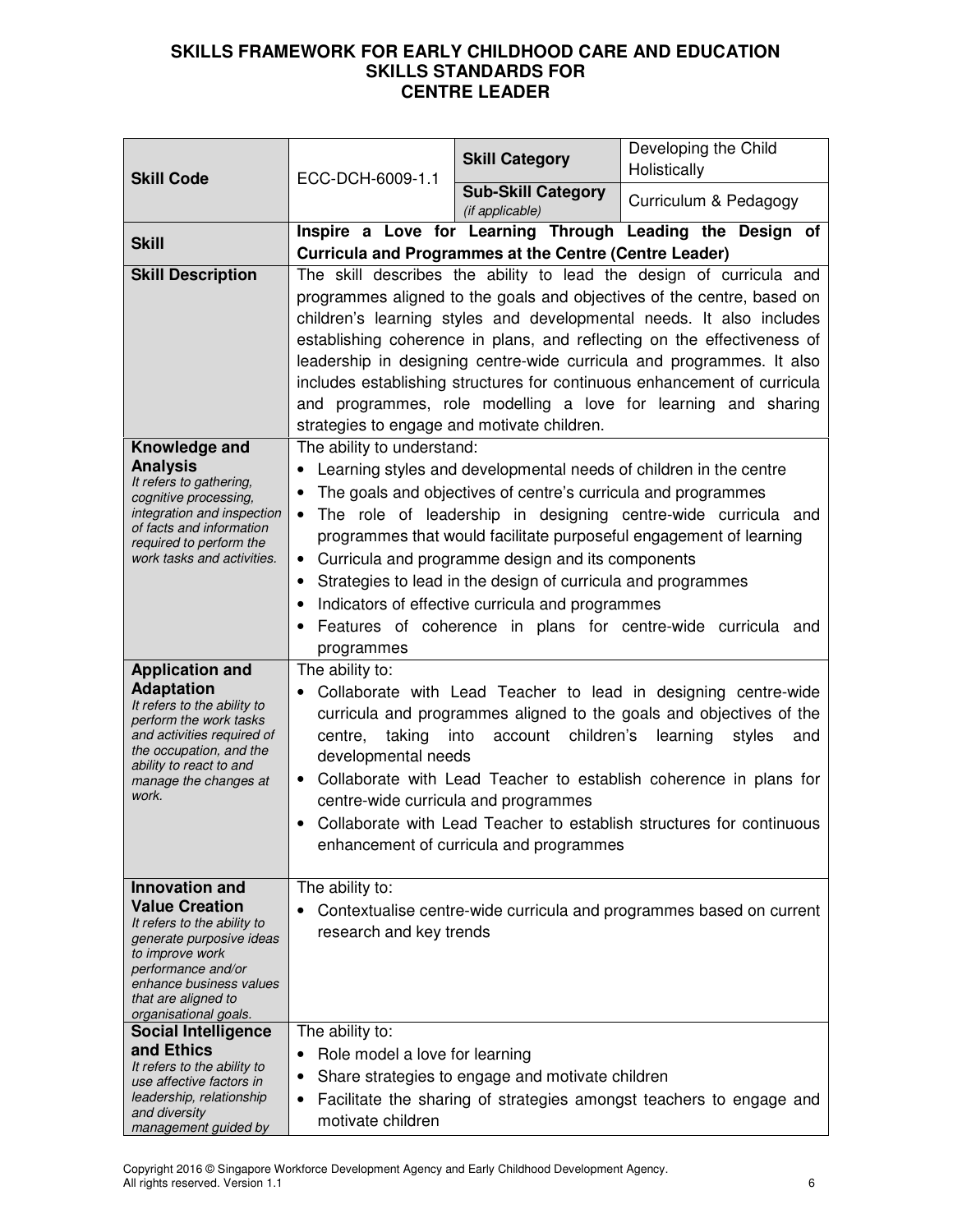| <b>Skill Category</b><br>Holistically                                                                                             | Developing the Child                                      |  |  |
|-----------------------------------------------------------------------------------------------------------------------------------|-----------------------------------------------------------|--|--|
| <b>Skill Code</b><br>ECC-DCH-6009-1.1<br><b>Sub-Skill Category</b><br>Curriculum & Pedagogy<br>(if applicable)                    |                                                           |  |  |
|                                                                                                                                   | Inspire a Love for Learning Through Leading the Design of |  |  |
| <b>Skill</b><br><b>Curricula and Programmes at the Centre (Centre Leader)</b>                                                     |                                                           |  |  |
| <b>Skill Description</b><br>The skill describes the ability to lead the design of curricula and                                   |                                                           |  |  |
| programmes aligned to the goals and objectives of the centre, based on                                                            |                                                           |  |  |
| children's learning styles and developmental needs. It also includes                                                              |                                                           |  |  |
| establishing coherence in plans, and reflecting on the effectiveness of                                                           |                                                           |  |  |
| leadership in designing centre-wide curricula and programmes. It also                                                             |                                                           |  |  |
| includes establishing structures for continuous enhancement of curricula                                                          |                                                           |  |  |
| and programmes, role modelling a love for learning and sharing<br>strategies to engage and motivate children.                     |                                                           |  |  |
| The ability to understand:<br>Knowledge and                                                                                       |                                                           |  |  |
| <b>Analysis</b><br>Learning styles and developmental needs of children in the centre                                              |                                                           |  |  |
| It refers to gathering,<br>The goals and objectives of centre's curricula and programmes                                          |                                                           |  |  |
| cognitive processing,<br>integration and inspection<br>The role of leadership in designing centre-wide curricula and              |                                                           |  |  |
| of facts and information<br>programmes that would facilitate purposeful engagement of learning                                    |                                                           |  |  |
| required to perform the<br>Curricula and programme design and its components<br>work tasks and activities.<br>٠                   |                                                           |  |  |
| Strategies to lead in the design of curricula and programmes<br>٠                                                                 |                                                           |  |  |
| Indicators of effective curricula and programmes                                                                                  |                                                           |  |  |
| Features of coherence in plans for centre-wide curricula and                                                                      |                                                           |  |  |
| programmes                                                                                                                        |                                                           |  |  |
| The ability to:<br><b>Application and</b>                                                                                         |                                                           |  |  |
| <b>Adaptation</b><br>Collaborate with Lead Teacher to lead in designing centre-wide                                               |                                                           |  |  |
| It refers to the ability to<br>curricula and programmes aligned to the goals and objectives of the<br>perform the work tasks      |                                                           |  |  |
| taking<br>children's<br>and activities required of<br>into<br>account<br>learning<br>centre,<br>styles<br>the occupation, and the | and                                                       |  |  |
| developmental needs<br>ability to react to and                                                                                    |                                                           |  |  |
| Collaborate with Lead Teacher to establish coherence in plans for<br>manage the changes at<br>work.                               |                                                           |  |  |
| centre-wide curricula and programmes                                                                                              |                                                           |  |  |
| Collaborate with Lead Teacher to establish structures for continuous<br>$\bullet$<br>enhancement of curricula and programmes      |                                                           |  |  |
|                                                                                                                                   |                                                           |  |  |
| <b>Innovation and</b><br>The ability to:                                                                                          |                                                           |  |  |
| <b>Value Creation</b><br>Contextualise centre-wide curricula and programmes based on current                                      |                                                           |  |  |
| It refers to the ability to<br>research and key trends<br>generate purposive ideas                                                |                                                           |  |  |
| to improve work                                                                                                                   |                                                           |  |  |
| performance and/or<br>enhance business values                                                                                     |                                                           |  |  |
| that are aligned to                                                                                                               |                                                           |  |  |
| organisational goals.<br>The ability to:<br><b>Social Intelligence</b>                                                            |                                                           |  |  |
| and Ethics<br>Role model a love for learning                                                                                      |                                                           |  |  |
| It refers to the ability to<br>Share strategies to engage and motivate children                                                   |                                                           |  |  |
| use affective factors in<br>leadership, relationship<br>Facilitate the sharing of strategies amongst teachers to engage and       |                                                           |  |  |
| and diversity<br>motivate children<br>management guided by                                                                        |                                                           |  |  |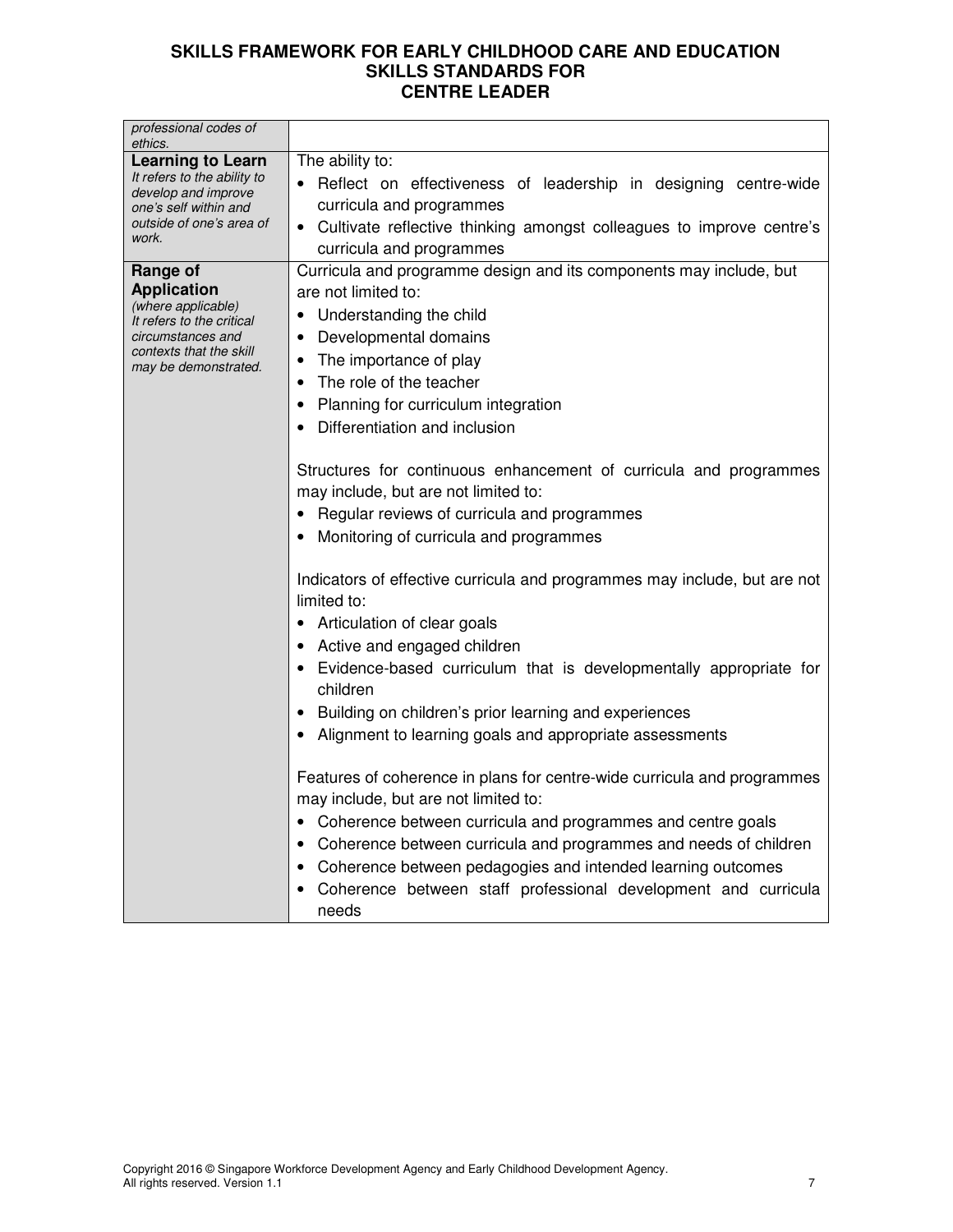| professional codes of<br>ethics.                                                                                                                          |                                                                                                                                                                                                                                                                                                                                                                                                                          |  |
|-----------------------------------------------------------------------------------------------------------------------------------------------------------|--------------------------------------------------------------------------------------------------------------------------------------------------------------------------------------------------------------------------------------------------------------------------------------------------------------------------------------------------------------------------------------------------------------------------|--|
| <b>Learning to Learn</b><br>It refers to the ability to<br>develop and improve<br>one's self within and<br>outside of one's area of<br>work.              | The ability to:<br>Reflect on effectiveness of leadership in designing centre-wide<br>curricula and programmes<br>• Cultivate reflective thinking amongst colleagues to improve centre's<br>curricula and programmes                                                                                                                                                                                                     |  |
| Range of<br><b>Application</b><br>(where applicable)<br>It refers to the critical<br>circumstances and<br>contexts that the skill<br>may be demonstrated. | Curricula and programme design and its components may include, but<br>are not limited to:<br>• Understanding the child<br>Developmental domains<br>$\bullet$<br>The importance of play<br>٠<br>The role of the teacher<br>Planning for curriculum integration<br>$\bullet$<br>Differentiation and inclusion<br>Structures for continuous enhancement of curricula and programmes<br>may include, but are not limited to: |  |
|                                                                                                                                                           | Regular reviews of curricula and programmes<br>Monitoring of curricula and programmes<br>Indicators of effective curricula and programmes may include, but are not                                                                                                                                                                                                                                                       |  |
|                                                                                                                                                           | limited to:<br>Articulation of clear goals<br>Active and engaged children<br>Evidence-based curriculum that is developmentally appropriate for<br>children                                                                                                                                                                                                                                                               |  |
|                                                                                                                                                           | Building on children's prior learning and experiences<br>Alignment to learning goals and appropriate assessments<br>Features of coherence in plans for centre-wide curricula and programmes                                                                                                                                                                                                                              |  |
|                                                                                                                                                           | may include, but are not limited to:<br>• Coherence between curricula and programmes and centre goals<br>Coherence between curricula and programmes and needs of children<br>Coherence between pedagogies and intended learning outcomes<br>Coherence between staff professional development and curricula<br>needs                                                                                                      |  |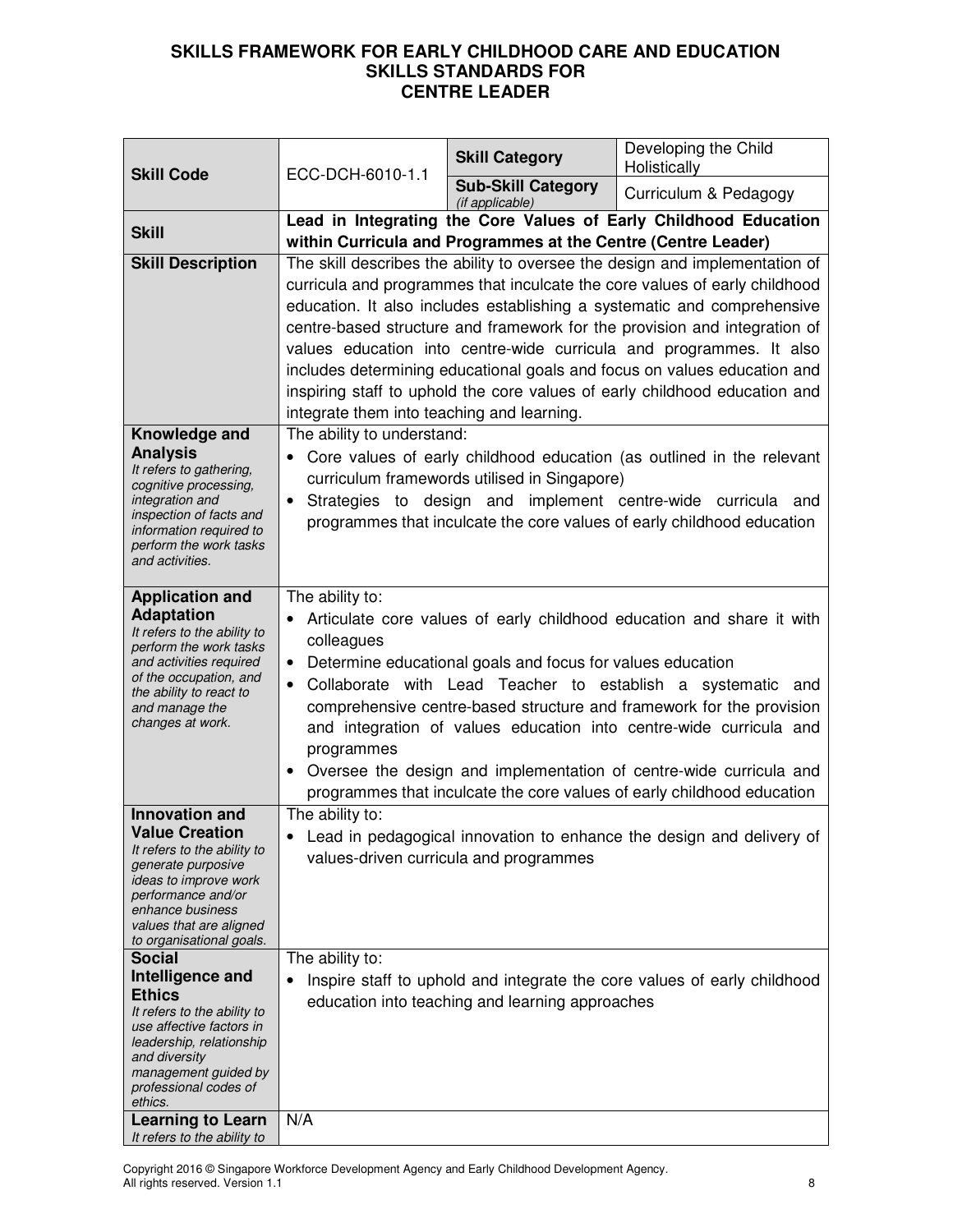|                                                                                                                                                                                                                                                    |                                                                                                                                                                                                                                                                                                                                                                                                                                                                                                                                                                                                     | <b>Skill Category</b>                           | Developing the Child<br>Holistically                                                                                                                                                                                                                                                                                                                                                                                                                                                                                                               |
|----------------------------------------------------------------------------------------------------------------------------------------------------------------------------------------------------------------------------------------------------|-----------------------------------------------------------------------------------------------------------------------------------------------------------------------------------------------------------------------------------------------------------------------------------------------------------------------------------------------------------------------------------------------------------------------------------------------------------------------------------------------------------------------------------------------------------------------------------------------------|-------------------------------------------------|----------------------------------------------------------------------------------------------------------------------------------------------------------------------------------------------------------------------------------------------------------------------------------------------------------------------------------------------------------------------------------------------------------------------------------------------------------------------------------------------------------------------------------------------------|
| <b>Skill Code</b>                                                                                                                                                                                                                                  | ECC-DCH-6010-1.1                                                                                                                                                                                                                                                                                                                                                                                                                                                                                                                                                                                    | <b>Sub-Skill Category</b><br>(if applicable)    | Curriculum & Pedagogy                                                                                                                                                                                                                                                                                                                                                                                                                                                                                                                              |
| <b>Skill</b>                                                                                                                                                                                                                                       | Lead in Integrating the Core Values of Early Childhood Education<br>within Curricula and Programmes at the Centre (Centre Leader)                                                                                                                                                                                                                                                                                                                                                                                                                                                                   |                                                 |                                                                                                                                                                                                                                                                                                                                                                                                                                                                                                                                                    |
| <b>Skill Description</b>                                                                                                                                                                                                                           | integrate them into teaching and learning.                                                                                                                                                                                                                                                                                                                                                                                                                                                                                                                                                          |                                                 | The skill describes the ability to oversee the design and implementation of<br>curricula and programmes that inculcate the core values of early childhood<br>education. It also includes establishing a systematic and comprehensive<br>centre-based structure and framework for the provision and integration of<br>values education into centre-wide curricula and programmes. It also<br>includes determining educational goals and focus on values education and<br>inspiring staff to uphold the core values of early childhood education and |
| Knowledge and<br><b>Analysis</b><br>It refers to gathering,<br>cognitive processing,<br>integration and<br>inspection of facts and<br>information required to<br>perform the work tasks<br>and activities.                                         | The ability to understand:<br>Core values of early childhood education (as outlined in the relevant<br>$\bullet$<br>curriculum framewords utilised in Singapore)<br>Strategies to design and implement centre-wide curricula and<br>$\bullet$<br>programmes that inculcate the core values of early childhood education                                                                                                                                                                                                                                                                             |                                                 |                                                                                                                                                                                                                                                                                                                                                                                                                                                                                                                                                    |
| <b>Application and</b><br><b>Adaptation</b><br>It refers to the ability to<br>perform the work tasks<br>and activities required<br>of the occupation, and<br>the ability to react to<br>and manage the<br>changes at work.                         | The ability to:<br>Articulate core values of early childhood education and share it with<br>$\bullet$<br>colleagues<br>Determine educational goals and focus for values education<br>$\bullet$<br>Collaborate with Lead Teacher to establish a systematic and<br>$\bullet$<br>comprehensive centre-based structure and framework for the provision<br>and integration of values education into centre-wide curricula and<br>programmes<br>Oversee the design and implementation of centre-wide curricula and<br>$\bullet$<br>programmes that inculcate the core values of early childhood education |                                                 |                                                                                                                                                                                                                                                                                                                                                                                                                                                                                                                                                    |
| <b>Innovation and</b><br><b>Value Creation</b><br>It refers to the ability to<br>generate purposive<br>ideas to improve work<br>performance and/or<br>enhance business<br>values that are aligned<br>to organisational goals.                      | The ability to:                                                                                                                                                                                                                                                                                                                                                                                                                                                                                                                                                                                     | values-driven curricula and programmes          | Lead in pedagogical innovation to enhance the design and delivery of                                                                                                                                                                                                                                                                                                                                                                                                                                                                               |
| <b>Social</b><br>Intelligence and<br><b>Ethics</b><br>It refers to the ability to<br>use affective factors in<br>leadership, relationship<br>and diversity<br>management guided by<br>professional codes of<br>ethics.<br><b>Learning to Learn</b> | The ability to:<br>$\bullet$<br>N/A                                                                                                                                                                                                                                                                                                                                                                                                                                                                                                                                                                 | education into teaching and learning approaches | Inspire staff to uphold and integrate the core values of early childhood                                                                                                                                                                                                                                                                                                                                                                                                                                                                           |
| It refers to the ability to                                                                                                                                                                                                                        |                                                                                                                                                                                                                                                                                                                                                                                                                                                                                                                                                                                                     |                                                 |                                                                                                                                                                                                                                                                                                                                                                                                                                                                                                                                                    |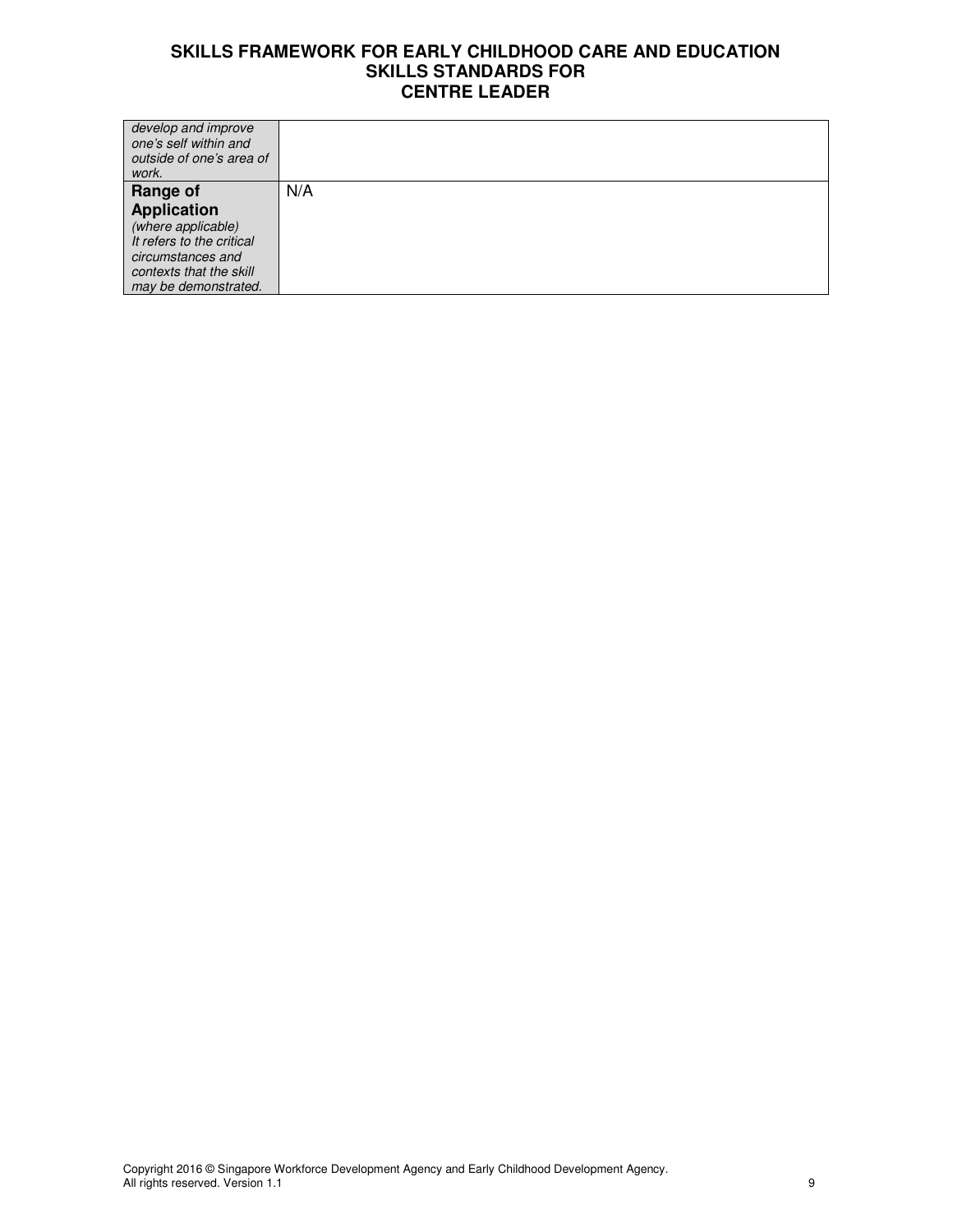| develop and improve<br>one's self within and<br>outside of one's area of<br>work. |     |
|-----------------------------------------------------------------------------------|-----|
| Range of                                                                          | N/A |
| <b>Application</b>                                                                |     |
| (where applicable)                                                                |     |
| It refers to the critical                                                         |     |
| circumstances and                                                                 |     |
| contexts that the skill                                                           |     |
| may be demonstrated.                                                              |     |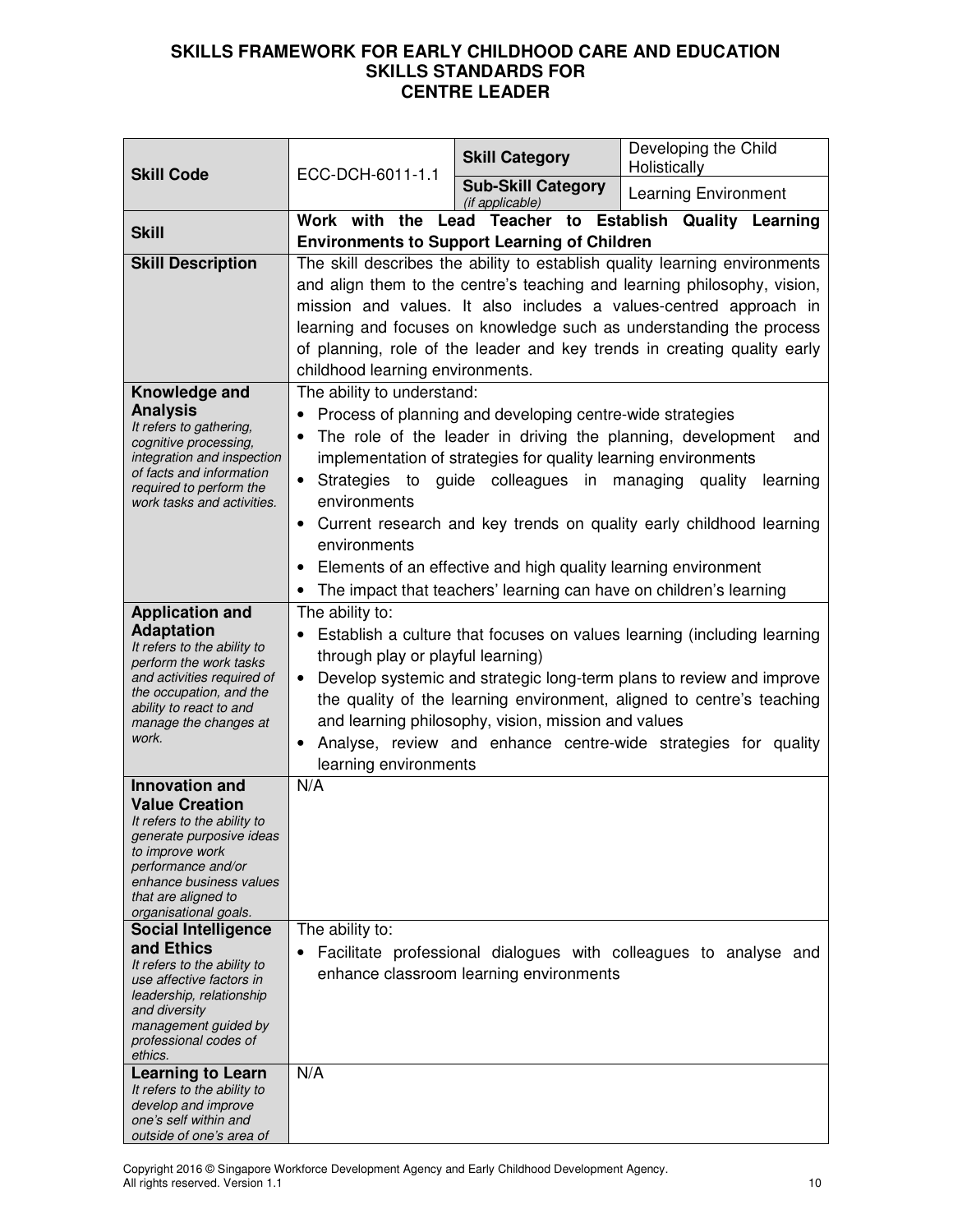| <b>Skill Code</b>                                                                                                                                                                                                                                                                                                                                                                                                                             | ECC-DCH-6011-1.1                                                                                                                                                                                                                                                                                                                                                                                                                                                  | <b>Skill Category</b>                                                                                                                                                                                                                                                                                                                                                                    | Developing the Child<br>Holistically                                                   |
|-----------------------------------------------------------------------------------------------------------------------------------------------------------------------------------------------------------------------------------------------------------------------------------------------------------------------------------------------------------------------------------------------------------------------------------------------|-------------------------------------------------------------------------------------------------------------------------------------------------------------------------------------------------------------------------------------------------------------------------------------------------------------------------------------------------------------------------------------------------------------------------------------------------------------------|------------------------------------------------------------------------------------------------------------------------------------------------------------------------------------------------------------------------------------------------------------------------------------------------------------------------------------------------------------------------------------------|----------------------------------------------------------------------------------------|
|                                                                                                                                                                                                                                                                                                                                                                                                                                               |                                                                                                                                                                                                                                                                                                                                                                                                                                                                   | <b>Sub-Skill Category</b><br>(if applicable)                                                                                                                                                                                                                                                                                                                                             | <b>Learning Environment</b>                                                            |
| <b>Skill</b>                                                                                                                                                                                                                                                                                                                                                                                                                                  | Work with the Lead Teacher to Establish Quality Learning<br><b>Environments to Support Learning of Children</b>                                                                                                                                                                                                                                                                                                                                                   |                                                                                                                                                                                                                                                                                                                                                                                          |                                                                                        |
| <b>Skill Description</b>                                                                                                                                                                                                                                                                                                                                                                                                                      | The skill describes the ability to establish quality learning environments<br>and align them to the centre's teaching and learning philosophy, vision,<br>mission and values. It also includes a values-centred approach in<br>learning and focuses on knowledge such as understanding the process<br>of planning, role of the leader and key trends in creating quality early<br>childhood learning environments.                                                |                                                                                                                                                                                                                                                                                                                                                                                          |                                                                                        |
| Knowledge and<br><b>Analysis</b><br>It refers to gathering,<br>cognitive processing,<br>integration and inspection<br>of facts and information<br>required to perform the<br>work tasks and activities.                                                                                                                                                                                                                                       | The ability to understand:<br>٠<br>$\bullet$<br>environments<br>$\bullet$<br>environments<br>٠<br>٠                                                                                                                                                                                                                                                                                                                                                               | Process of planning and developing centre-wide strategies<br>The role of the leader in driving the planning, development<br>implementation of strategies for quality learning environments<br>Strategies to guide colleagues in managing quality<br>Elements of an effective and high quality learning environment<br>The impact that teachers' learning can have on children's learning | and<br>learning<br>Current research and key trends on quality early childhood learning |
| <b>Application and</b><br><b>Adaptation</b><br>It refers to the ability to<br>perform the work tasks<br>and activities required of<br>the occupation, and the<br>ability to react to and<br>manage the changes at<br>work.                                                                                                                                                                                                                    | The ability to:<br>Establish a culture that focuses on values learning (including learning<br>$\bullet$<br>through play or playful learning)<br>Develop systemic and strategic long-term plans to review and improve<br>٠<br>the quality of the learning environment, aligned to centre's teaching<br>and learning philosophy, vision, mission and values<br>Analyse, review and enhance centre-wide strategies for quality<br>$\bullet$<br>learning environments |                                                                                                                                                                                                                                                                                                                                                                                          |                                                                                        |
| <b>Innovation and</b><br><b>Value Creation</b><br>It refers to the ability to<br>generate purposive ideas<br>to improve work<br>performance and/or<br>enhance business values<br>that are aligned to<br>organisational goals.<br><b>Social Intelligence</b><br>and Ethics<br>It refers to the ability to<br>use affective factors in<br>leadership, relationship<br>and diversity<br>management guided by<br>professional codes of<br>ethics. | N/A<br>The ability to:                                                                                                                                                                                                                                                                                                                                                                                                                                            | enhance classroom learning environments                                                                                                                                                                                                                                                                                                                                                  | Facilitate professional dialogues with colleagues to analyse and                       |
| <b>Learning to Learn</b><br>It refers to the ability to<br>develop and improve<br>one's self within and<br>outside of one's area of                                                                                                                                                                                                                                                                                                           | N/A                                                                                                                                                                                                                                                                                                                                                                                                                                                               |                                                                                                                                                                                                                                                                                                                                                                                          |                                                                                        |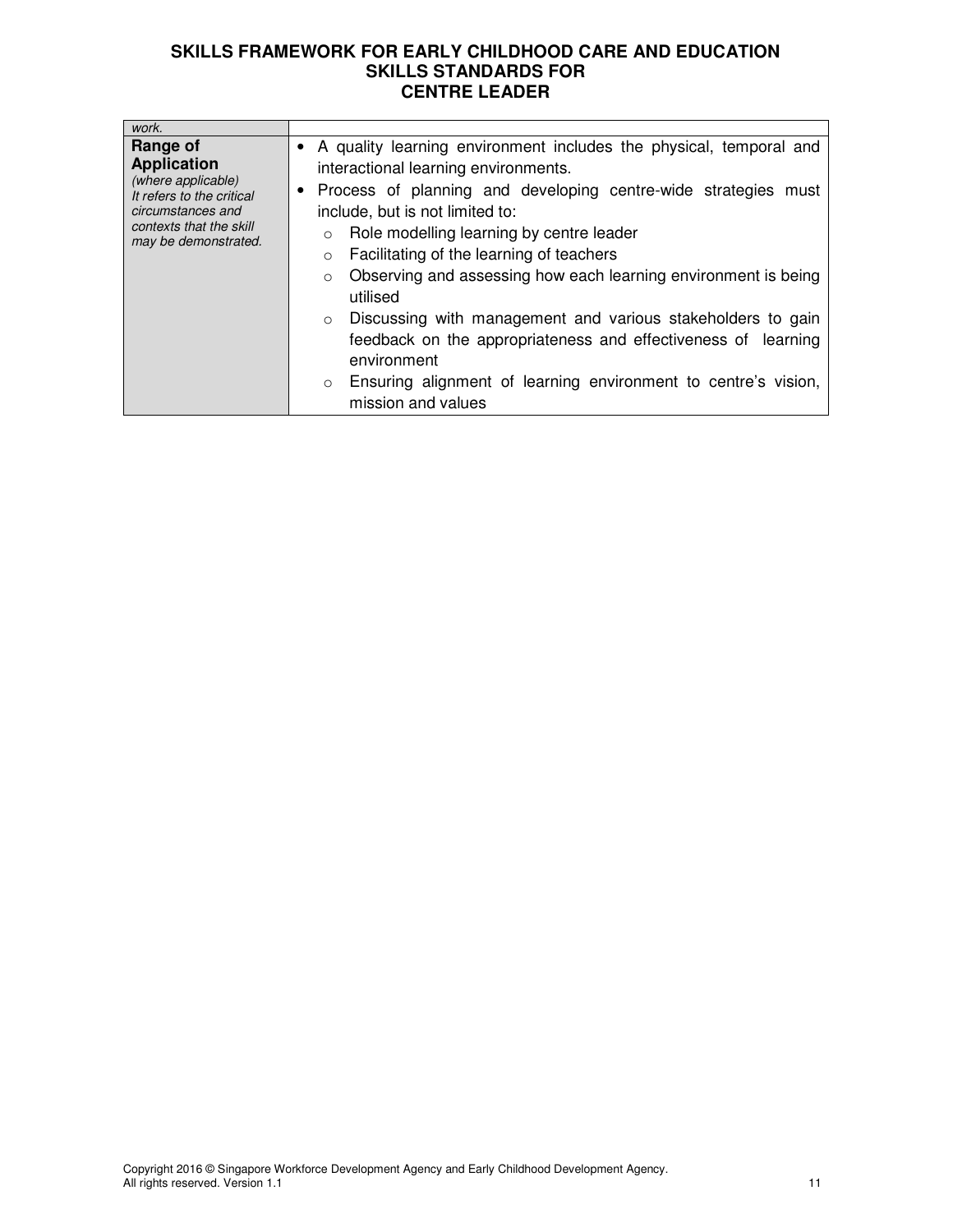| work.                                                                                                                                                     |                                                                                                                                                                                                                                                                                                                                                                                                                                                                                                                                                                                                                                                                                         |
|-----------------------------------------------------------------------------------------------------------------------------------------------------------|-----------------------------------------------------------------------------------------------------------------------------------------------------------------------------------------------------------------------------------------------------------------------------------------------------------------------------------------------------------------------------------------------------------------------------------------------------------------------------------------------------------------------------------------------------------------------------------------------------------------------------------------------------------------------------------------|
| Range of<br><b>Application</b><br>(where applicable)<br>It refers to the critical<br>circumstances and<br>contexts that the skill<br>may be demonstrated. | • A quality learning environment includes the physical, temporal and<br>interactional learning environments.<br>• Process of planning and developing centre-wide strategies must<br>include, but is not limited to:<br>Role modelling learning by centre leader<br>$\circ$<br>Facilitating of the learning of teachers<br>$\circ$<br>Observing and assessing how each learning environment is being<br>$\circ$<br>utilised<br>Discussing with management and various stakeholders to gain<br>$\circ$<br>feedback on the appropriateness and effectiveness of learning<br>environment<br>Ensuring alignment of learning environment to centre's vision,<br>$\circ$<br>mission and values |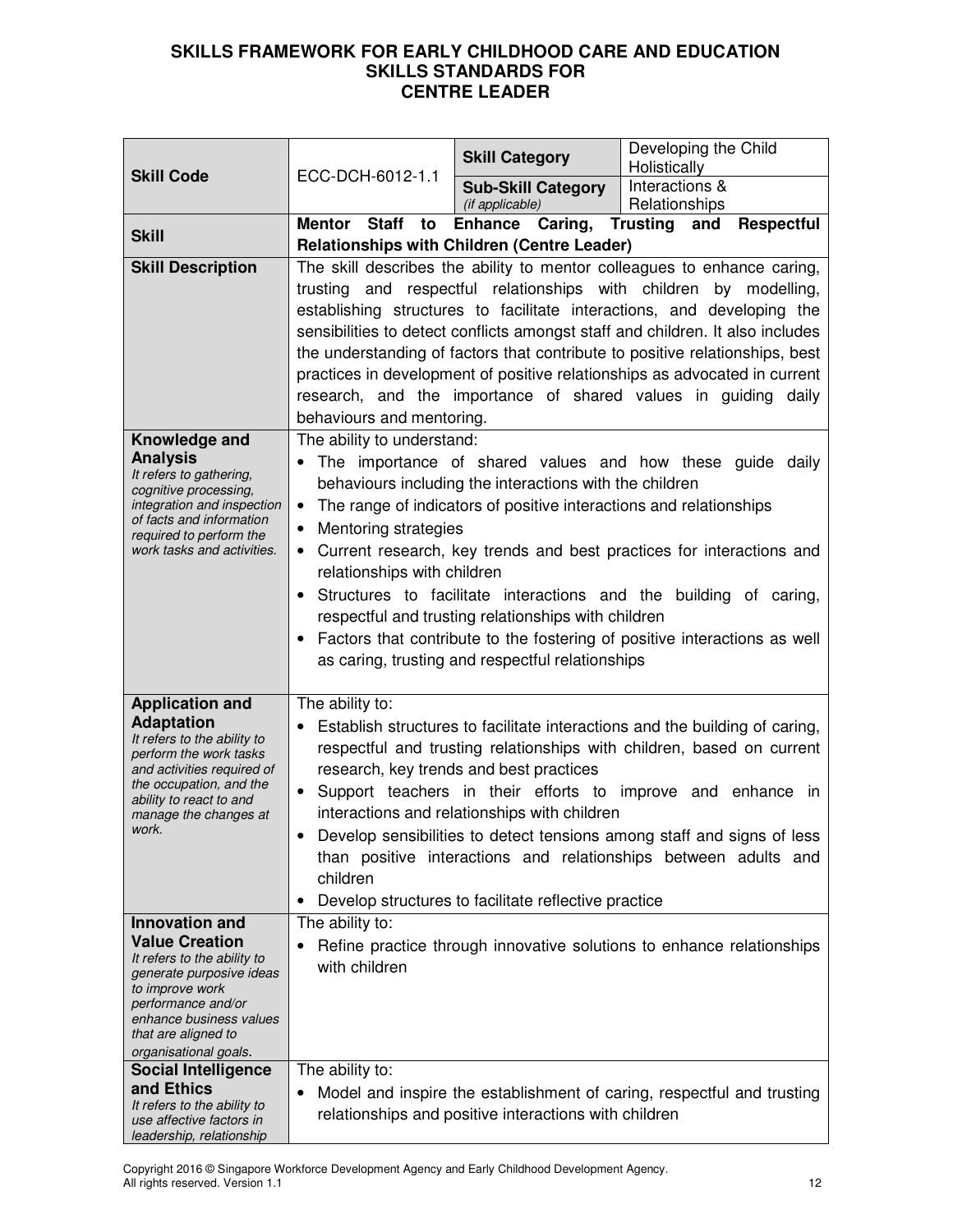|                                                                                                                                                                                                                               |                                                                                                     | <b>Skill Category</b>                                                                                                                                                                                                                    | Developing the Child<br>Holistically                                                                                                                                                                                                                                                                                                                                                                                                                                                                                                     |
|-------------------------------------------------------------------------------------------------------------------------------------------------------------------------------------------------------------------------------|-----------------------------------------------------------------------------------------------------|------------------------------------------------------------------------------------------------------------------------------------------------------------------------------------------------------------------------------------------|------------------------------------------------------------------------------------------------------------------------------------------------------------------------------------------------------------------------------------------------------------------------------------------------------------------------------------------------------------------------------------------------------------------------------------------------------------------------------------------------------------------------------------------|
| <b>Skill Code</b>                                                                                                                                                                                                             | ECC-DCH-6012-1.1                                                                                    | <b>Sub-Skill Category</b><br>(if applicable)                                                                                                                                                                                             | Interactions &<br>Relationships                                                                                                                                                                                                                                                                                                                                                                                                                                                                                                          |
| <b>Skill</b>                                                                                                                                                                                                                  | Mentor Staff to                                                                                     | Enhance Caring, Trusting and<br><b>Relationships with Children (Centre Leader)</b>                                                                                                                                                       | <b>Respectful</b>                                                                                                                                                                                                                                                                                                                                                                                                                                                                                                                        |
| <b>Skill Description</b>                                                                                                                                                                                                      | behaviours and mentoring.                                                                           |                                                                                                                                                                                                                                          | The skill describes the ability to mentor colleagues to enhance caring,<br>trusting and respectful relationships with children by modelling,<br>establishing structures to facilitate interactions, and developing the<br>sensibilities to detect conflicts amongst staff and children. It also includes<br>the understanding of factors that contribute to positive relationships, best<br>practices in development of positive relationships as advocated in current<br>research, and the importance of shared values in guiding daily |
| Knowledge and<br><b>Analysis</b><br>It refers to gathering,<br>cognitive processing,<br>integration and inspection<br>of facts and information<br>required to perform the<br>work tasks and activities.                       | The ability to understand:<br>$\bullet$<br>Mentoring strategies<br>٠<br>relationships with children | behaviours including the interactions with the children<br>The range of indicators of positive interactions and relationships<br>respectful and trusting relationships with children<br>as caring, trusting and respectful relationships | The importance of shared values and how these guide daily<br>Current research, key trends and best practices for interactions and<br>Structures to facilitate interactions and the building of caring,<br>Factors that contribute to the fostering of positive interactions as well                                                                                                                                                                                                                                                      |
| <b>Application and</b><br><b>Adaptation</b><br>It refers to the ability to<br>perform the work tasks<br>and activities required of<br>the occupation, and the<br>ability to react to and<br>manage the changes at<br>work.    | The ability to:<br>$\bullet$<br>children                                                            | research, key trends and best practices<br>interactions and relationships with children<br>Develop structures to facilitate reflective practice                                                                                          | Establish structures to facilitate interactions and the building of caring,<br>respectful and trusting relationships with children, based on current<br>Support teachers in their efforts to improve and enhance in<br>Develop sensibilities to detect tensions among staff and signs of less<br>than positive interactions and relationships between adults and                                                                                                                                                                         |
| <b>Innovation and</b><br><b>Value Creation</b><br>It refers to the ability to<br>generate purposive ideas<br>to improve work<br>performance and/or<br>enhance business values<br>that are aligned to<br>organisational goals. | The ability to:<br>with children                                                                    |                                                                                                                                                                                                                                          | Refine practice through innovative solutions to enhance relationships                                                                                                                                                                                                                                                                                                                                                                                                                                                                    |
| <b>Social Intelligence</b><br>and Ethics<br>It refers to the ability to<br>use affective factors in<br>leadership, relationship                                                                                               | The ability to:                                                                                     | relationships and positive interactions with children                                                                                                                                                                                    | Model and inspire the establishment of caring, respectful and trusting                                                                                                                                                                                                                                                                                                                                                                                                                                                                   |

Copyright 2016 © Singapore Workforce Development Agency and Early Childhood Development Agency. All rights reserved. Version 1.1 12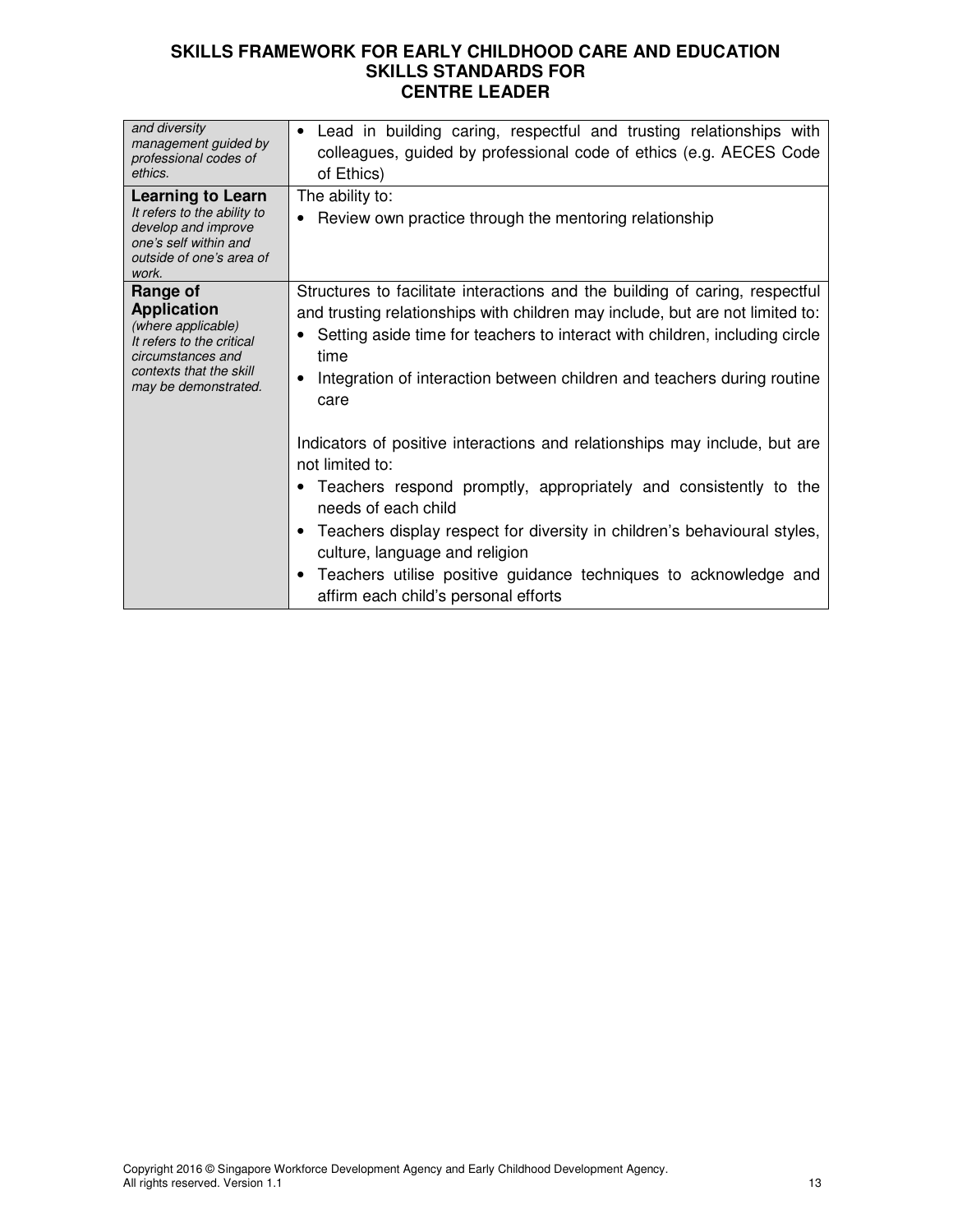| and diversity<br>management guided by<br>professional codes of<br>ethics.                                                                                 | Lead in building caring, respectful and trusting relationships with<br>$\bullet$<br>colleagues, guided by professional code of ethics (e.g. AECES Code<br>of Ethics)                                                                                                                                                                                                                                               |
|-----------------------------------------------------------------------------------------------------------------------------------------------------------|--------------------------------------------------------------------------------------------------------------------------------------------------------------------------------------------------------------------------------------------------------------------------------------------------------------------------------------------------------------------------------------------------------------------|
| <b>Learning to Learn</b><br>It refers to the ability to<br>develop and improve<br>one's self within and<br>outside of one's area of<br>work.              | The ability to:<br>Review own practice through the mentoring relationship                                                                                                                                                                                                                                                                                                                                          |
| Range of<br><b>Application</b><br>(where applicable)<br>It refers to the critical<br>circumstances and<br>contexts that the skill<br>may be demonstrated. | Structures to facilitate interactions and the building of caring, respectful<br>and trusting relationships with children may include, but are not limited to:<br>Setting aside time for teachers to interact with children, including circle<br>time<br>Integration of interaction between children and teachers during routine<br>care                                                                            |
|                                                                                                                                                           | Indicators of positive interactions and relationships may include, but are<br>not limited to:<br>Teachers respond promptly, appropriately and consistently to the<br>needs of each child<br>Teachers display respect for diversity in children's behavioural styles,<br>culture, language and religion<br>Teachers utilise positive guidance techniques to acknowledge and<br>affirm each child's personal efforts |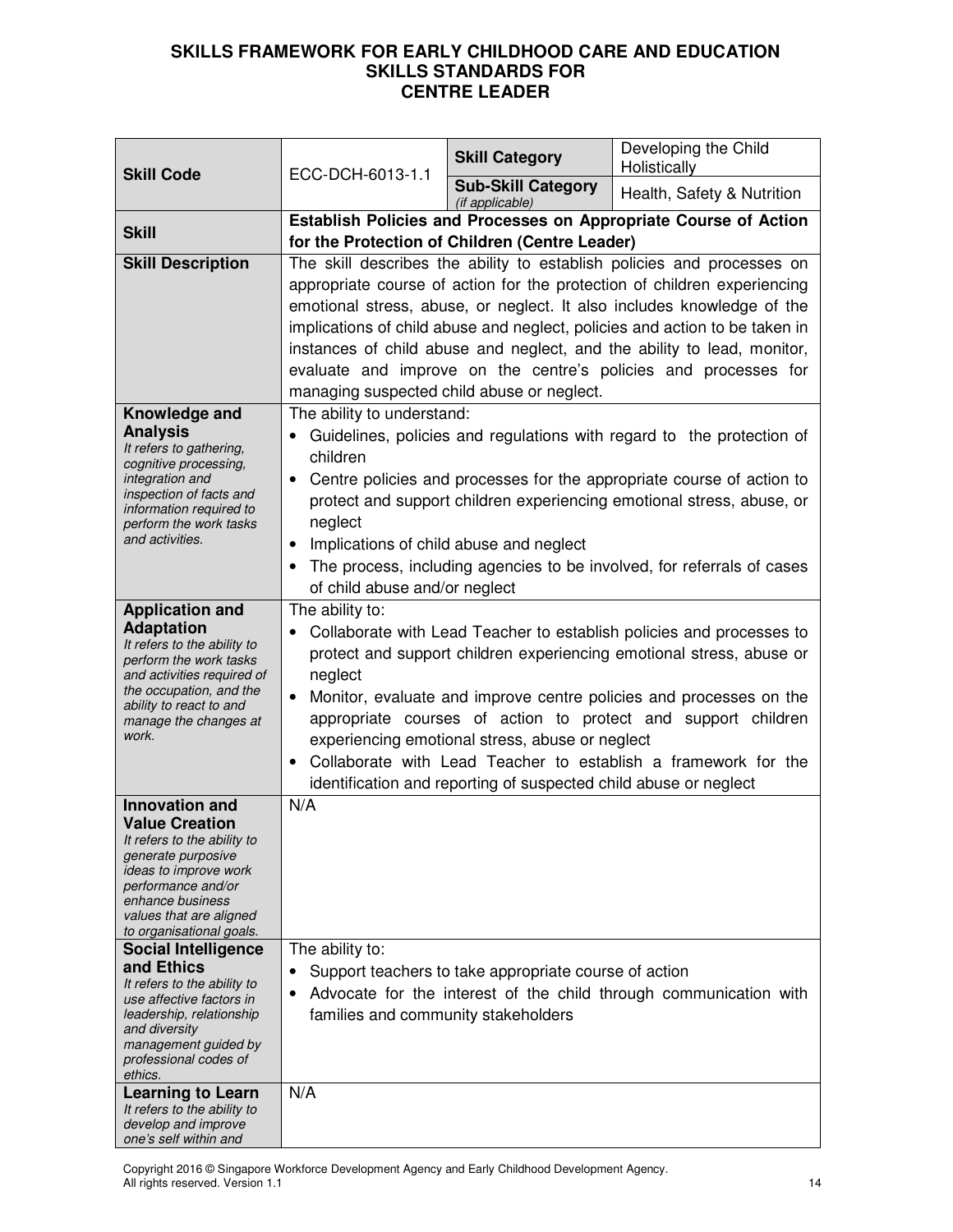| <b>Skill Code</b>                                                                                                                                                                                           | ECC-DCH-6013-1.1                                                                                                                                                                                                                                                                                                                                                                                                                                                                                        | <b>Skill Category</b>                                 | Developing the Child<br>Holistically                                                                                                                                                                                                                                                              |
|-------------------------------------------------------------------------------------------------------------------------------------------------------------------------------------------------------------|---------------------------------------------------------------------------------------------------------------------------------------------------------------------------------------------------------------------------------------------------------------------------------------------------------------------------------------------------------------------------------------------------------------------------------------------------------------------------------------------------------|-------------------------------------------------------|---------------------------------------------------------------------------------------------------------------------------------------------------------------------------------------------------------------------------------------------------------------------------------------------------|
|                                                                                                                                                                                                             |                                                                                                                                                                                                                                                                                                                                                                                                                                                                                                         | <b>Sub-Skill Category</b><br>(if applicable)          | Health, Safety & Nutrition                                                                                                                                                                                                                                                                        |
| <b>Skill</b>                                                                                                                                                                                                | Establish Policies and Processes on Appropriate Course of Action                                                                                                                                                                                                                                                                                                                                                                                                                                        |                                                       |                                                                                                                                                                                                                                                                                                   |
|                                                                                                                                                                                                             |                                                                                                                                                                                                                                                                                                                                                                                                                                                                                                         | for the Protection of Children (Centre Leader)        |                                                                                                                                                                                                                                                                                                   |
| <b>Skill Description</b>                                                                                                                                                                                    | The skill describes the ability to establish policies and processes on<br>appropriate course of action for the protection of children experiencing<br>emotional stress, abuse, or neglect. It also includes knowledge of the<br>implications of child abuse and neglect, policies and action to be taken in<br>instances of child abuse and neglect, and the ability to lead, monitor,<br>evaluate and improve on the centre's policies and processes for<br>managing suspected child abuse or neglect. |                                                       |                                                                                                                                                                                                                                                                                                   |
| Knowledge and                                                                                                                                                                                               | The ability to understand:                                                                                                                                                                                                                                                                                                                                                                                                                                                                              |                                                       |                                                                                                                                                                                                                                                                                                   |
| <b>Analysis</b><br>It refers to gathering,<br>cognitive processing,<br>integration and<br>inspection of facts and<br>information required to<br>perform the work tasks<br>and activities.                   | children<br>$\bullet$<br>neglect<br>Implications of child abuse and neglect<br>$\bullet$<br>of child abuse and/or neglect                                                                                                                                                                                                                                                                                                                                                                               |                                                       | Guidelines, policies and regulations with regard to the protection of<br>Centre policies and processes for the appropriate course of action to<br>protect and support children experiencing emotional stress, abuse, or<br>The process, including agencies to be involved, for referrals of cases |
| <b>Application and</b>                                                                                                                                                                                      | The ability to:                                                                                                                                                                                                                                                                                                                                                                                                                                                                                         |                                                       |                                                                                                                                                                                                                                                                                                   |
| <b>Adaptation</b><br>It refers to the ability to<br>perform the work tasks<br>and activities required of<br>the occupation, and the<br>ability to react to and<br>manage the changes at<br>work.            | Collaborate with Lead Teacher to establish policies and processes to<br>protect and support children experiencing emotional stress, abuse or<br>neglect<br>Monitor, evaluate and improve centre policies and processes on the<br>appropriate courses of action to protect and support children<br>experiencing emotional stress, abuse or neglect<br>Collaborate with Lead Teacher to establish a framework for the<br>identification and reporting of suspected child abuse or neglect                 |                                                       |                                                                                                                                                                                                                                                                                                   |
| <b>Innovation and</b>                                                                                                                                                                                       | N/A                                                                                                                                                                                                                                                                                                                                                                                                                                                                                                     |                                                       |                                                                                                                                                                                                                                                                                                   |
| <b>Value Creation</b><br>It refers to the ability to<br>generate purposive<br><i>ideas to improve work</i><br>performance and/or<br>enhance business<br>values that are aligned<br>to organisational goals. |                                                                                                                                                                                                                                                                                                                                                                                                                                                                                                         |                                                       |                                                                                                                                                                                                                                                                                                   |
| <b>Social Intelligence</b>                                                                                                                                                                                  | The ability to:                                                                                                                                                                                                                                                                                                                                                                                                                                                                                         |                                                       |                                                                                                                                                                                                                                                                                                   |
| and Ethics<br>It refers to the ability to<br>use affective factors in<br>leadership, relationship<br>and diversity<br>management guided by<br>professional codes of<br>ethics.                              | $\bullet$<br>families and community stakeholders                                                                                                                                                                                                                                                                                                                                                                                                                                                        | Support teachers to take appropriate course of action | Advocate for the interest of the child through communication with                                                                                                                                                                                                                                 |
| <b>Learning to Learn</b>                                                                                                                                                                                    | N/A                                                                                                                                                                                                                                                                                                                                                                                                                                                                                                     |                                                       |                                                                                                                                                                                                                                                                                                   |
| It refers to the ability to<br>develop and improve<br>one's self within and                                                                                                                                 |                                                                                                                                                                                                                                                                                                                                                                                                                                                                                                         |                                                       |                                                                                                                                                                                                                                                                                                   |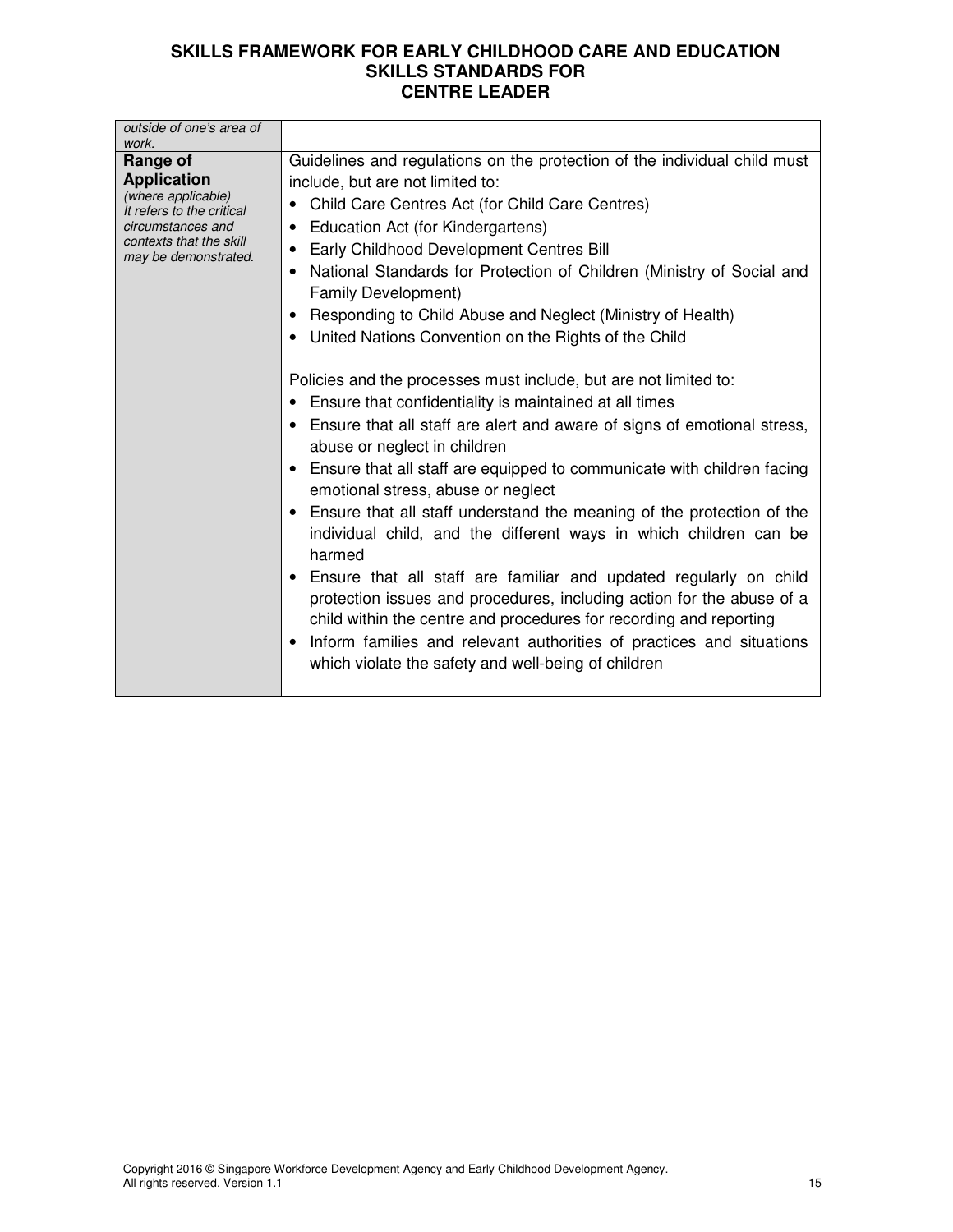| outside of one's area of<br>work.               |                                                                                                              |
|-------------------------------------------------|--------------------------------------------------------------------------------------------------------------|
| Range of                                        | Guidelines and regulations on the protection of the individual child must                                    |
| <b>Application</b>                              | include, but are not limited to:                                                                             |
| (where applicable)<br>It refers to the critical | Child Care Centres Act (for Child Care Centres)                                                              |
| circumstances and                               | Education Act (for Kindergartens)                                                                            |
| contexts that the skill<br>may be demonstrated. | Early Childhood Development Centres Bill                                                                     |
|                                                 | National Standards for Protection of Children (Ministry of Social and<br>Family Development)                 |
|                                                 | Responding to Child Abuse and Neglect (Ministry of Health)<br>$\bullet$                                      |
|                                                 | • United Nations Convention on the Rights of the Child                                                       |
|                                                 |                                                                                                              |
|                                                 | Policies and the processes must include, but are not limited to:                                             |
|                                                 | • Ensure that confidentiality is maintained at all times                                                     |
|                                                 | • Ensure that all staff are alert and aware of signs of emotional stress,<br>abuse or neglect in children    |
|                                                 | Ensure that all staff are equipped to communicate with children facing<br>emotional stress, abuse or neglect |
|                                                 | Ensure that all staff understand the meaning of the protection of the                                        |
|                                                 | individual child, and the different ways in which children can be<br>harmed                                  |
|                                                 | Ensure that all staff are familiar and updated regularly on child                                            |
|                                                 | protection issues and procedures, including action for the abuse of a                                        |
|                                                 | child within the centre and procedures for recording and reporting                                           |
|                                                 | Inform families and relevant authorities of practices and situations<br>$\bullet$                            |
|                                                 | which violate the safety and well-being of children                                                          |
|                                                 |                                                                                                              |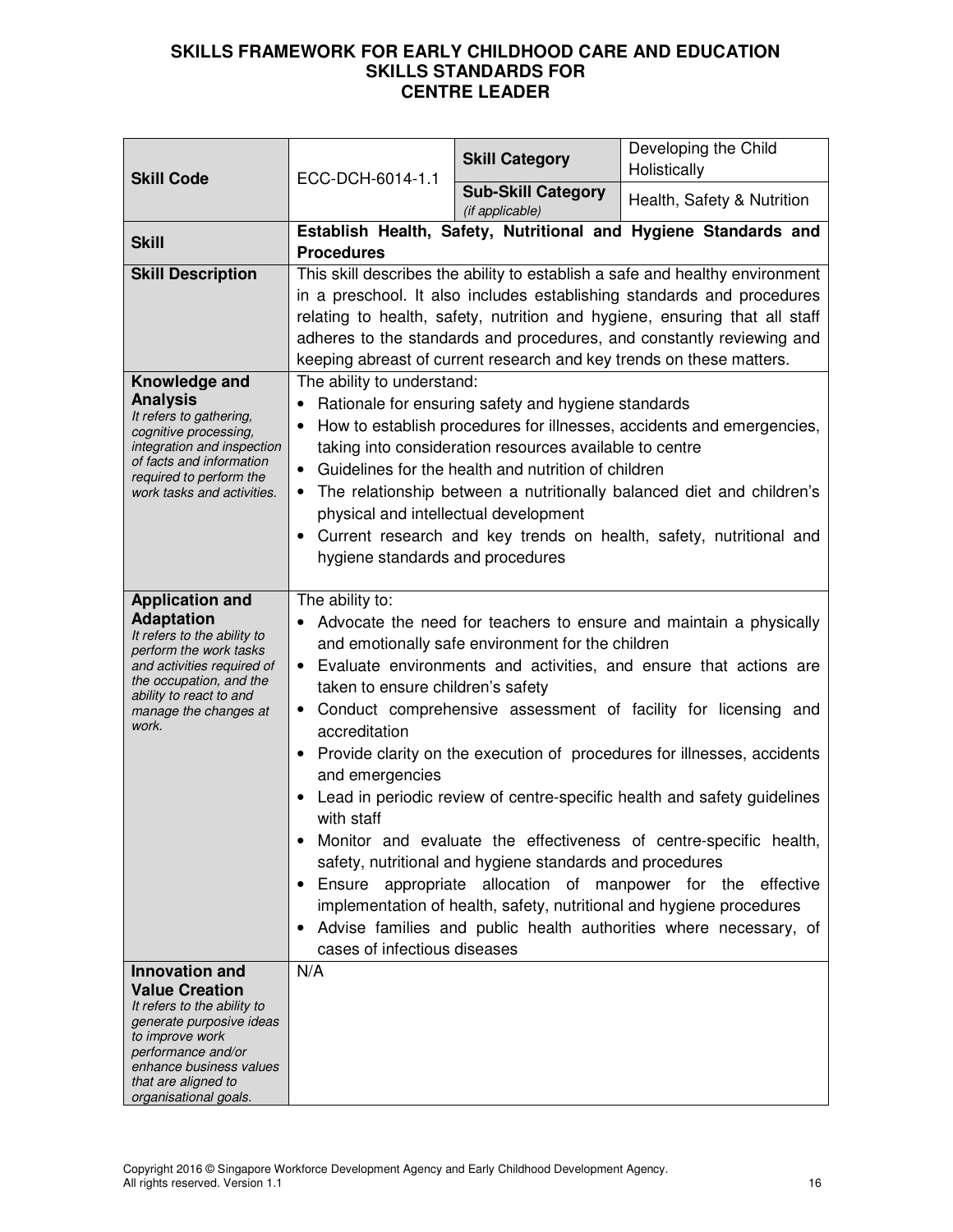| <b>Skill Code</b>                                                                                                                                                                                                          | ECC-DCH-6014-1.1                                                                                                                                                                | <b>Skill Category</b>                                                                                          | Developing the Child<br>Holistically                                                                                                                                                                                                                                                                                                                                                                                                                                                                                                                                                                                                        |
|----------------------------------------------------------------------------------------------------------------------------------------------------------------------------------------------------------------------------|---------------------------------------------------------------------------------------------------------------------------------------------------------------------------------|----------------------------------------------------------------------------------------------------------------|---------------------------------------------------------------------------------------------------------------------------------------------------------------------------------------------------------------------------------------------------------------------------------------------------------------------------------------------------------------------------------------------------------------------------------------------------------------------------------------------------------------------------------------------------------------------------------------------------------------------------------------------|
|                                                                                                                                                                                                                            |                                                                                                                                                                                 | <b>Sub-Skill Category</b><br>(if applicable)                                                                   | Health, Safety & Nutrition                                                                                                                                                                                                                                                                                                                                                                                                                                                                                                                                                                                                                  |
| <b>Skill</b>                                                                                                                                                                                                               | <b>Procedures</b>                                                                                                                                                               |                                                                                                                | Establish Health, Safety, Nutritional and Hygiene Standards and                                                                                                                                                                                                                                                                                                                                                                                                                                                                                                                                                                             |
| <b>Skill Description</b><br>Knowledge and<br><b>Analysis</b><br>It refers to gathering,<br>cognitive processing,                                                                                                           | The ability to understand:<br>$\bullet$                                                                                                                                         | Rationale for ensuring safety and hygiene standards                                                            | This skill describes the ability to establish a safe and healthy environment<br>in a preschool. It also includes establishing standards and procedures<br>relating to health, safety, nutrition and hygiene, ensuring that all staff<br>adheres to the standards and procedures, and constantly reviewing and<br>keeping abreast of current research and key trends on these matters.<br>How to establish procedures for illnesses, accidents and emergencies,                                                                                                                                                                              |
| integration and inspection<br>of facts and information<br>required to perform the<br>work tasks and activities.                                                                                                            | $\bullet$<br>physical and intellectual development<br>hygiene standards and procedures                                                                                          | taking into consideration resources available to centre<br>Guidelines for the health and nutrition of children | The relationship between a nutritionally balanced diet and children's<br>Current research and key trends on health, safety, nutritional and                                                                                                                                                                                                                                                                                                                                                                                                                                                                                                 |
| <b>Application and</b><br><b>Adaptation</b><br>It refers to the ability to<br>perform the work tasks<br>and activities required of<br>the occupation, and the<br>ability to react to and<br>manage the changes at<br>work. | The ability to:<br>taken to ensure children's safety<br>$\bullet$<br>accreditation<br>٠<br>and emergencies<br>with staff<br>Ensure<br>$\bullet$<br>cases of infectious diseases | and emotionally safe environment for the children<br>safety, nutritional and hygiene standards and procedures  | Advocate the need for teachers to ensure and maintain a physically<br>• Evaluate environments and activities, and ensure that actions are<br>Conduct comprehensive assessment of facility for licensing and<br>Provide clarity on the execution of procedures for illnesses, accidents<br>Lead in periodic review of centre-specific health and safety guidelines<br>Monitor and evaluate the effectiveness of centre-specific health,<br>appropriate allocation of manpower for the effective<br>implementation of health, safety, nutritional and hygiene procedures<br>Advise families and public health authorities where necessary, of |
| Innovation and<br><b>Value Creation</b><br>It refers to the ability to<br>generate purposive ideas<br>to improve work<br>performance and/or<br>enhance business values<br>that are aligned to<br>organisational goals.     | N/A                                                                                                                                                                             |                                                                                                                |                                                                                                                                                                                                                                                                                                                                                                                                                                                                                                                                                                                                                                             |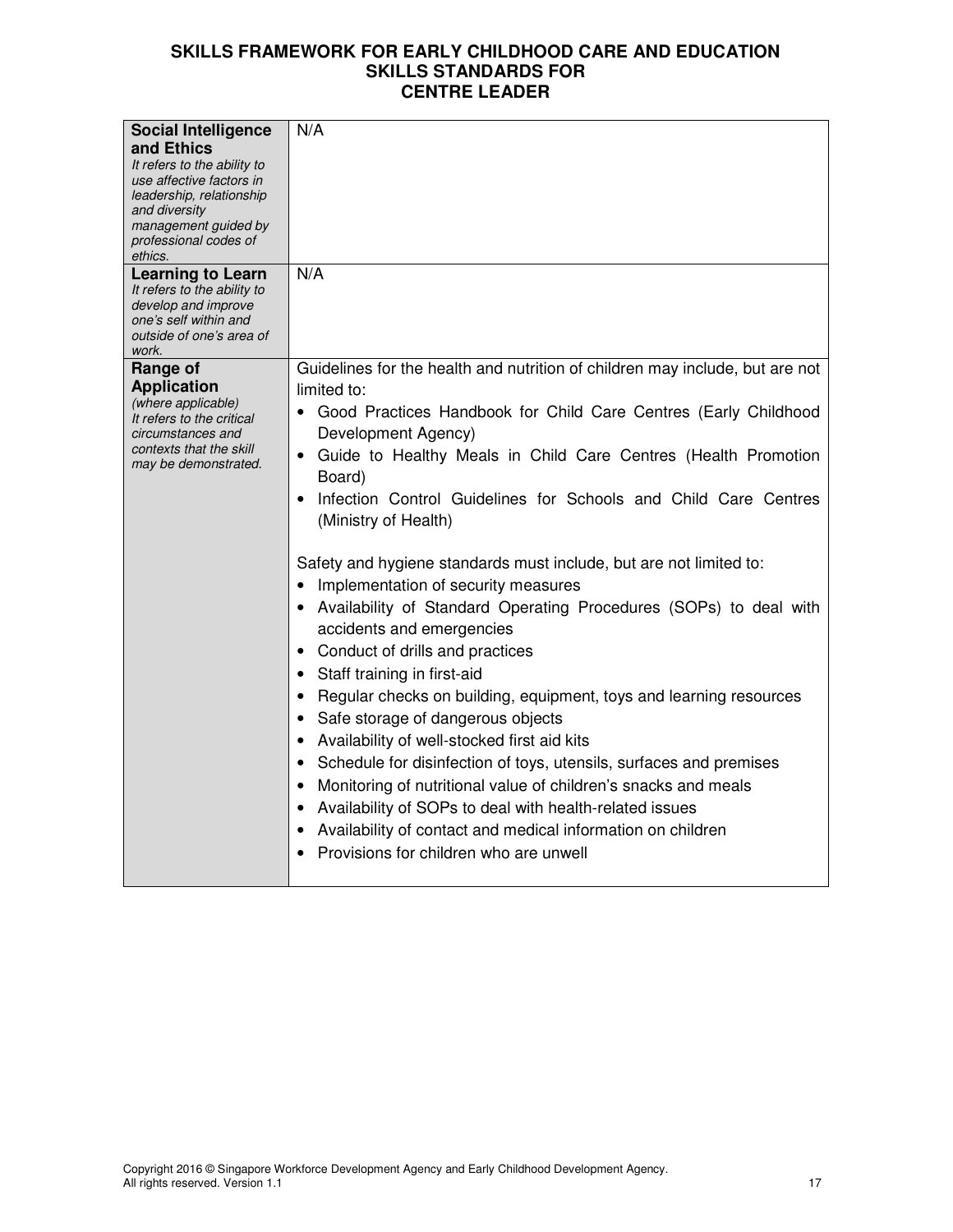| <b>Social Intelligence</b>                                                                                                                                                     | N/A                                                                                                                                                                                                                                                                                                                                                                                                                                                                                                                                                                                                                                                                                                                                                                                                                                                                                                                                                                                                                                                                                                                           |
|--------------------------------------------------------------------------------------------------------------------------------------------------------------------------------|-------------------------------------------------------------------------------------------------------------------------------------------------------------------------------------------------------------------------------------------------------------------------------------------------------------------------------------------------------------------------------------------------------------------------------------------------------------------------------------------------------------------------------------------------------------------------------------------------------------------------------------------------------------------------------------------------------------------------------------------------------------------------------------------------------------------------------------------------------------------------------------------------------------------------------------------------------------------------------------------------------------------------------------------------------------------------------------------------------------------------------|
| and Ethics<br>It refers to the ability to<br>use affective factors in<br>leadership, relationship<br>and diversity<br>management guided by<br>professional codes of<br>ethics. |                                                                                                                                                                                                                                                                                                                                                                                                                                                                                                                                                                                                                                                                                                                                                                                                                                                                                                                                                                                                                                                                                                                               |
| <b>Learning to Learn</b><br>It refers to the ability to<br>develop and improve<br>one's self within and<br>outside of one's area of<br>work.                                   | N/A                                                                                                                                                                                                                                                                                                                                                                                                                                                                                                                                                                                                                                                                                                                                                                                                                                                                                                                                                                                                                                                                                                                           |
| Range of<br><b>Application</b><br>(where applicable)<br>It refers to the critical<br>circumstances and<br>contexts that the skill<br>may be demonstrated.                      | Guidelines for the health and nutrition of children may include, but are not<br>limited to:<br>• Good Practices Handbook for Child Care Centres (Early Childhood<br>Development Agency)<br>Guide to Healthy Meals in Child Care Centres (Health Promotion<br>Board)<br>Infection Control Guidelines for Schools and Child Care Centres<br>(Ministry of Health)<br>Safety and hygiene standards must include, but are not limited to:<br>Implementation of security measures<br>• Availability of Standard Operating Procedures (SOPs) to deal with<br>accidents and emergencies<br>• Conduct of drills and practices<br>Staff training in first-aid<br>Regular checks on building, equipment, toys and learning resources<br>Safe storage of dangerous objects<br>• Availability of well-stocked first aid kits<br>• Schedule for disinfection of toys, utensils, surfaces and premises<br>Monitoring of nutritional value of children's snacks and meals<br>Availability of SOPs to deal with health-related issues<br>Availability of contact and medical information on children<br>Provisions for children who are unwell |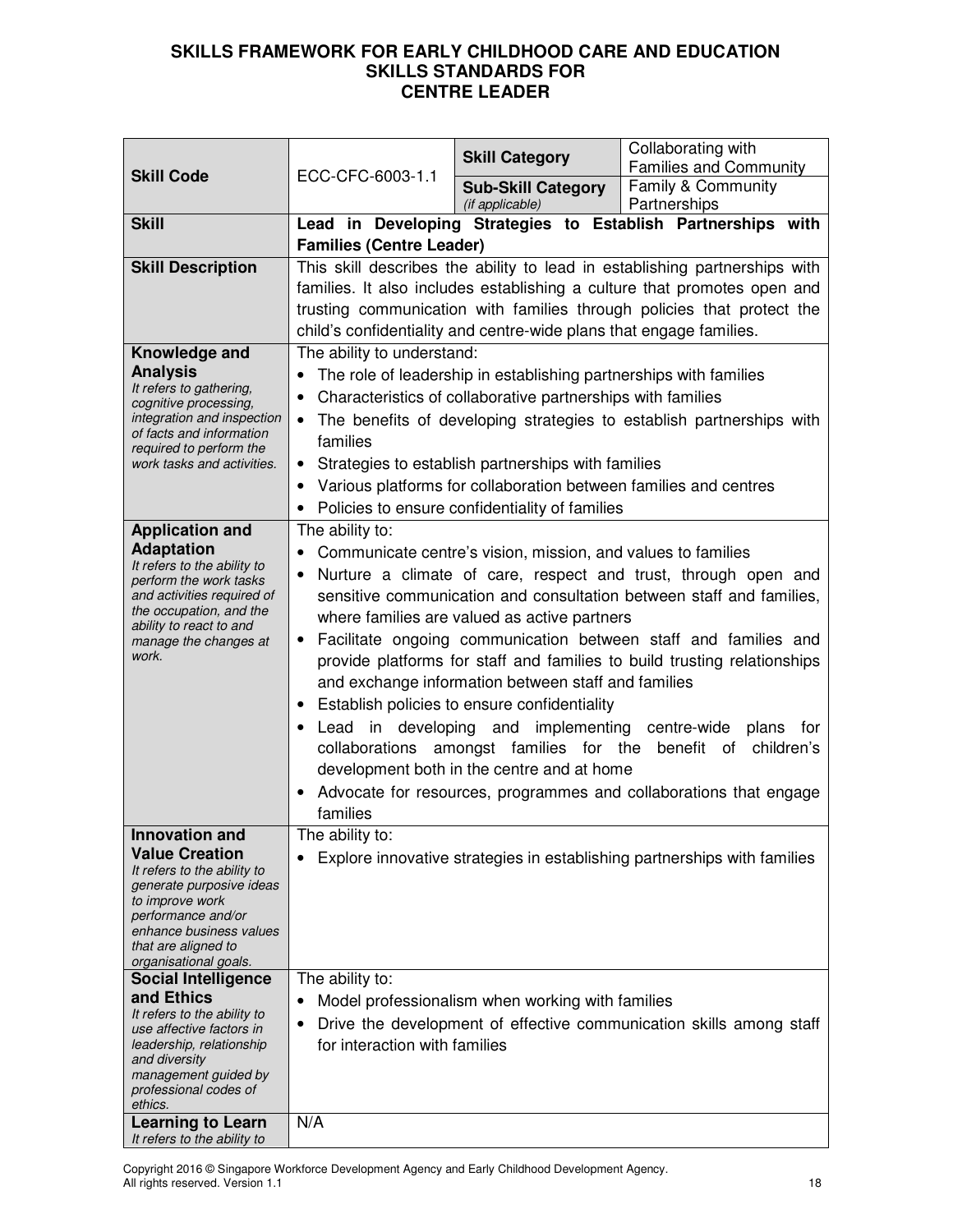|                                                                                                                                                                                                                                                             |                                                                                                                                                                                                                                                                                                                                                                                                                                                                                                                                                                                                                                                                                                                                                                                                          | <b>Skill Category</b>                            | Collaborating with<br><b>Families and Community</b>                          |
|-------------------------------------------------------------------------------------------------------------------------------------------------------------------------------------------------------------------------------------------------------------|----------------------------------------------------------------------------------------------------------------------------------------------------------------------------------------------------------------------------------------------------------------------------------------------------------------------------------------------------------------------------------------------------------------------------------------------------------------------------------------------------------------------------------------------------------------------------------------------------------------------------------------------------------------------------------------------------------------------------------------------------------------------------------------------------------|--------------------------------------------------|------------------------------------------------------------------------------|
| <b>Skill Code</b>                                                                                                                                                                                                                                           | ECC-CFC-6003-1.1                                                                                                                                                                                                                                                                                                                                                                                                                                                                                                                                                                                                                                                                                                                                                                                         | <b>Sub-Skill Category</b>                        | Family & Community                                                           |
| <b>Skill</b>                                                                                                                                                                                                                                                |                                                                                                                                                                                                                                                                                                                                                                                                                                                                                                                                                                                                                                                                                                                                                                                                          | (if applicable)                                  | Partnerships<br>Lead in Developing Strategies to Establish Partnerships with |
|                                                                                                                                                                                                                                                             | <b>Families (Centre Leader)</b>                                                                                                                                                                                                                                                                                                                                                                                                                                                                                                                                                                                                                                                                                                                                                                          |                                                  |                                                                              |
| <b>Skill Description</b>                                                                                                                                                                                                                                    | This skill describes the ability to lead in establishing partnerships with<br>families. It also includes establishing a culture that promotes open and<br>trusting communication with families through policies that protect the<br>child's confidentiality and centre-wide plans that engage families.                                                                                                                                                                                                                                                                                                                                                                                                                                                                                                  |                                                  |                                                                              |
| Knowledge and<br><b>Analysis</b><br>It refers to gathering,<br>cognitive processing,<br>integration and inspection<br>of facts and information<br>required to perform the<br>work tasks and activities.                                                     | The ability to understand:<br>The role of leadership in establishing partnerships with families<br>Characteristics of collaborative partnerships with families<br>The benefits of developing strategies to establish partnerships with<br>families<br>Strategies to establish partnerships with families<br>٠<br>Various platforms for collaboration between families and centres<br>• Policies to ensure confidentiality of families                                                                                                                                                                                                                                                                                                                                                                    |                                                  |                                                                              |
| <b>Application and</b><br><b>Adaptation</b><br>It refers to the ability to<br>perform the work tasks<br>and activities required of<br>the occupation, and the<br>ability to react to and<br>manage the changes at<br>work.                                  | The ability to:<br>Communicate centre's vision, mission, and values to families<br>Nurture a climate of care, respect and trust, through open and<br>sensitive communication and consultation between staff and families,<br>where families are valued as active partners<br>Facilitate ongoing communication between staff and families and<br>provide platforms for staff and families to build trusting relationships<br>and exchange information between staff and families<br>Establish policies to ensure confidentiality<br>Lead in developing and<br>implementing<br>centre-wide<br>plans<br>for<br>collaborations amongst families for the benefit of children's<br>development both in the centre and at home<br>Advocate for resources, programmes and collaborations that engage<br>families |                                                  |                                                                              |
| <u>innovation and</u><br><b>Value Creation</b><br>It refers to the ability to<br>generate purposive ideas<br>to improve work<br>performance and/or<br>enhance business values<br>that are aligned to<br>organisational goals.<br><b>Social Intelligence</b> | The ability to:<br>٠<br>The ability to:                                                                                                                                                                                                                                                                                                                                                                                                                                                                                                                                                                                                                                                                                                                                                                  |                                                  | Explore innovative strategies in establishing partnerships with families     |
| and Ethics<br>It refers to the ability to<br>use affective factors in<br>leadership, relationship<br>and diversity<br>management guided by<br>professional codes of<br>ethics.                                                                              | ٠<br>for interaction with families                                                                                                                                                                                                                                                                                                                                                                                                                                                                                                                                                                                                                                                                                                                                                                       | Model professionalism when working with families | Drive the development of effective communication skills among staff          |
| <b>Learning to Learn</b><br>It refers to the ability to                                                                                                                                                                                                     | N/A                                                                                                                                                                                                                                                                                                                                                                                                                                                                                                                                                                                                                                                                                                                                                                                                      |                                                  |                                                                              |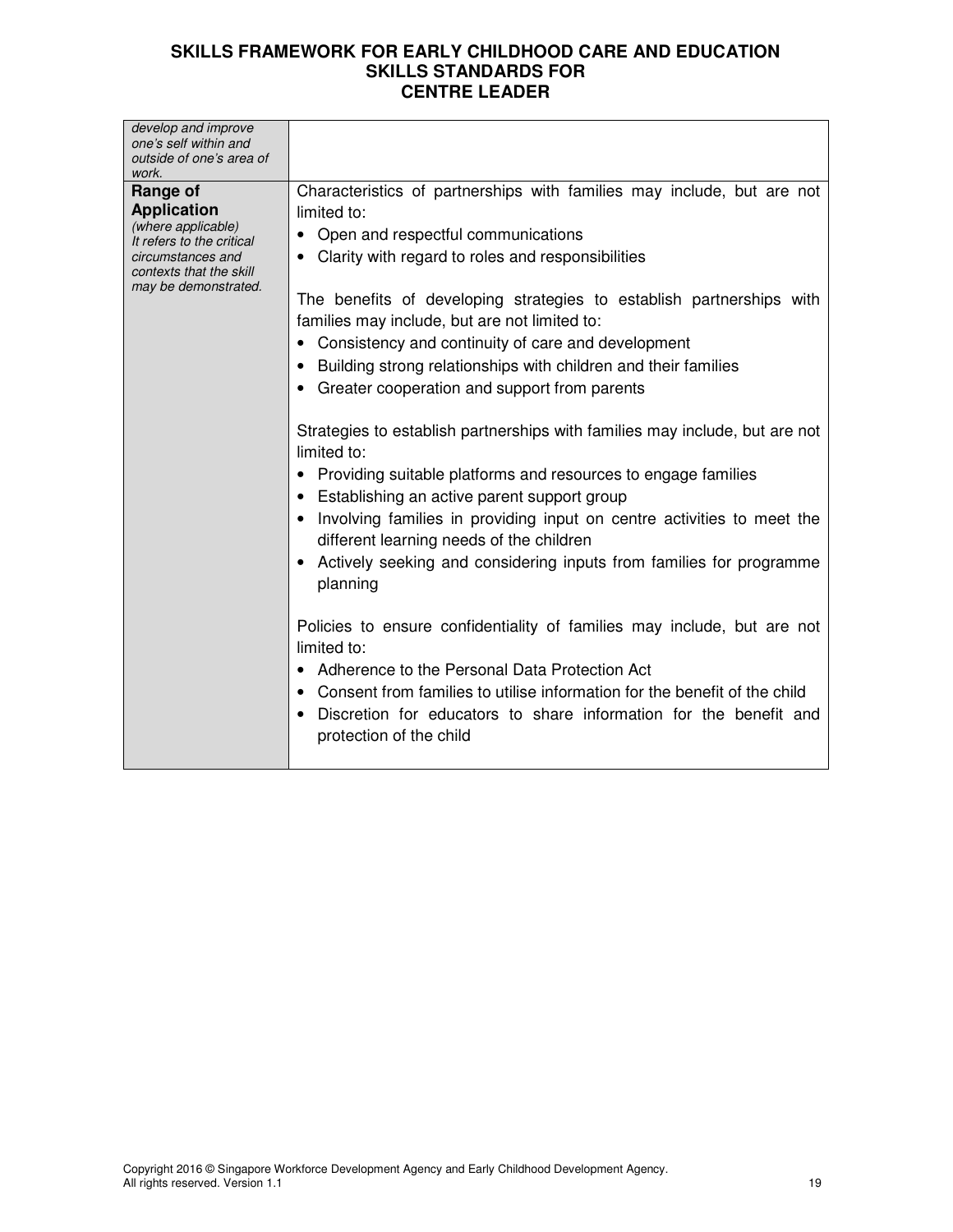| develop and improve<br>one's self within and<br>outside of one's area of<br>work.                                                                         |                                                                                                                                                                                                                                                                                                                                                                                                                                                                                                                                                                                                                                                                                                                                                                                                                                                                                                                                                                                                                                                                                                                                                                                                                                                         |
|-----------------------------------------------------------------------------------------------------------------------------------------------------------|---------------------------------------------------------------------------------------------------------------------------------------------------------------------------------------------------------------------------------------------------------------------------------------------------------------------------------------------------------------------------------------------------------------------------------------------------------------------------------------------------------------------------------------------------------------------------------------------------------------------------------------------------------------------------------------------------------------------------------------------------------------------------------------------------------------------------------------------------------------------------------------------------------------------------------------------------------------------------------------------------------------------------------------------------------------------------------------------------------------------------------------------------------------------------------------------------------------------------------------------------------|
| Range of<br><b>Application</b><br>(where applicable)<br>It refers to the critical<br>circumstances and<br>contexts that the skill<br>may be demonstrated. | Characteristics of partnerships with families may include, but are not<br>limited to:<br>Open and respectful communications<br>$\bullet$<br>Clarity with regard to roles and responsibilities<br>The benefits of developing strategies to establish partnerships with<br>families may include, but are not limited to:<br>• Consistency and continuity of care and development<br>• Building strong relationships with children and their families<br>• Greater cooperation and support from parents<br>Strategies to establish partnerships with families may include, but are not<br>limited to:<br>• Providing suitable platforms and resources to engage families<br>• Establishing an active parent support group<br>Involving families in providing input on centre activities to meet the<br>different learning needs of the children<br>Actively seeking and considering inputs from families for programme<br>planning<br>Policies to ensure confidentiality of families may include, but are not<br>limited to:<br>Adherence to the Personal Data Protection Act<br>Consent from families to utilise information for the benefit of the child<br>Discretion for educators to share information for the benefit and<br>protection of the child |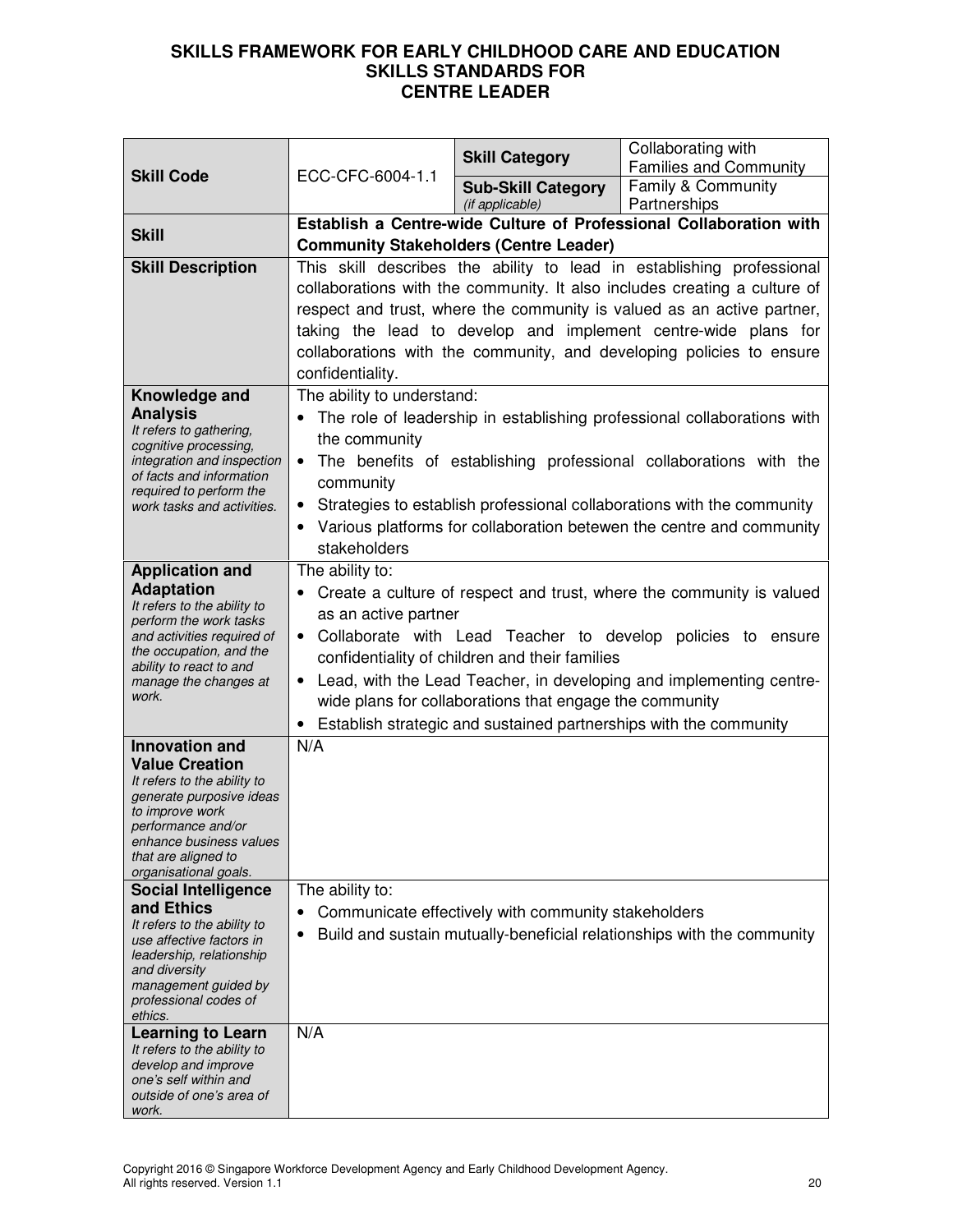| <b>Skill Code</b>                                                                                                                                                                                                          | ECC-CFC-6004-1.1                                                                                                                                                                                                                                                                                                                                                                                                                                         | <b>Skill Category</b>                               | Collaborating with<br><b>Families and Community</b>                                                                                                                                                                                                                                              |
|----------------------------------------------------------------------------------------------------------------------------------------------------------------------------------------------------------------------------|----------------------------------------------------------------------------------------------------------------------------------------------------------------------------------------------------------------------------------------------------------------------------------------------------------------------------------------------------------------------------------------------------------------------------------------------------------|-----------------------------------------------------|--------------------------------------------------------------------------------------------------------------------------------------------------------------------------------------------------------------------------------------------------------------------------------------------------|
|                                                                                                                                                                                                                            |                                                                                                                                                                                                                                                                                                                                                                                                                                                          | <b>Sub-Skill Category</b><br>(if applicable)        | Family & Community<br>Partnerships                                                                                                                                                                                                                                                               |
|                                                                                                                                                                                                                            | Establish a Centre-wide Culture of Professional Collaboration with                                                                                                                                                                                                                                                                                                                                                                                       |                                                     |                                                                                                                                                                                                                                                                                                  |
| <b>Skill</b>                                                                                                                                                                                                               |                                                                                                                                                                                                                                                                                                                                                                                                                                                          | <b>Community Stakeholders (Centre Leader)</b>       |                                                                                                                                                                                                                                                                                                  |
| <b>Skill Description</b>                                                                                                                                                                                                   | This skill describes the ability to lead in establishing professional<br>collaborations with the community. It also includes creating a culture of<br>respect and trust, where the community is valued as an active partner,<br>taking the lead to develop and implement centre-wide plans for<br>collaborations with the community, and developing policies to ensure                                                                                   |                                                     |                                                                                                                                                                                                                                                                                                  |
|                                                                                                                                                                                                                            | confidentiality.                                                                                                                                                                                                                                                                                                                                                                                                                                         |                                                     |                                                                                                                                                                                                                                                                                                  |
| Knowledge and<br><b>Analysis</b><br>It refers to gathering,<br>cognitive processing,<br>integration and inspection<br>of facts and information<br>required to perform the<br>work tasks and activities.                    | The ability to understand:<br>the community<br>$\bullet$<br>community<br>stakeholders                                                                                                                                                                                                                                                                                                                                                                    |                                                     | The role of leadership in establishing professional collaborations with<br>The benefits of establishing professional collaborations with the<br>• Strategies to establish professional collaborations with the community<br>Various platforms for collaboration betewen the centre and community |
| <b>Application and</b><br><b>Adaptation</b><br>It refers to the ability to<br>perform the work tasks<br>and activities required of<br>the occupation, and the<br>ability to react to and<br>manage the changes at<br>work. | The ability to:<br>Create a culture of respect and trust, where the community is valued<br>as an active partner<br>• Collaborate with Lead Teacher to develop policies to ensure<br>confidentiality of children and their families<br>Lead, with the Lead Teacher, in developing and implementing centre-<br>$\bullet$<br>wide plans for collaborations that engage the community<br>• Establish strategic and sustained partnerships with the community |                                                     |                                                                                                                                                                                                                                                                                                  |
| <b>Innovation and</b>                                                                                                                                                                                                      | N/A                                                                                                                                                                                                                                                                                                                                                                                                                                                      |                                                     |                                                                                                                                                                                                                                                                                                  |
| <b>Value Creation</b><br>It refers to the ability to<br>generate purposive ideas<br>to improve work<br>performance and/or<br>enhance business values<br>that are aligned to<br>organisational goals.                       |                                                                                                                                                                                                                                                                                                                                                                                                                                                          |                                                     |                                                                                                                                                                                                                                                                                                  |
| <b>Social Intelligence</b>                                                                                                                                                                                                 | The ability to:                                                                                                                                                                                                                                                                                                                                                                                                                                          |                                                     |                                                                                                                                                                                                                                                                                                  |
| and Ethics<br>It refers to the ability to<br>use affective factors in<br>leadership, relationship<br>and diversity<br>management guided by<br>professional codes of<br>ethics.                                             | $\bullet$<br>$\bullet$                                                                                                                                                                                                                                                                                                                                                                                                                                   | Communicate effectively with community stakeholders | Build and sustain mutually-beneficial relationships with the community                                                                                                                                                                                                                           |
| <b>Learning to Learn</b>                                                                                                                                                                                                   | N/A                                                                                                                                                                                                                                                                                                                                                                                                                                                      |                                                     |                                                                                                                                                                                                                                                                                                  |
| It refers to the ability to<br>develop and improve<br>one's self within and<br>outside of one's area of<br>work.                                                                                                           |                                                                                                                                                                                                                                                                                                                                                                                                                                                          |                                                     |                                                                                                                                                                                                                                                                                                  |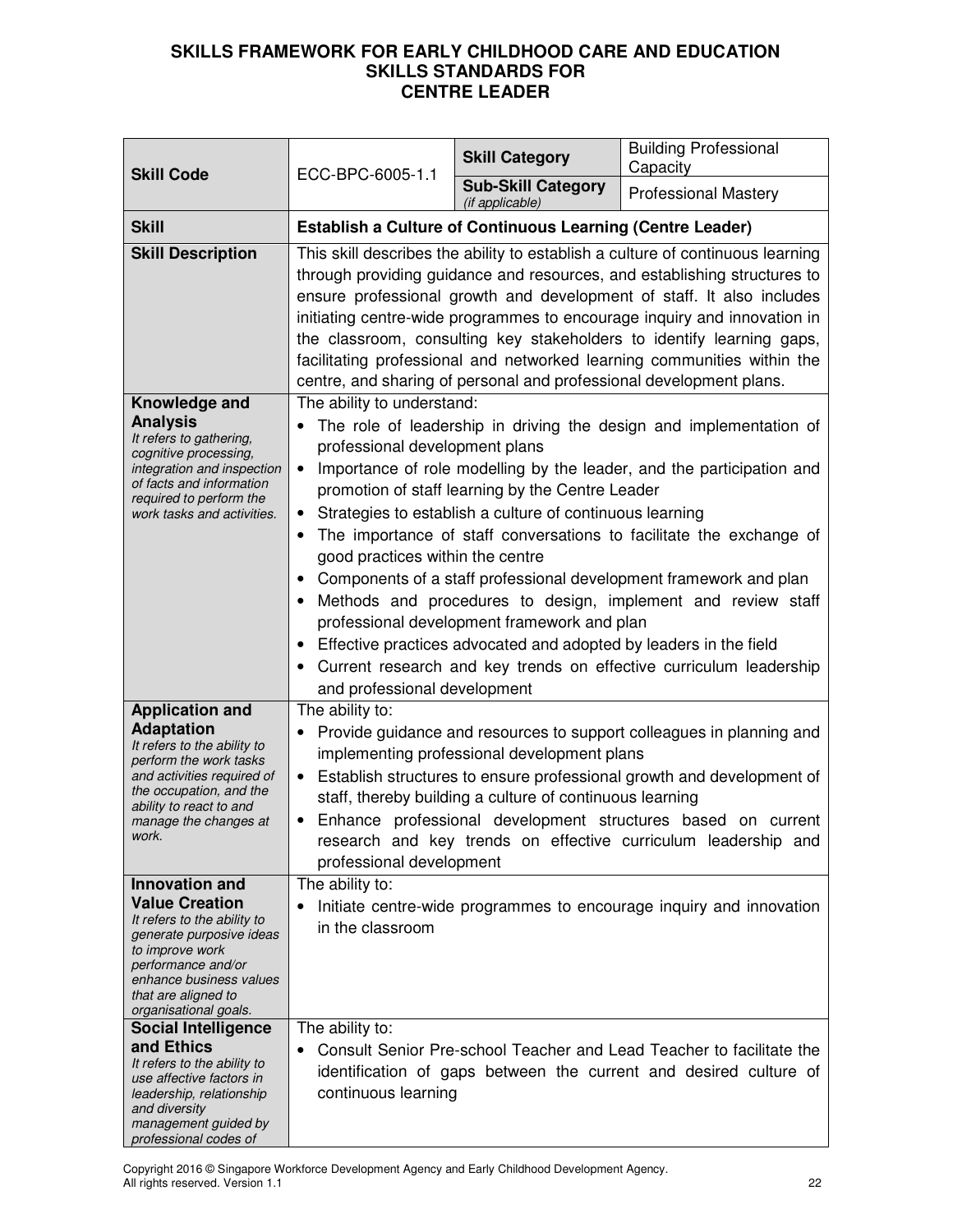| <b>Skill Code</b>                                                                                                                                                                                                                                    | ECC-BPC-6005-1.1                                                                                                                                                                                               | <b>Skill Category</b>                                                                                                                                                                                                            | <b>Building Professional</b><br>Capacity                                                                                                                                                                                                                                                                                                                                                                                                                                                                                                                                                                                                                                                                                                                                                                                                                                                                                                                                    |
|------------------------------------------------------------------------------------------------------------------------------------------------------------------------------------------------------------------------------------------------------|----------------------------------------------------------------------------------------------------------------------------------------------------------------------------------------------------------------|----------------------------------------------------------------------------------------------------------------------------------------------------------------------------------------------------------------------------------|-----------------------------------------------------------------------------------------------------------------------------------------------------------------------------------------------------------------------------------------------------------------------------------------------------------------------------------------------------------------------------------------------------------------------------------------------------------------------------------------------------------------------------------------------------------------------------------------------------------------------------------------------------------------------------------------------------------------------------------------------------------------------------------------------------------------------------------------------------------------------------------------------------------------------------------------------------------------------------|
|                                                                                                                                                                                                                                                      |                                                                                                                                                                                                                | <b>Sub-Skill Category</b><br>(if applicable)                                                                                                                                                                                     | <b>Professional Mastery</b>                                                                                                                                                                                                                                                                                                                                                                                                                                                                                                                                                                                                                                                                                                                                                                                                                                                                                                                                                 |
| <b>Skill</b>                                                                                                                                                                                                                                         | <b>Establish a Culture of Continuous Learning (Centre Leader)</b>                                                                                                                                              |                                                                                                                                                                                                                                  |                                                                                                                                                                                                                                                                                                                                                                                                                                                                                                                                                                                                                                                                                                                                                                                                                                                                                                                                                                             |
| <b>Skill Description</b><br>Knowledge and<br><b>Analysis</b><br>It refers to gathering,<br>cognitive processing,<br>integration and inspection<br>of facts and information<br>required to perform the<br>work tasks and activities.                  | The ability to understand:<br>professional development plans<br>$\bullet$<br>$\bullet$<br>$\bullet$<br>good practices within the centre<br>$\bullet$<br>$\bullet$<br>$\bullet$<br>and professional development | promotion of staff learning by the Centre Leader<br>Strategies to establish a culture of continuous learning<br>professional development framework and plan<br>Effective practices advocated and adopted by leaders in the field | This skill describes the ability to establish a culture of continuous learning<br>through providing guidance and resources, and establishing structures to<br>ensure professional growth and development of staff. It also includes<br>initiating centre-wide programmes to encourage inquiry and innovation in<br>the classroom, consulting key stakeholders to identify learning gaps,<br>facilitating professional and networked learning communities within the<br>centre, and sharing of personal and professional development plans.<br>The role of leadership in driving the design and implementation of<br>Importance of role modelling by the leader, and the participation and<br>The importance of staff conversations to facilitate the exchange of<br>Components of a staff professional development framework and plan<br>Methods and procedures to design, implement and review staff<br>Current research and key trends on effective curriculum leadership |
| <b>Application and</b><br><b>Adaptation</b><br>It refers to the ability to<br>perform the work tasks<br>and activities required of<br>the occupation, and the<br>ability to react to and<br>manage the changes at<br>work.                           | The ability to:<br>$\bullet$<br>$\bullet$<br>professional development                                                                                                                                          | implementing professional development plans<br>staff, thereby building a culture of continuous learning                                                                                                                          | Provide guidance and resources to support colleagues in planning and<br>Establish structures to ensure professional growth and development of<br>Enhance professional development structures based on current<br>research and key trends on effective curriculum leadership and                                                                                                                                                                                                                                                                                                                                                                                                                                                                                                                                                                                                                                                                                             |
| Innovation and<br><b>Value Creation</b><br>It refers to the ability to<br>generate purposive ideas<br>to improve work<br>performance and/or<br>enhance business values<br>that are aligned to<br>organisational goals.<br><b>Social Intelligence</b> | The ability to:<br>$\bullet$<br>in the classroom<br>The ability to:                                                                                                                                            |                                                                                                                                                                                                                                  | Initiate centre-wide programmes to encourage inquiry and innovation                                                                                                                                                                                                                                                                                                                                                                                                                                                                                                                                                                                                                                                                                                                                                                                                                                                                                                         |
| and Ethics<br>It refers to the ability to<br>use affective factors in<br>leadership, relationship<br>and diversity<br>management guided by<br>professional codes of                                                                                  | continuous learning                                                                                                                                                                                            |                                                                                                                                                                                                                                  | Consult Senior Pre-school Teacher and Lead Teacher to facilitate the<br>identification of gaps between the current and desired culture of                                                                                                                                                                                                                                                                                                                                                                                                                                                                                                                                                                                                                                                                                                                                                                                                                                   |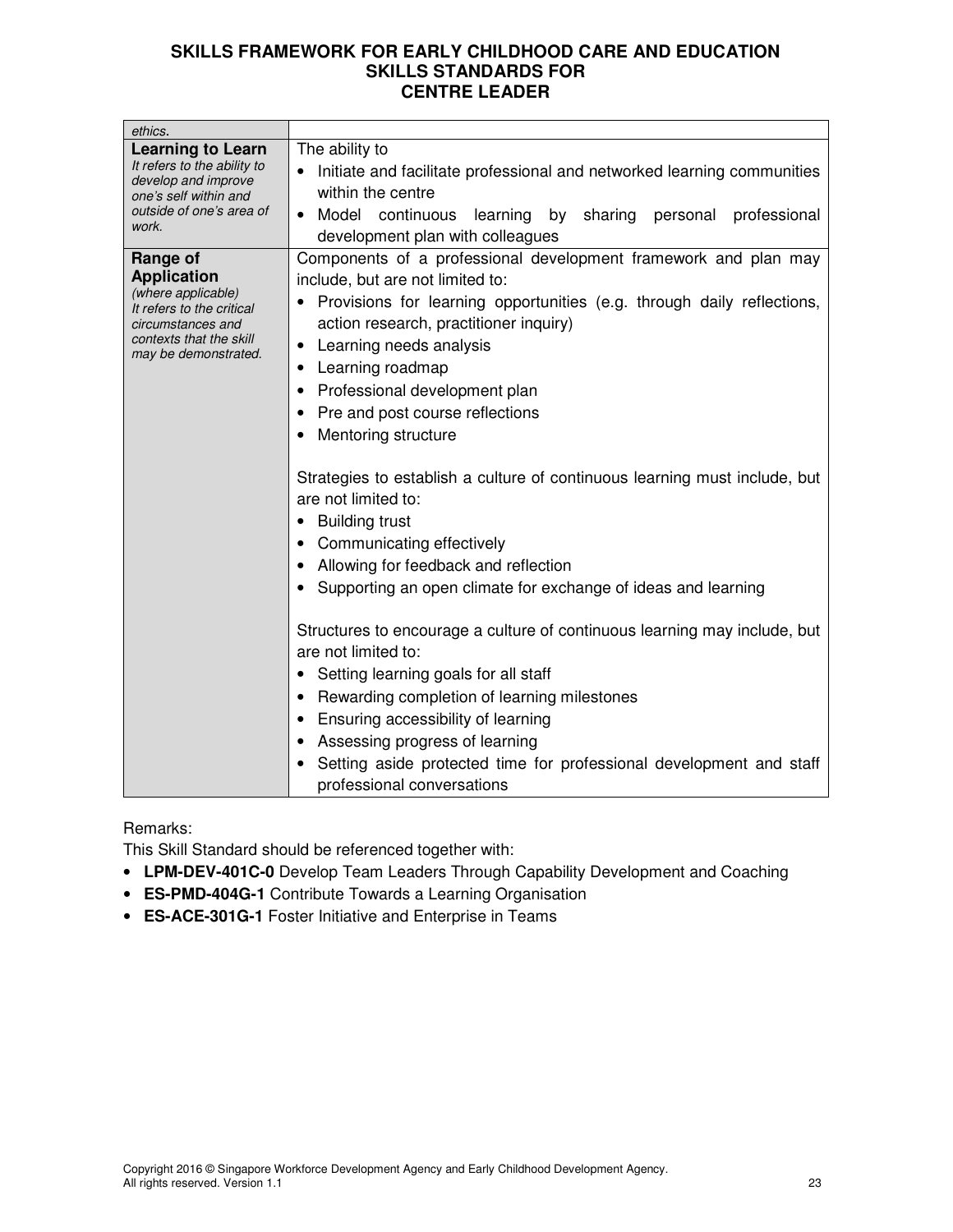| ethics.                                                                                                                                                   |                                                                                                                                                                                                                                                                                                                                                                                                                                                                                                                                                                                                                                                                                                                                                                                                                                                                                                                                                                                                                    |
|-----------------------------------------------------------------------------------------------------------------------------------------------------------|--------------------------------------------------------------------------------------------------------------------------------------------------------------------------------------------------------------------------------------------------------------------------------------------------------------------------------------------------------------------------------------------------------------------------------------------------------------------------------------------------------------------------------------------------------------------------------------------------------------------------------------------------------------------------------------------------------------------------------------------------------------------------------------------------------------------------------------------------------------------------------------------------------------------------------------------------------------------------------------------------------------------|
| <b>Learning to Learn</b><br>It refers to the ability to<br>develop and improve<br>one's self within and<br>outside of one's area of<br>work.              | The ability to<br>Initiate and facilitate professional and networked learning communities<br>within the centre<br>Model continuous learning by sharing personal<br>professional<br>development plan with colleagues                                                                                                                                                                                                                                                                                                                                                                                                                                                                                                                                                                                                                                                                                                                                                                                                |
| Range of<br><b>Application</b><br>(where applicable)<br>It refers to the critical<br>circumstances and<br>contexts that the skill<br>may be demonstrated. | Components of a professional development framework and plan may<br>include, but are not limited to:<br>Provisions for learning opportunities (e.g. through daily reflections,<br>action research, practitioner inquiry)<br>Learning needs analysis<br>٠<br>Learning roadmap<br>Professional development plan<br>Pre and post course reflections<br>Mentoring structure<br>Strategies to establish a culture of continuous learning must include, but<br>are not limited to:<br><b>Building trust</b><br>Communicating effectively<br>Allowing for feedback and reflection<br>Supporting an open climate for exchange of ideas and learning<br>Structures to encourage a culture of continuous learning may include, but<br>are not limited to:<br>Setting learning goals for all staff<br>Rewarding completion of learning milestones<br>Ensuring accessibility of learning<br>Assessing progress of learning<br>Setting aside protected time for professional development and staff<br>professional conversations |

Remarks:

This Skill Standard should be referenced together with:

- **LPM-DEV-401C-0** Develop Team Leaders Through Capability Development and Coaching
- **ES-PMD-404G-1** Contribute Towards a Learning Organisation
- **ES-ACE-301G-1** Foster Initiative and Enterprise in Teams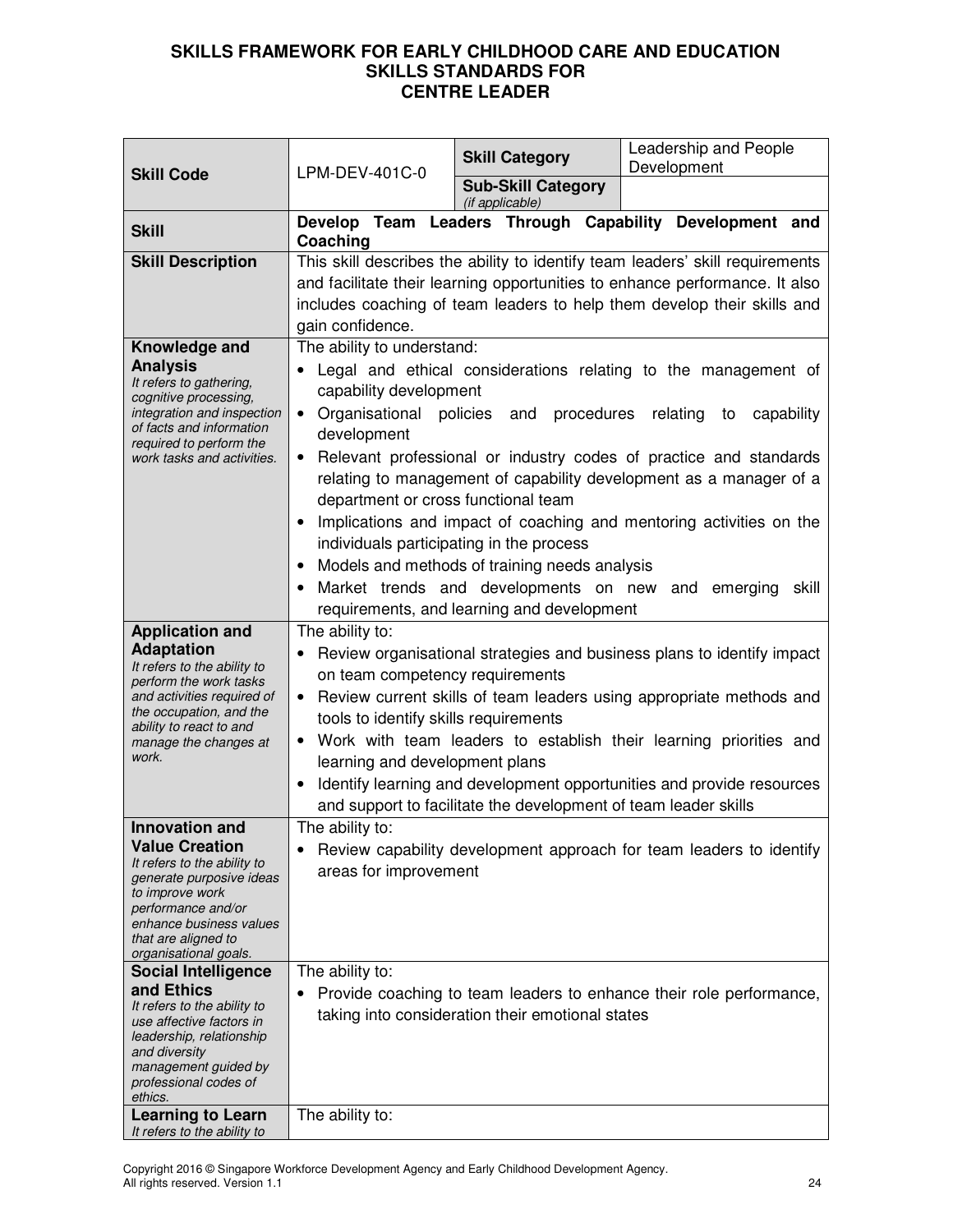| <b>Skill Code</b>                                                                                                                                                                                                             | LPM-DEV-401C-0                                                                                                                                                                                                                                                                                                                                                                                                                                                                                                                                                                                                                                                                                    | <b>Skill Category</b>                            | Leadership and People<br>Development                                                                                                                                                                                                    |
|-------------------------------------------------------------------------------------------------------------------------------------------------------------------------------------------------------------------------------|---------------------------------------------------------------------------------------------------------------------------------------------------------------------------------------------------------------------------------------------------------------------------------------------------------------------------------------------------------------------------------------------------------------------------------------------------------------------------------------------------------------------------------------------------------------------------------------------------------------------------------------------------------------------------------------------------|--------------------------------------------------|-----------------------------------------------------------------------------------------------------------------------------------------------------------------------------------------------------------------------------------------|
|                                                                                                                                                                                                                               |                                                                                                                                                                                                                                                                                                                                                                                                                                                                                                                                                                                                                                                                                                   | <b>Sub-Skill Category</b><br>(if applicable)     |                                                                                                                                                                                                                                         |
| <b>Skill</b>                                                                                                                                                                                                                  | Coaching                                                                                                                                                                                                                                                                                                                                                                                                                                                                                                                                                                                                                                                                                          |                                                  | Develop Team Leaders Through Capability Development and                                                                                                                                                                                 |
| <b>Skill Description</b>                                                                                                                                                                                                      | gain confidence.                                                                                                                                                                                                                                                                                                                                                                                                                                                                                                                                                                                                                                                                                  |                                                  | This skill describes the ability to identify team leaders' skill requirements<br>and facilitate their learning opportunities to enhance performance. It also<br>includes coaching of team leaders to help them develop their skills and |
| Knowledge and<br><b>Analysis</b><br>It refers to gathering,<br>cognitive processing,<br>integration and inspection<br>of facts and information<br>required to perform the<br>work tasks and activities.                       | The ability to understand:<br>Legal and ethical considerations relating to the management of<br>capability development<br>Organisational policies and procedures relating to<br>capability<br>$\bullet$<br>development<br>Relevant professional or industry codes of practice and standards<br>٠<br>relating to management of capability development as a manager of a<br>department or cross functional team<br>Implications and impact of coaching and mentoring activities on the<br>individuals participating in the process<br>Models and methods of training needs analysis<br>Market trends and developments on new and<br>emerging<br>skill<br>requirements, and learning and development |                                                  |                                                                                                                                                                                                                                         |
| <b>Application and</b><br><b>Adaptation</b><br>It refers to the ability to<br>perform the work tasks<br>and activities required of<br>the occupation, and the<br>ability to react to and<br>manage the changes at<br>work.    | The ability to:<br>Review organisational strategies and business plans to identify impact<br>$\bullet$<br>on team competency requirements<br>Review current skills of team leaders using appropriate methods and<br>tools to identify skills requirements<br>Work with team leaders to establish their learning priorities and<br>learning and development plans<br>Identify learning and development opportunities and provide resources<br>and support to facilitate the development of team leader skills                                                                                                                                                                                      |                                                  |                                                                                                                                                                                                                                         |
| <b>Innovation and</b><br><b>Value Creation</b><br>It refers to the ability to<br>generate purposive ideas<br>to improve work<br>performance and/or<br>enhance business values<br>that are aligned to<br>organisational goals. | The ability to:<br>areas for improvement                                                                                                                                                                                                                                                                                                                                                                                                                                                                                                                                                                                                                                                          |                                                  | Review capability development approach for team leaders to identify                                                                                                                                                                     |
| <b>Social Intelligence</b><br>and Ethics<br>It refers to the ability to<br>use affective factors in<br>leadership, relationship<br>and diversity<br>management guided by<br>professional codes of<br>ethics.                  | The ability to:                                                                                                                                                                                                                                                                                                                                                                                                                                                                                                                                                                                                                                                                                   | taking into consideration their emotional states | Provide coaching to team leaders to enhance their role performance,                                                                                                                                                                     |
| <b>Learning to Learn</b><br>It refers to the ability to                                                                                                                                                                       | The ability to:                                                                                                                                                                                                                                                                                                                                                                                                                                                                                                                                                                                                                                                                                   |                                                  |                                                                                                                                                                                                                                         |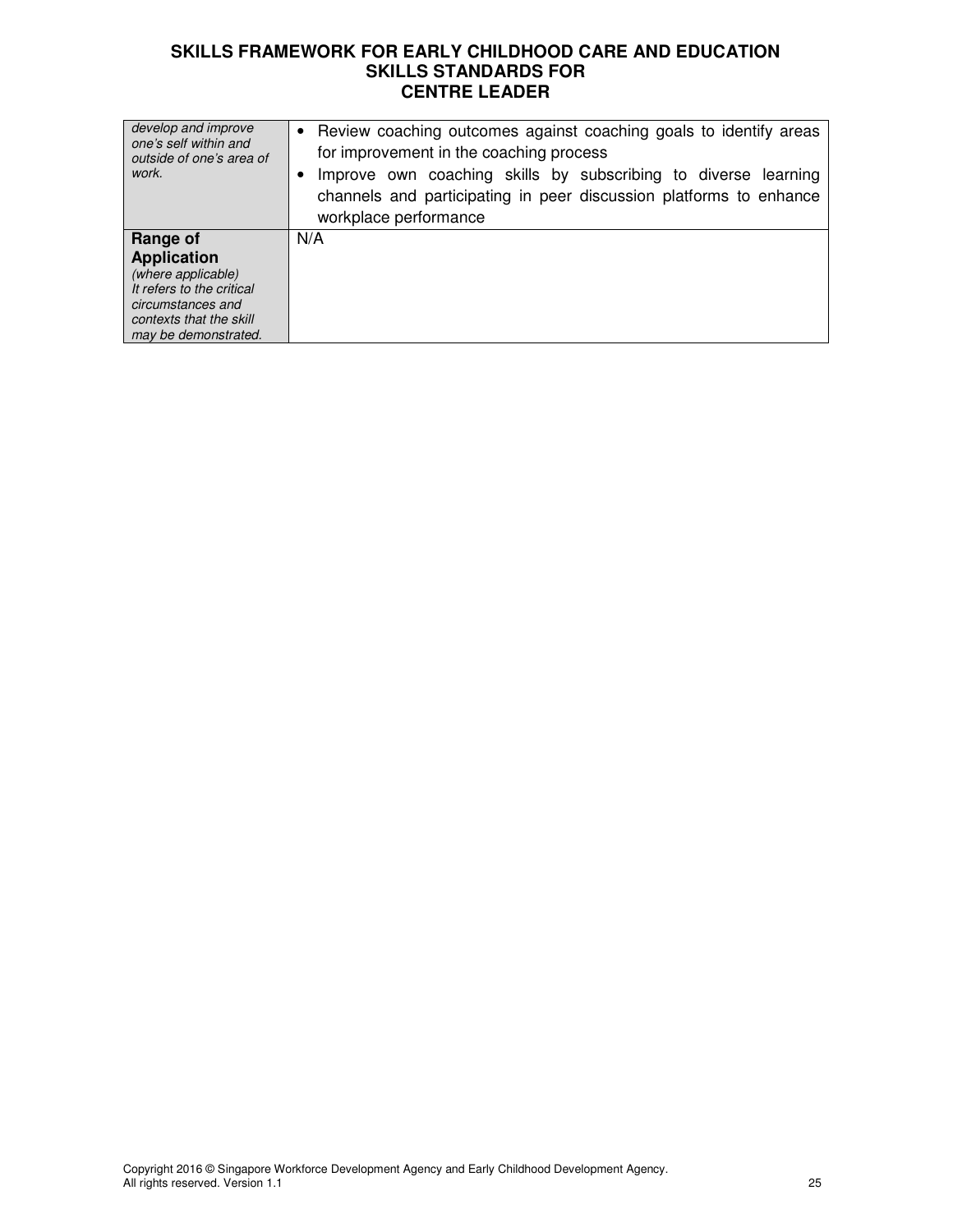| develop and improve<br>one's self within and<br>outside of one's area of<br>work.                                                                         | • Review coaching outcomes against coaching goals to identify areas<br>for improvement in the coaching process<br>Improve own coaching skills by subscribing to diverse learning<br>channels and participating in peer discussion platforms to enhance<br>workplace performance |
|-----------------------------------------------------------------------------------------------------------------------------------------------------------|---------------------------------------------------------------------------------------------------------------------------------------------------------------------------------------------------------------------------------------------------------------------------------|
| Range of<br><b>Application</b><br>(where applicable)<br>It refers to the critical<br>circumstances and<br>contexts that the skill<br>may be demonstrated. | N/A                                                                                                                                                                                                                                                                             |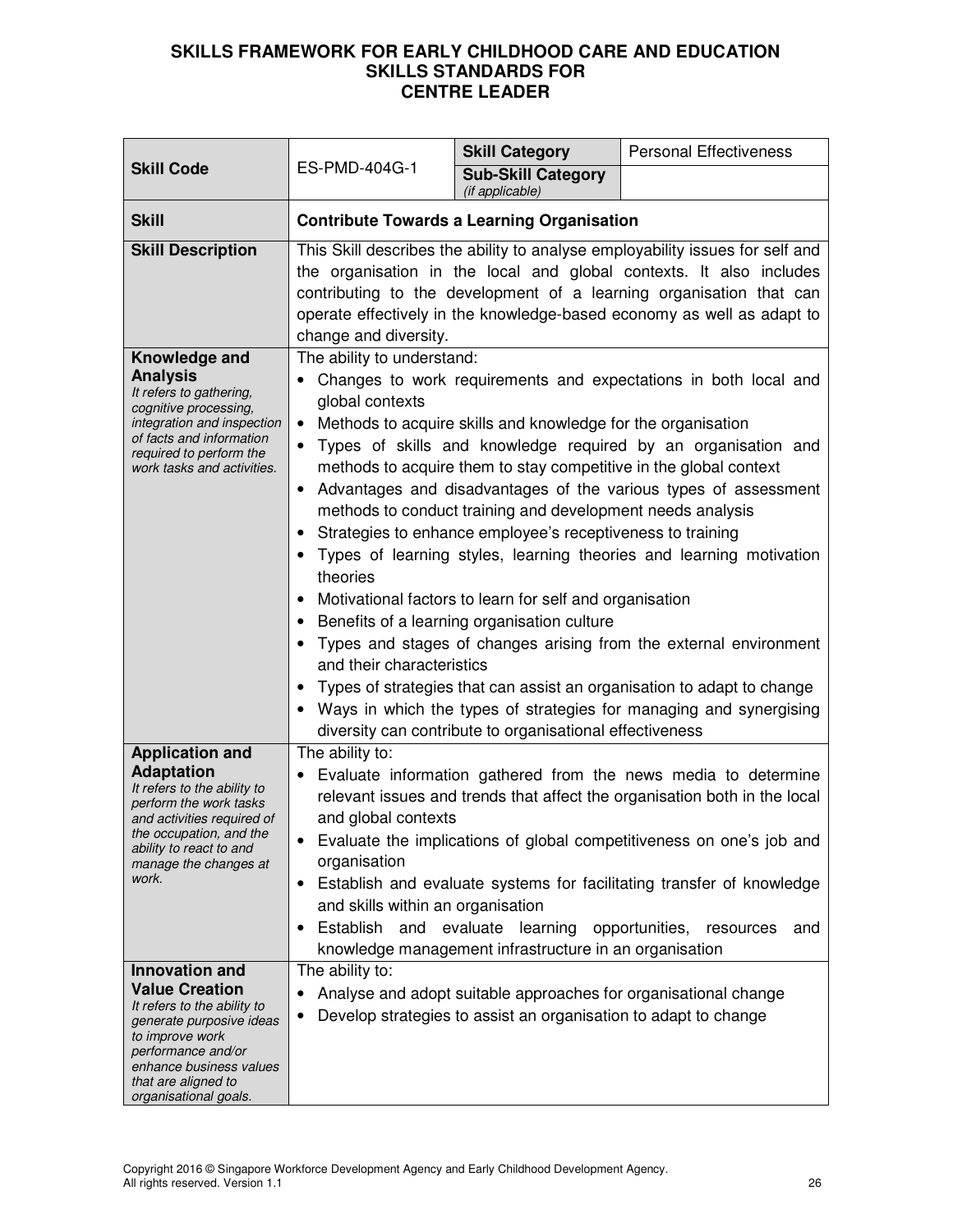|                                                                                                                                                                                                                                                                                                                                                                                                                             |                                                                                                                                                                                                                                                                                                                                                                                                                                                                                                                                                                                                                                                                                                                                                                                                                                                                                                                                                                                                                                                                                                                                                                                                                                                                                                                                                                                              | <b>Skill Category</b>                                                                                                                              | <b>Personal Effectiveness</b>                                                                                                                                                                                                                                                                                                                                                                         |
|-----------------------------------------------------------------------------------------------------------------------------------------------------------------------------------------------------------------------------------------------------------------------------------------------------------------------------------------------------------------------------------------------------------------------------|----------------------------------------------------------------------------------------------------------------------------------------------------------------------------------------------------------------------------------------------------------------------------------------------------------------------------------------------------------------------------------------------------------------------------------------------------------------------------------------------------------------------------------------------------------------------------------------------------------------------------------------------------------------------------------------------------------------------------------------------------------------------------------------------------------------------------------------------------------------------------------------------------------------------------------------------------------------------------------------------------------------------------------------------------------------------------------------------------------------------------------------------------------------------------------------------------------------------------------------------------------------------------------------------------------------------------------------------------------------------------------------------|----------------------------------------------------------------------------------------------------------------------------------------------------|-------------------------------------------------------------------------------------------------------------------------------------------------------------------------------------------------------------------------------------------------------------------------------------------------------------------------------------------------------------------------------------------------------|
| <b>Skill Code</b>                                                                                                                                                                                                                                                                                                                                                                                                           | ES-PMD-404G-1                                                                                                                                                                                                                                                                                                                                                                                                                                                                                                                                                                                                                                                                                                                                                                                                                                                                                                                                                                                                                                                                                                                                                                                                                                                                                                                                                                                | <b>Sub-Skill Category</b><br>(if applicable)                                                                                                       |                                                                                                                                                                                                                                                                                                                                                                                                       |
| <b>Skill</b>                                                                                                                                                                                                                                                                                                                                                                                                                | <b>Contribute Towards a Learning Organisation</b>                                                                                                                                                                                                                                                                                                                                                                                                                                                                                                                                                                                                                                                                                                                                                                                                                                                                                                                                                                                                                                                                                                                                                                                                                                                                                                                                            |                                                                                                                                                    |                                                                                                                                                                                                                                                                                                                                                                                                       |
| <b>Skill Description</b><br>Knowledge and<br><b>Analysis</b><br>It refers to gathering,<br>cognitive processing,<br>integration and inspection<br>of facts and information<br>required to perform the<br>work tasks and activities.                                                                                                                                                                                         | This Skill describes the ability to analyse employability issues for self and<br>the organisation in the local and global contexts. It also includes<br>contributing to the development of a learning organisation that can<br>operate effectively in the knowledge-based economy as well as adapt to<br>change and diversity.<br>The ability to understand:<br>Changes to work requirements and expectations in both local and<br>global contexts<br>Methods to acquire skills and knowledge for the organisation<br>$\bullet$<br>Types of skills and knowledge required by an organisation and<br>methods to acquire them to stay competitive in the global context<br>Advantages and disadvantages of the various types of assessment<br>methods to conduct training and development needs analysis<br>Strategies to enhance employee's receptiveness to training<br>Types of learning styles, learning theories and learning motivation<br>theories<br>Motivational factors to learn for self and organisation<br>$\bullet$<br>Benefits of a learning organisation culture<br>Types and stages of changes arising from the external environment<br>and their characteristics<br>Types of strategies that can assist an organisation to adapt to change<br>Ways in which the types of strategies for managing and synergising<br>diversity can contribute to organisational effectiveness |                                                                                                                                                    |                                                                                                                                                                                                                                                                                                                                                                                                       |
| <b>Application and</b><br><b>Adaptation</b><br>It refers to the ability to<br>perform the work tasks<br>and activities required of<br>the occupation, and the<br>ability to react to and<br>manage the changes at<br>work.<br>Innovation and<br><b>Value Creation</b><br>It refers to the ability to<br>generate purposive ideas<br>to improve work<br>performance and/or<br>enhance business values<br>that are aligned to | The ability to:<br>and global contexts<br>organisation<br>and skills within an organisation<br>Establish<br>The ability to:                                                                                                                                                                                                                                                                                                                                                                                                                                                                                                                                                                                                                                                                                                                                                                                                                                                                                                                                                                                                                                                                                                                                                                                                                                                                  | and evaluate learning<br>knowledge management infrastructure in an organisation<br>Develop strategies to assist an organisation to adapt to change | Evaluate information gathered from the news media to determine<br>relevant issues and trends that affect the organisation both in the local<br>Evaluate the implications of global competitiveness on one's job and<br>Establish and evaluate systems for facilitating transfer of knowledge<br>opportunities,<br>resources<br>and<br>Analyse and adopt suitable approaches for organisational change |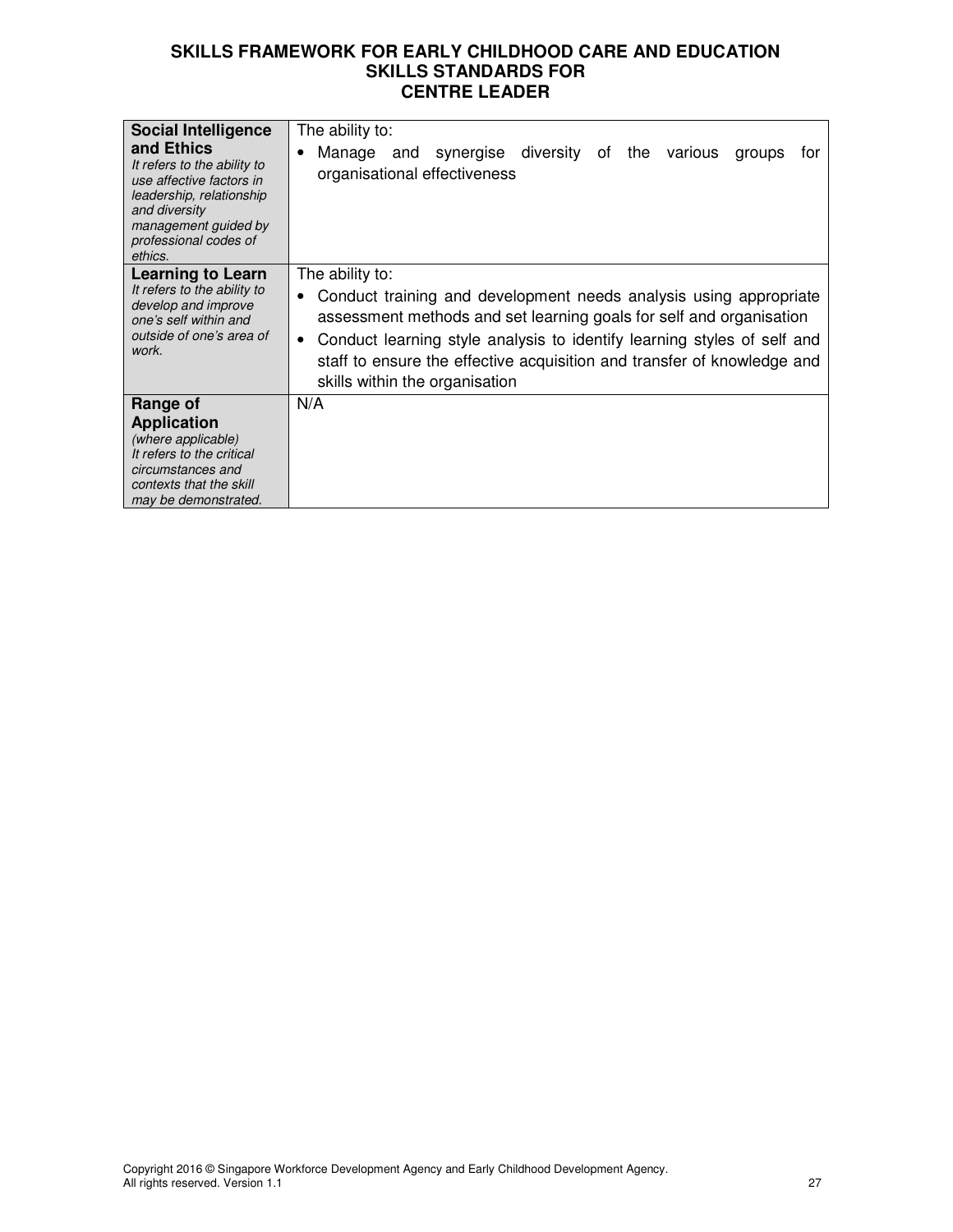| <b>Social Intelligence</b>                                                                                                                                                     | The ability to:                                                                                                                                                                                                                                                                                                                                               |
|--------------------------------------------------------------------------------------------------------------------------------------------------------------------------------|---------------------------------------------------------------------------------------------------------------------------------------------------------------------------------------------------------------------------------------------------------------------------------------------------------------------------------------------------------------|
| and Ethics<br>It refers to the ability to<br>use affective factors in<br>leadership, relationship<br>and diversity<br>management guided by<br>professional codes of<br>ethics. | Manage and synergise diversity of the various<br>tor<br>groups<br>٠<br>organisational effectiveness                                                                                                                                                                                                                                                           |
| Learning to Learn<br>It refers to the ability to<br>develop and improve<br>one's self within and<br>outside of one's area of<br>work.                                          | The ability to:<br>Conduct training and development needs analysis using appropriate<br>٠<br>assessment methods and set learning goals for self and organisation<br>Conduct learning style analysis to identify learning styles of self and<br>٠<br>staff to ensure the effective acquisition and transfer of knowledge and<br>skills within the organisation |
| Range of<br><b>Application</b><br>(where applicable)<br>It refers to the critical<br>circumstances and<br>contexts that the skill<br>may be demonstrated.                      | N/A                                                                                                                                                                                                                                                                                                                                                           |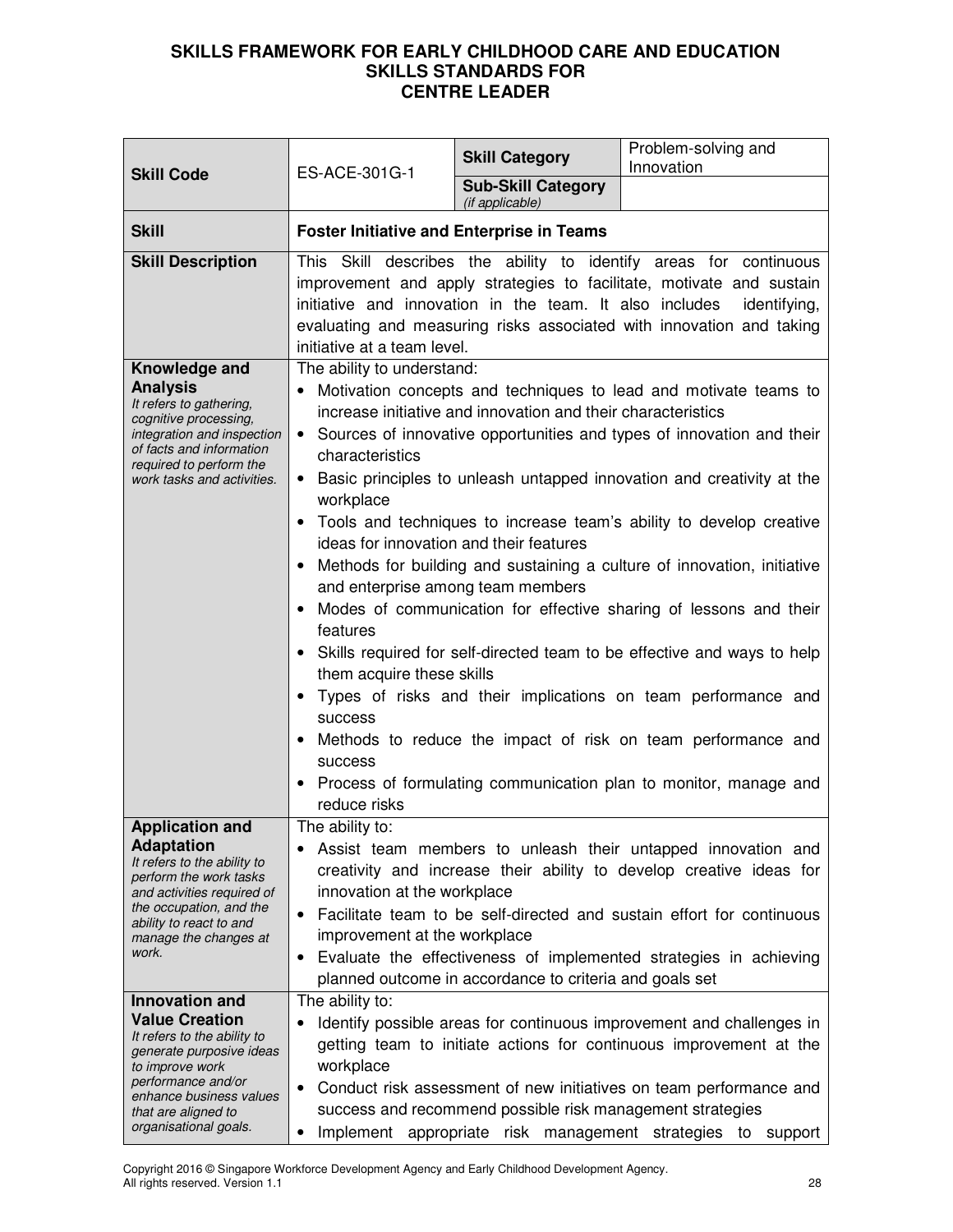| <b>Skill Code</b>                                                                                                                                                                                                                   | ES-ACE-301G-1                                                                                                                                                                                                                                                                                                                                                                                                                                                                                                                                                                                                                                                                                                                                                                                                                                                                                                                                                                                                                                                                                                                                                                                                                                            | <b>Skill Category</b>                        | Problem-solving and<br>Innovation                                |
|-------------------------------------------------------------------------------------------------------------------------------------------------------------------------------------------------------------------------------------|----------------------------------------------------------------------------------------------------------------------------------------------------------------------------------------------------------------------------------------------------------------------------------------------------------------------------------------------------------------------------------------------------------------------------------------------------------------------------------------------------------------------------------------------------------------------------------------------------------------------------------------------------------------------------------------------------------------------------------------------------------------------------------------------------------------------------------------------------------------------------------------------------------------------------------------------------------------------------------------------------------------------------------------------------------------------------------------------------------------------------------------------------------------------------------------------------------------------------------------------------------|----------------------------------------------|------------------------------------------------------------------|
|                                                                                                                                                                                                                                     |                                                                                                                                                                                                                                                                                                                                                                                                                                                                                                                                                                                                                                                                                                                                                                                                                                                                                                                                                                                                                                                                                                                                                                                                                                                          | <b>Sub-Skill Category</b><br>(if applicable) |                                                                  |
| <b>Skill</b>                                                                                                                                                                                                                        | <b>Foster Initiative and Enterprise in Teams</b>                                                                                                                                                                                                                                                                                                                                                                                                                                                                                                                                                                                                                                                                                                                                                                                                                                                                                                                                                                                                                                                                                                                                                                                                         |                                              |                                                                  |
| <b>Skill Description</b><br>Knowledge and<br><b>Analysis</b><br>It refers to gathering,<br>cognitive processing,<br>integration and inspection<br>of facts and information<br>required to perform the<br>work tasks and activities. | This Skill describes the ability to identify areas for continuous<br>improvement and apply strategies to facilitate, motivate and sustain<br>initiative and innovation in the team. It also includes<br>identifying,<br>evaluating and measuring risks associated with innovation and taking<br>initiative at a team level.<br>The ability to understand:<br>Motivation concepts and techniques to lead and motivate teams to<br>increase initiative and innovation and their characteristics<br>• Sources of innovative opportunities and types of innovation and their<br>characteristics<br>Basic principles to unleash untapped innovation and creativity at the<br>workplace<br>Tools and techniques to increase team's ability to develop creative<br>ideas for innovation and their features<br>Methods for building and sustaining a culture of innovation, initiative<br>and enterprise among team members<br>Modes of communication for effective sharing of lessons and their<br>features<br>Skills required for self-directed team to be effective and ways to help<br>them acquire these skills<br>Types of risks and their implications on team performance and<br>success<br>Methods to reduce the impact of risk on team performance and |                                              |                                                                  |
|                                                                                                                                                                                                                                     | reduce risks                                                                                                                                                                                                                                                                                                                                                                                                                                                                                                                                                                                                                                                                                                                                                                                                                                                                                                                                                                                                                                                                                                                                                                                                                                             |                                              | Process of formulating communication plan to monitor, manage and |
| <b>Application and</b><br><b>Adaptation</b><br>It refers to the ability to<br>perform the work tasks<br>and activities required of<br>the occupation, and the<br>ability to react to and<br>manage the changes at<br>work.          | The ability to:<br>Assist team members to unleash their untapped innovation and<br>creativity and increase their ability to develop creative ideas for<br>innovation at the workplace<br>Facilitate team to be self-directed and sustain effort for continuous<br>$\bullet$<br>improvement at the workplace<br>Evaluate the effectiveness of implemented strategies in achieving<br>٠<br>planned outcome in accordance to criteria and goals set                                                                                                                                                                                                                                                                                                                                                                                                                                                                                                                                                                                                                                                                                                                                                                                                         |                                              |                                                                  |
| <b>Innovation and</b><br><b>Value Creation</b><br>It refers to the ability to<br>generate purposive ideas<br>to improve work<br>performance and/or<br>enhance business values<br>that are aligned to<br>organisational goals.       | The ability to:<br>Identify possible areas for continuous improvement and challenges in<br>getting team to initiate actions for continuous improvement at the<br>workplace<br>Conduct risk assessment of new initiatives on team performance and<br>٠<br>success and recommend possible risk management strategies<br>Implement appropriate risk management strategies to support<br>$\bullet$                                                                                                                                                                                                                                                                                                                                                                                                                                                                                                                                                                                                                                                                                                                                                                                                                                                           |                                              |                                                                  |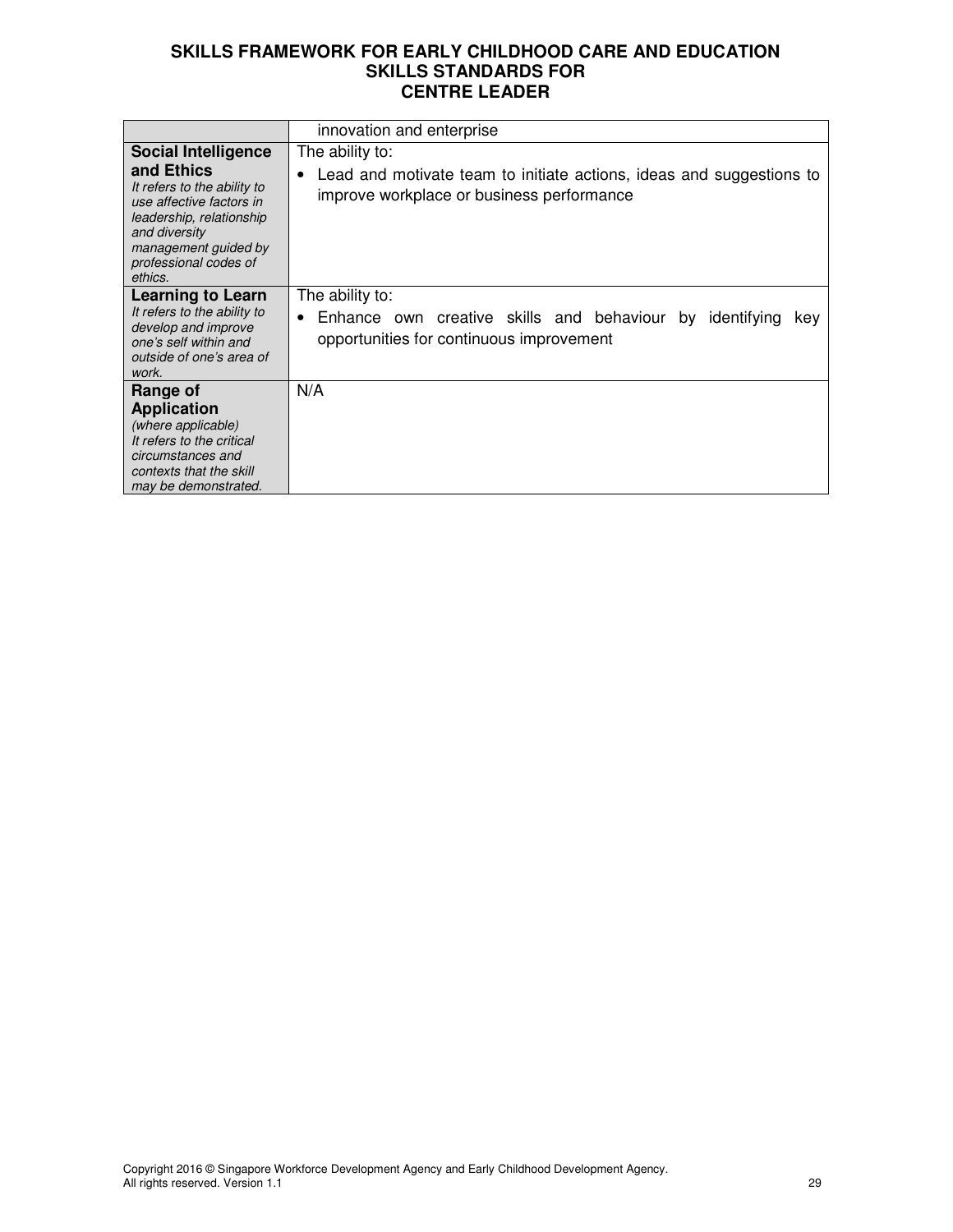|                                                                                                                                                                                | innovation and enterprise                                                                                                      |
|--------------------------------------------------------------------------------------------------------------------------------------------------------------------------------|--------------------------------------------------------------------------------------------------------------------------------|
| <b>Social Intelligence</b>                                                                                                                                                     | The ability to:                                                                                                                |
| and Ethics<br>It refers to the ability to<br>use affective factors in<br>leadership, relationship<br>and diversity<br>management guided by<br>professional codes of<br>ethics. | Lead and motivate team to initiate actions, ideas and suggestions to<br>improve workplace or business performance              |
| <b>Learning to Learn</b><br>It refers to the ability to<br>develop and improve<br>one's self within and<br>outside of one's area of<br>work.                                   | The ability to:<br>Enhance own creative skills and behaviour by identifying<br>kev<br>opportunities for continuous improvement |
| Range of<br><b>Application</b>                                                                                                                                                 | N/A                                                                                                                            |
| (where applicable)<br>It refers to the critical<br>circumstances and<br>contexts that the skill<br>may be demonstrated.                                                        |                                                                                                                                |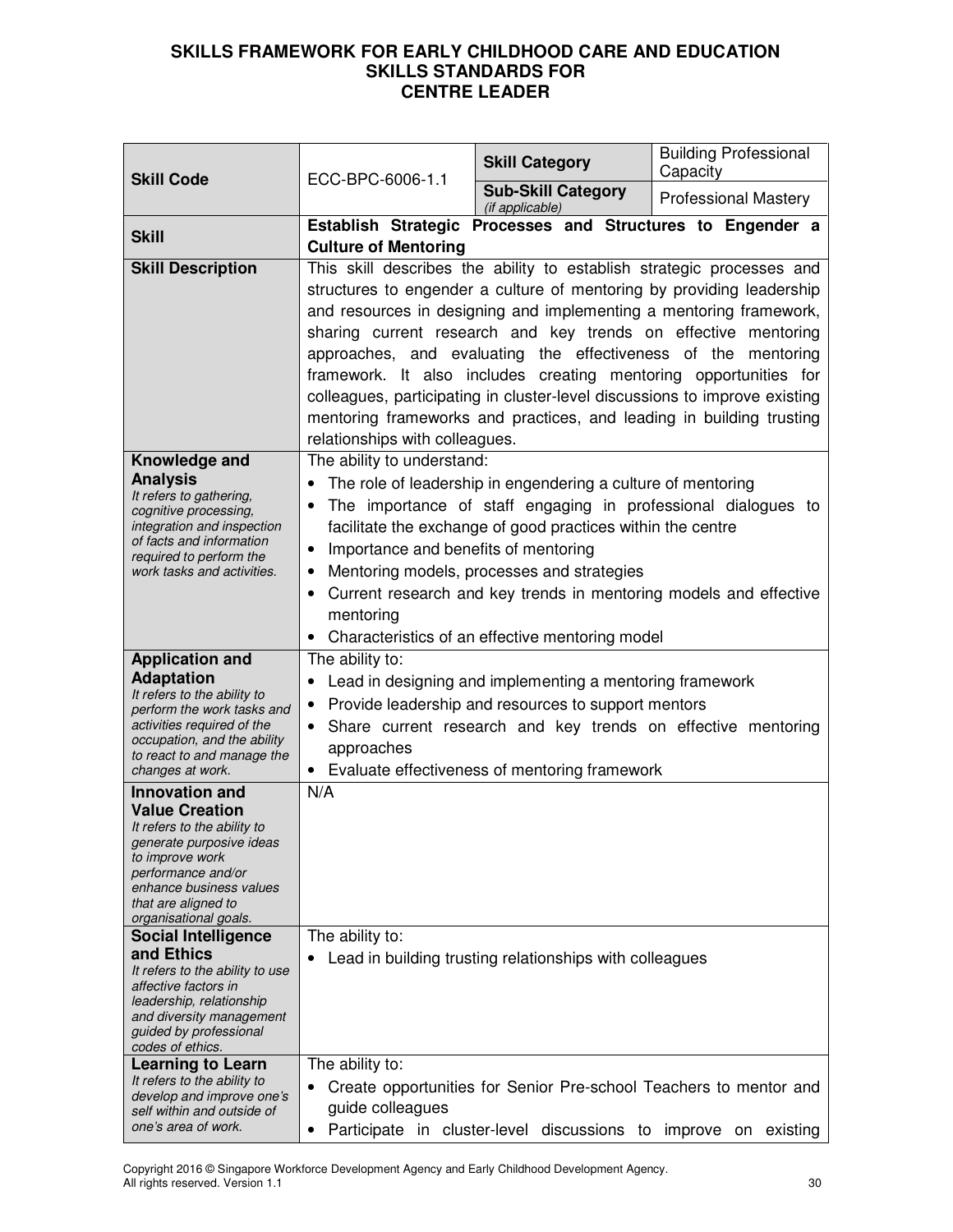| <b>Skill Code</b>                                                                                                                                                                                                             | ECC-BPC-6006-1.1                                                                                                       | <b>Skill Category</b>                                                                                                                                                                                                                                                                                                                                                                                                                                                                                                                                                             | <b>Building Professional</b><br>Capacity |
|-------------------------------------------------------------------------------------------------------------------------------------------------------------------------------------------------------------------------------|------------------------------------------------------------------------------------------------------------------------|-----------------------------------------------------------------------------------------------------------------------------------------------------------------------------------------------------------------------------------------------------------------------------------------------------------------------------------------------------------------------------------------------------------------------------------------------------------------------------------------------------------------------------------------------------------------------------------|------------------------------------------|
|                                                                                                                                                                                                                               |                                                                                                                        | <b>Sub-Skill Category</b><br>(if applicable)                                                                                                                                                                                                                                                                                                                                                                                                                                                                                                                                      | <b>Professional Mastery</b>              |
| <b>Skill</b>                                                                                                                                                                                                                  | Establish Strategic Processes and Structures to Engender a<br><b>Culture of Mentoring</b>                              |                                                                                                                                                                                                                                                                                                                                                                                                                                                                                                                                                                                   |                                          |
| <b>Skill Description</b>                                                                                                                                                                                                      | relationships with colleagues.                                                                                         | This skill describes the ability to establish strategic processes and<br>structures to engender a culture of mentoring by providing leadership<br>and resources in designing and implementing a mentoring framework,<br>sharing current research and key trends on effective mentoring<br>approaches, and evaluating the effectiveness of the mentoring<br>framework. It also includes creating mentoring opportunities for<br>colleagues, participating in cluster-level discussions to improve existing<br>mentoring frameworks and practices, and leading in building trusting |                                          |
| Knowledge and<br><b>Analysis</b><br>It refers to gathering,<br>cognitive processing,<br>integration and inspection<br>of facts and information<br>required to perform the<br>work tasks and activities.                       | The ability to understand:<br>$\bullet$<br>Importance and benefits of mentoring<br>$\bullet$<br>$\bullet$<br>mentoring | The role of leadership in engendering a culture of mentoring<br>The importance of staff engaging in professional dialogues to<br>facilitate the exchange of good practices within the centre<br>Mentoring models, processes and strategies<br>Current research and key trends in mentoring models and effective<br>Characteristics of an effective mentoring model                                                                                                                                                                                                                |                                          |
| <b>Application and</b><br><b>Adaptation</b><br>It refers to the ability to<br>perform the work tasks and<br>activities required of the<br>occupation, and the ability<br>to react to and manage the<br>changes at work.       | The ability to:<br>$\bullet$<br>approaches                                                                             | Lead in designing and implementing a mentoring framework<br>Provide leadership and resources to support mentors<br>Share current research and key trends on effective mentoring<br>• Evaluate effectiveness of mentoring framework                                                                                                                                                                                                                                                                                                                                                |                                          |
| <b>Innovation and</b><br><b>Value Creation</b><br>It refers to the ability to<br>generate purposive ideas<br>to improve work<br>performance and/or<br>enhance business values<br>that are aligned to<br>organisational goals. | N/A                                                                                                                    |                                                                                                                                                                                                                                                                                                                                                                                                                                                                                                                                                                                   |                                          |
| <b>Social Intelligence</b><br>and Ethics<br>It refers to the ability to use<br>affective factors in<br>leadership, relationship<br>and diversity management<br>guided by professional<br>codes of ethics.                     | The ability to:<br>$\bullet$                                                                                           | Lead in building trusting relationships with colleagues                                                                                                                                                                                                                                                                                                                                                                                                                                                                                                                           |                                          |
| <b>Learning to Learn</b><br>It refers to the ability to<br>develop and improve one's<br>self within and outside of<br>one's area of work.                                                                                     | The ability to:<br>guide colleagues                                                                                    | Create opportunities for Senior Pre-school Teachers to mentor and<br>Participate in cluster-level discussions to improve on existing                                                                                                                                                                                                                                                                                                                                                                                                                                              |                                          |

Copyright 2016 © Singapore Workforce Development Agency and Early Childhood Development Agency. All rights reserved. Version 1.1 30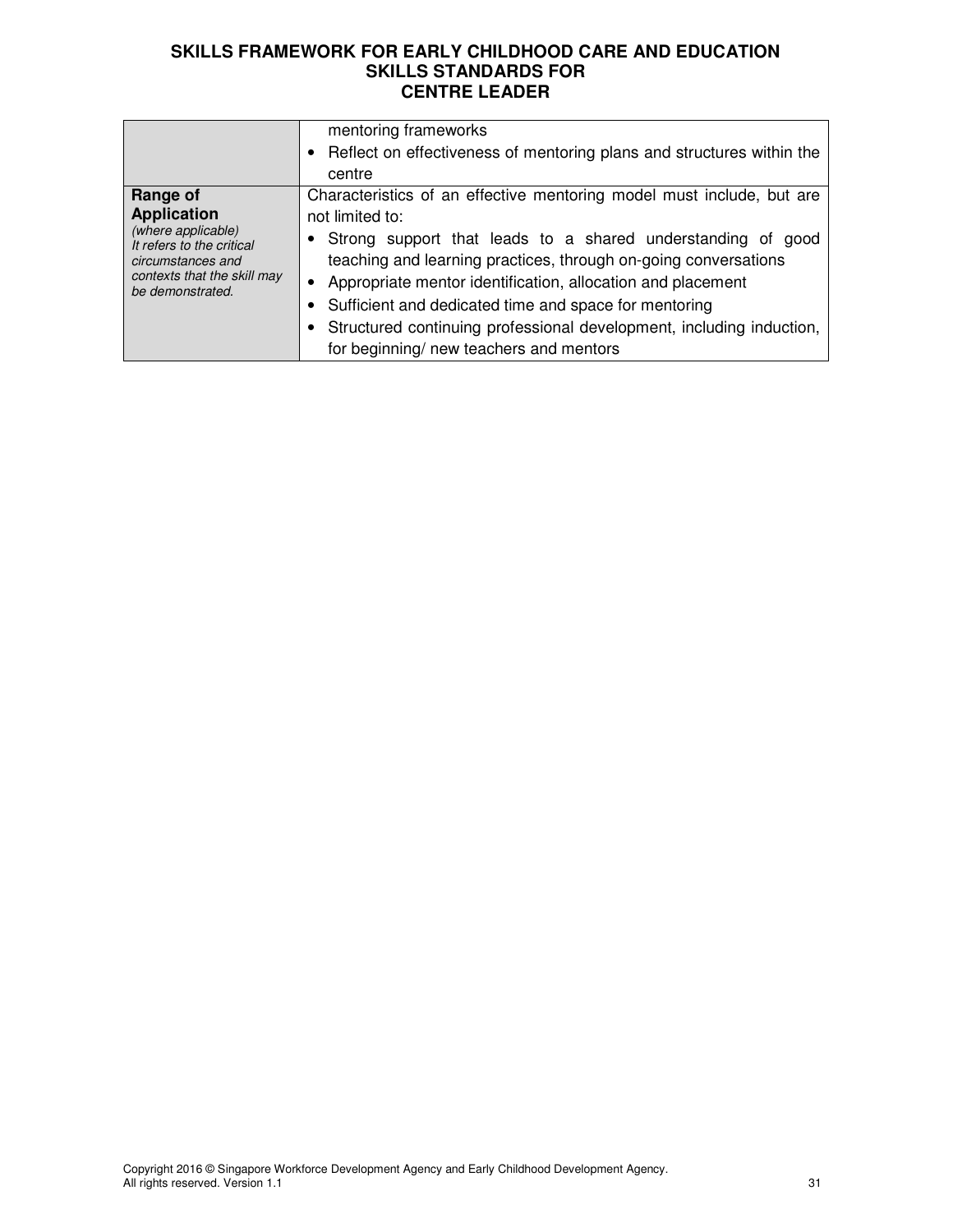|                                                                                                                                                           | mentoring frameworks<br>• Reflect on effectiveness of mentoring plans and structures within the<br>centre                                                                                                                                                                                                                                                                                                                                                               |
|-----------------------------------------------------------------------------------------------------------------------------------------------------------|-------------------------------------------------------------------------------------------------------------------------------------------------------------------------------------------------------------------------------------------------------------------------------------------------------------------------------------------------------------------------------------------------------------------------------------------------------------------------|
| Range of<br><b>Application</b><br>(where applicable)<br>It refers to the critical<br>circumstances and<br>contexts that the skill may<br>be demonstrated. | Characteristics of an effective mentoring model must include, but are<br>not limited to:<br>Strong support that leads to a shared understanding of good<br>teaching and learning practices, through on-going conversations<br>Appropriate mentor identification, allocation and placement<br>• Sufficient and dedicated time and space for mentoring<br>Structured continuing professional development, including induction,<br>for beginning/ new teachers and mentors |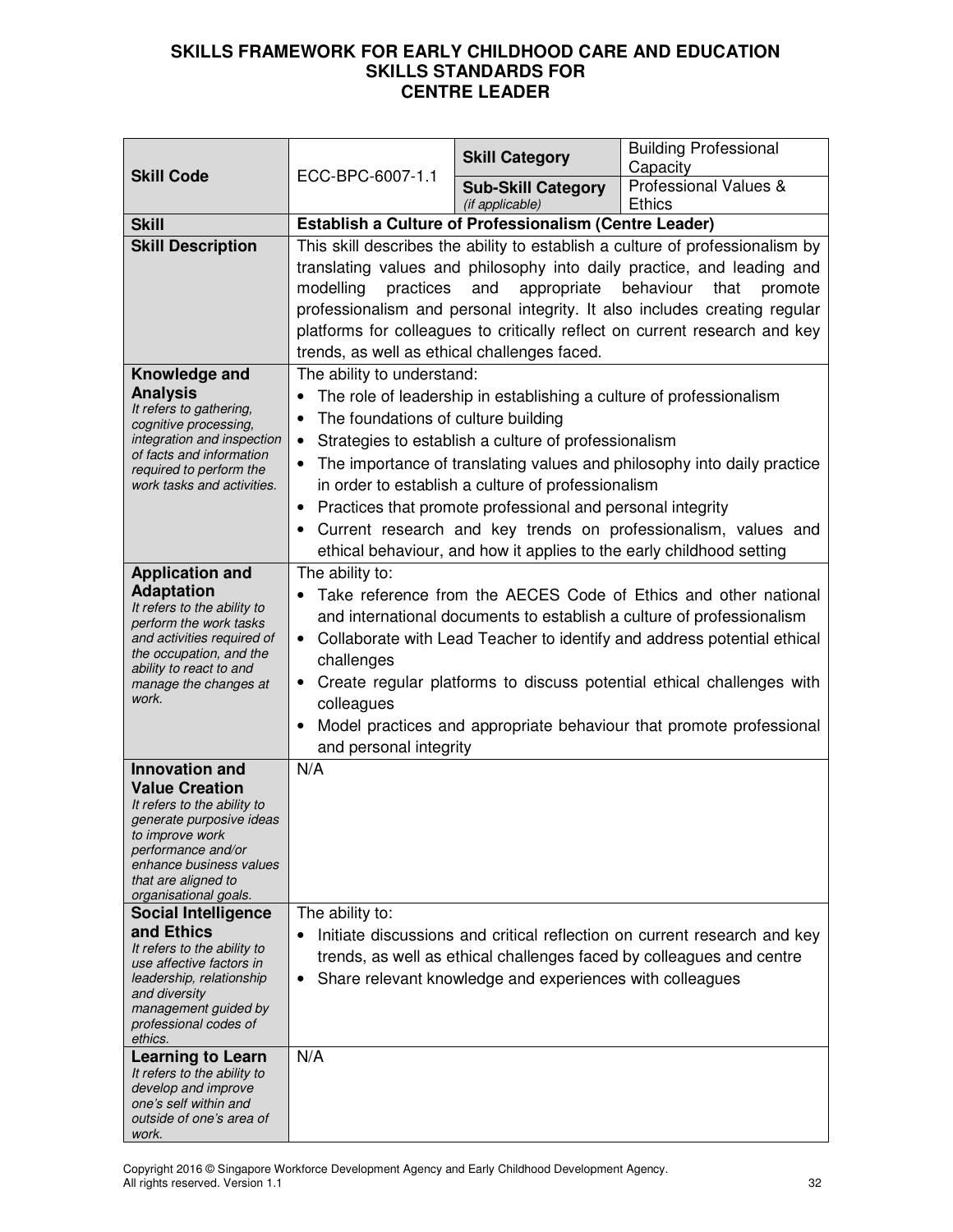| <b>Skill Code</b>                                                                                                                                                                                                                                                                                                                                                                 | ECC-BPC-6007-1.1                                                                                                                                                                                                                                                                                                                                                                                                                                   | <b>Skill Category</b>                                                                                                                                                                                                                           | <b>Building Professional</b><br>Capacity                                                                                                                                                                          |
|-----------------------------------------------------------------------------------------------------------------------------------------------------------------------------------------------------------------------------------------------------------------------------------------------------------------------------------------------------------------------------------|----------------------------------------------------------------------------------------------------------------------------------------------------------------------------------------------------------------------------------------------------------------------------------------------------------------------------------------------------------------------------------------------------------------------------------------------------|-------------------------------------------------------------------------------------------------------------------------------------------------------------------------------------------------------------------------------------------------|-------------------------------------------------------------------------------------------------------------------------------------------------------------------------------------------------------------------|
|                                                                                                                                                                                                                                                                                                                                                                                   |                                                                                                                                                                                                                                                                                                                                                                                                                                                    | <b>Sub-Skill Category</b><br>(if applicable)                                                                                                                                                                                                    | Professional Values &<br><b>Ethics</b>                                                                                                                                                                            |
| <b>Skill</b>                                                                                                                                                                                                                                                                                                                                                                      | <b>Establish a Culture of Professionalism (Centre Leader)</b>                                                                                                                                                                                                                                                                                                                                                                                      |                                                                                                                                                                                                                                                 |                                                                                                                                                                                                                   |
| <b>Skill Description</b>                                                                                                                                                                                                                                                                                                                                                          | This skill describes the ability to establish a culture of professionalism by<br>translating values and philosophy into daily practice, and leading and<br>appropriate<br>behaviour<br>modelling<br>practices<br>and<br>that<br>promote<br>professionalism and personal integrity. It also includes creating regular<br>platforms for colleagues to critically reflect on current research and key<br>trends, as well as ethical challenges faced. |                                                                                                                                                                                                                                                 |                                                                                                                                                                                                                   |
| Knowledge and<br><b>Analysis</b><br>It refers to gathering,<br>cognitive processing,<br>integration and inspection<br>of facts and information<br>required to perform the<br>work tasks and activities.                                                                                                                                                                           | The ability to understand:<br>The foundations of culture building<br>$\bullet$<br>$\bullet$<br>$\bullet$                                                                                                                                                                                                                                                                                                                                           | The role of leadership in establishing a culture of professionalism<br>Strategies to establish a culture of professionalism<br>in order to establish a culture of professionalism<br>Practices that promote professional and personal integrity | The importance of translating values and philosophy into daily practice<br>Current research and key trends on professionalism, values and<br>ethical behaviour, and how it applies to the early childhood setting |
| <b>Application and</b><br><b>Adaptation</b><br>It refers to the ability to<br>perform the work tasks<br>and activities required of<br>the occupation, and the<br>ability to react to and<br>manage the changes at<br>work.                                                                                                                                                        | The ability to:<br>Take reference from the AECES Code of Ethics and other national<br>and international documents to establish a culture of professionalism<br>• Collaborate with Lead Teacher to identify and address potential ethical<br>challenges<br>Create regular platforms to discuss potential ethical challenges with<br>colleagues<br>Model practices and appropriate behaviour that promote professional<br>and personal integrity     |                                                                                                                                                                                                                                                 |                                                                                                                                                                                                                   |
| <b>Innovation and</b><br><b>Value Creation</b><br>It refers to the ability to<br>generate purposive ideas<br>to improve work<br>performance and/or<br>enhance business values<br>that are aligned to<br>organisational goals.<br><b>Social Intelligence</b><br>and Ethics<br>It refers to the ability to<br>use affective factors in<br>leadership, relationship<br>and diversity | N/A<br>The ability to:<br>٠                                                                                                                                                                                                                                                                                                                                                                                                                        | Share relevant knowledge and experiences with colleagues                                                                                                                                                                                        | Initiate discussions and critical reflection on current research and key<br>trends, as well as ethical challenges faced by colleagues and centre                                                                  |
| management guided by<br>professional codes of<br>ethics.<br><b>Learning to Learn</b><br>It refers to the ability to<br>develop and improve<br>one's self within and                                                                                                                                                                                                               | N/A                                                                                                                                                                                                                                                                                                                                                                                                                                                |                                                                                                                                                                                                                                                 |                                                                                                                                                                                                                   |
| outside of one's area of<br>work.                                                                                                                                                                                                                                                                                                                                                 |                                                                                                                                                                                                                                                                                                                                                                                                                                                    |                                                                                                                                                                                                                                                 |                                                                                                                                                                                                                   |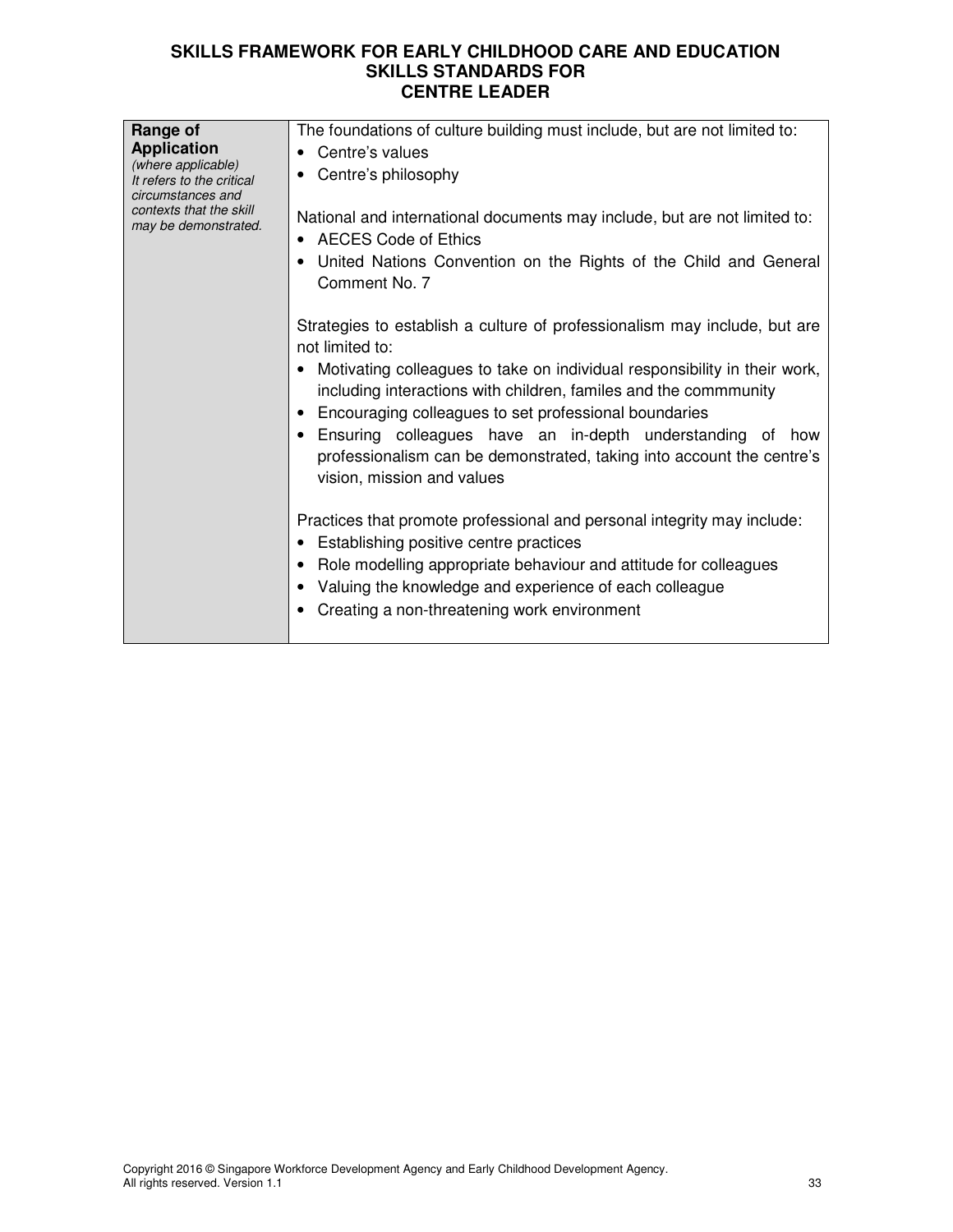| Range of<br><b>Application</b><br>(where applicable)<br>It refers to the critical<br>circumstances and<br>contexts that the skill<br>may be demonstrated. | The foundations of culture building must include, but are not limited to:<br>Centre's values<br>Centre's philosophy<br>National and international documents may include, but are not limited to:<br><b>AECES Code of Ethics</b><br>United Nations Convention on the Rights of the Child and General<br>Comment No. 7<br>Strategies to establish a culture of professionalism may include, but are<br>not limited to:<br>Motivating colleagues to take on individual responsibility in their work,<br>including interactions with children, familes and the commmunity<br>Encouraging colleagues to set professional boundaries<br>Ensuring colleagues have an in-depth understanding<br>of<br>how<br>professionalism can be demonstrated, taking into account the centre's<br>vision, mission and values |
|-----------------------------------------------------------------------------------------------------------------------------------------------------------|----------------------------------------------------------------------------------------------------------------------------------------------------------------------------------------------------------------------------------------------------------------------------------------------------------------------------------------------------------------------------------------------------------------------------------------------------------------------------------------------------------------------------------------------------------------------------------------------------------------------------------------------------------------------------------------------------------------------------------------------------------------------------------------------------------|
|                                                                                                                                                           | Practices that promote professional and personal integrity may include:<br>• Establishing positive centre practices<br>Role modelling appropriate behaviour and attitude for colleagues<br>Valuing the knowledge and experience of each colleague<br>Creating a non-threatening work environment                                                                                                                                                                                                                                                                                                                                                                                                                                                                                                         |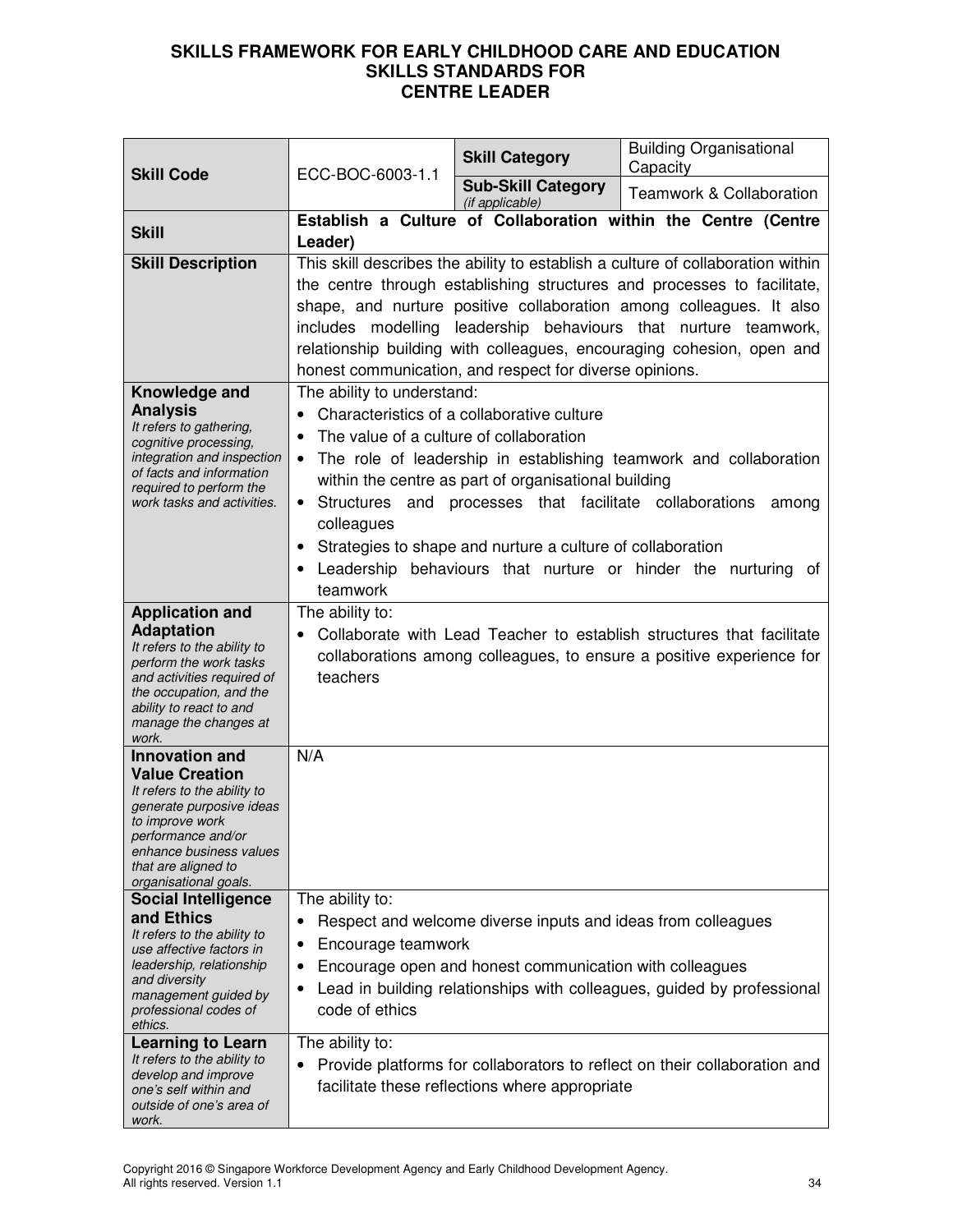| <b>Skill Code</b>                                                                                                                                                                                                             | ECC-BOC-6003-1.1                                                                                                                                                                                                                                                                                                                                                                                                                                                                                                     | <b>Skill Category</b>                                                                                                   | <b>Building Organisational</b><br>Capacity                                |
|-------------------------------------------------------------------------------------------------------------------------------------------------------------------------------------------------------------------------------|----------------------------------------------------------------------------------------------------------------------------------------------------------------------------------------------------------------------------------------------------------------------------------------------------------------------------------------------------------------------------------------------------------------------------------------------------------------------------------------------------------------------|-------------------------------------------------------------------------------------------------------------------------|---------------------------------------------------------------------------|
|                                                                                                                                                                                                                               |                                                                                                                                                                                                                                                                                                                                                                                                                                                                                                                      | <b>Sub-Skill Category</b><br>(if applicable)                                                                            | <b>Teamwork &amp; Collaboration</b>                                       |
| <b>Skill</b>                                                                                                                                                                                                                  | Establish a Culture of Collaboration within the Centre (Centre<br>Leader)                                                                                                                                                                                                                                                                                                                                                                                                                                            |                                                                                                                         |                                                                           |
| <b>Skill Description</b>                                                                                                                                                                                                      | This skill describes the ability to establish a culture of collaboration within<br>the centre through establishing structures and processes to facilitate,<br>shape, and nurture positive collaboration among colleagues. It also<br>includes modelling leadership behaviours that nurture teamwork,<br>relationship building with colleagues, encouraging cohesion, open and<br>honest communication, and respect for diverse opinions.                                                                             |                                                                                                                         |                                                                           |
| Knowledge and<br><b>Analysis</b><br>It refers to gathering,<br>cognitive processing,<br>integration and inspection<br>of facts and information<br>required to perform the<br>work tasks and activities.                       | The ability to understand:<br>Characteristics of a collaborative culture<br>$\bullet$<br>The value of a culture of collaboration<br>$\bullet$<br>The role of leadership in establishing teamwork and collaboration<br>$\bullet$<br>within the centre as part of organisational building<br>Structures and processes that facilitate collaborations<br>among<br>colleagues<br>Strategies to shape and nurture a culture of collaboration<br>Leadership behaviours that nurture or hinder the nurturing of<br>teamwork |                                                                                                                         |                                                                           |
| <b>Application and</b><br><b>Adaptation</b><br>It refers to the ability to<br>perform the work tasks<br>and activities required of<br>the occupation, and the<br>ability to react to and<br>manage the changes at<br>work.    | The ability to:<br>Collaborate with Lead Teacher to establish structures that facilitate<br>collaborations among colleagues, to ensure a positive experience for<br>teachers                                                                                                                                                                                                                                                                                                                                         |                                                                                                                         |                                                                           |
| <b>Innovation and</b><br><b>Value Creation</b><br>It refers to the ability to<br>generate purposive ideas<br>to improve work<br>performance and/or<br>enhance business values<br>that are aligned to<br>organisational goals. | N/A                                                                                                                                                                                                                                                                                                                                                                                                                                                                                                                  |                                                                                                                         |                                                                           |
| <b>Social Intelligence</b><br>and Ethics<br>It refers to the ability to<br>use affective factors in<br>leadership, relationship<br>and diversity<br>management guided by<br>professional codes of<br>ethics.                  | The ability to:<br>Encourage teamwork<br>$\bullet$<br>$\bullet$<br>٠<br>code of ethics                                                                                                                                                                                                                                                                                                                                                                                                                               | Respect and welcome diverse inputs and ideas from colleagues<br>Encourage open and honest communication with colleagues | Lead in building relationships with colleagues, guided by professional    |
| <b>Learning to Learn</b><br>It refers to the ability to<br>develop and improve<br>one's self within and<br>outside of one's area of<br>work.                                                                                  | The ability to:<br>٠                                                                                                                                                                                                                                                                                                                                                                                                                                                                                                 | facilitate these reflections where appropriate                                                                          | Provide platforms for collaborators to reflect on their collaboration and |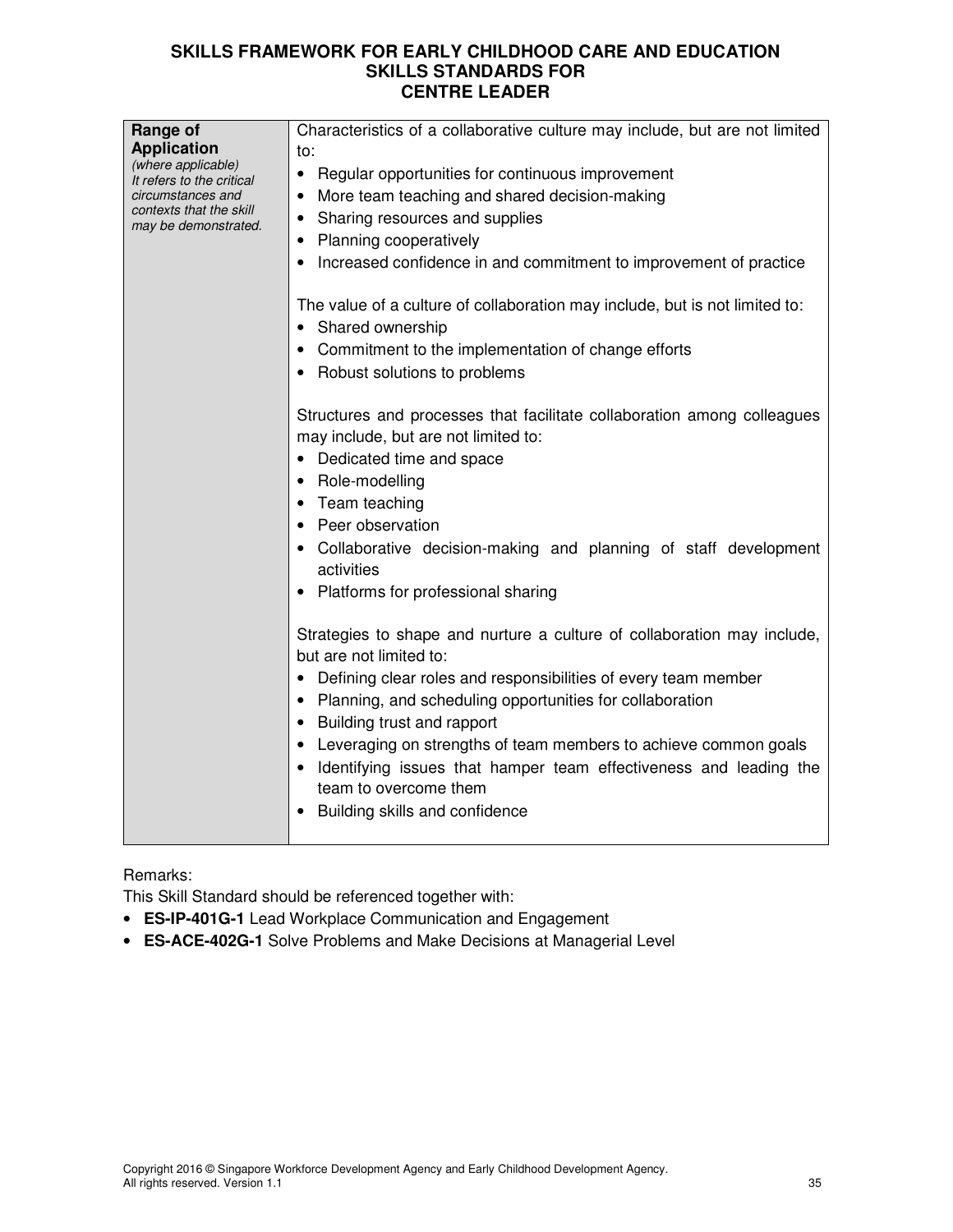| Range of                                        | Characteristics of a collaborative culture may include, but are not limited                                     |
|-------------------------------------------------|-----------------------------------------------------------------------------------------------------------------|
| <b>Application</b>                              | to:                                                                                                             |
| (where applicable)<br>It refers to the critical | • Regular opportunities for continuous improvement                                                              |
| circumstances and                               | More team teaching and shared decision-making                                                                   |
| contexts that the skill<br>may be demonstrated. | Sharing resources and supplies<br>٠                                                                             |
|                                                 | <b>Planning cooperatively</b>                                                                                   |
|                                                 | Increased confidence in and commitment to improvement of practice                                               |
|                                                 | The value of a culture of collaboration may include, but is not limited to:                                     |
|                                                 | • Shared ownership                                                                                              |
|                                                 | Commitment to the implementation of change efforts                                                              |
|                                                 | Robust solutions to problems                                                                                    |
|                                                 | Structures and processes that facilitate collaboration among colleagues<br>may include, but are not limited to: |
|                                                 | • Dedicated time and space                                                                                      |
|                                                 | Role-modelling                                                                                                  |
|                                                 | Team teaching                                                                                                   |
|                                                 | Peer observation                                                                                                |
|                                                 | Collaborative decision-making and planning of staff development<br>activities                                   |
|                                                 | Platforms for professional sharing                                                                              |
|                                                 | Strategies to shape and nurture a culture of collaboration may include,<br>but are not limited to:              |
|                                                 | Defining clear roles and responsibilities of every team member                                                  |
|                                                 | Planning, and scheduling opportunities for collaboration                                                        |
|                                                 | Building trust and rapport                                                                                      |
|                                                 | Leveraging on strengths of team members to achieve common goals                                                 |
|                                                 | Identifying issues that hamper team effectiveness and leading the                                               |
|                                                 | team to overcome them                                                                                           |
|                                                 | Building skills and confidence<br>$\bullet$                                                                     |
|                                                 |                                                                                                                 |

# Remarks:

This Skill Standard should be referenced together with:

- **ES-IP-401G-1** Lead Workplace Communication and Engagement
- **ES-ACE-402G-1** Solve Problems and Make Decisions at Managerial Level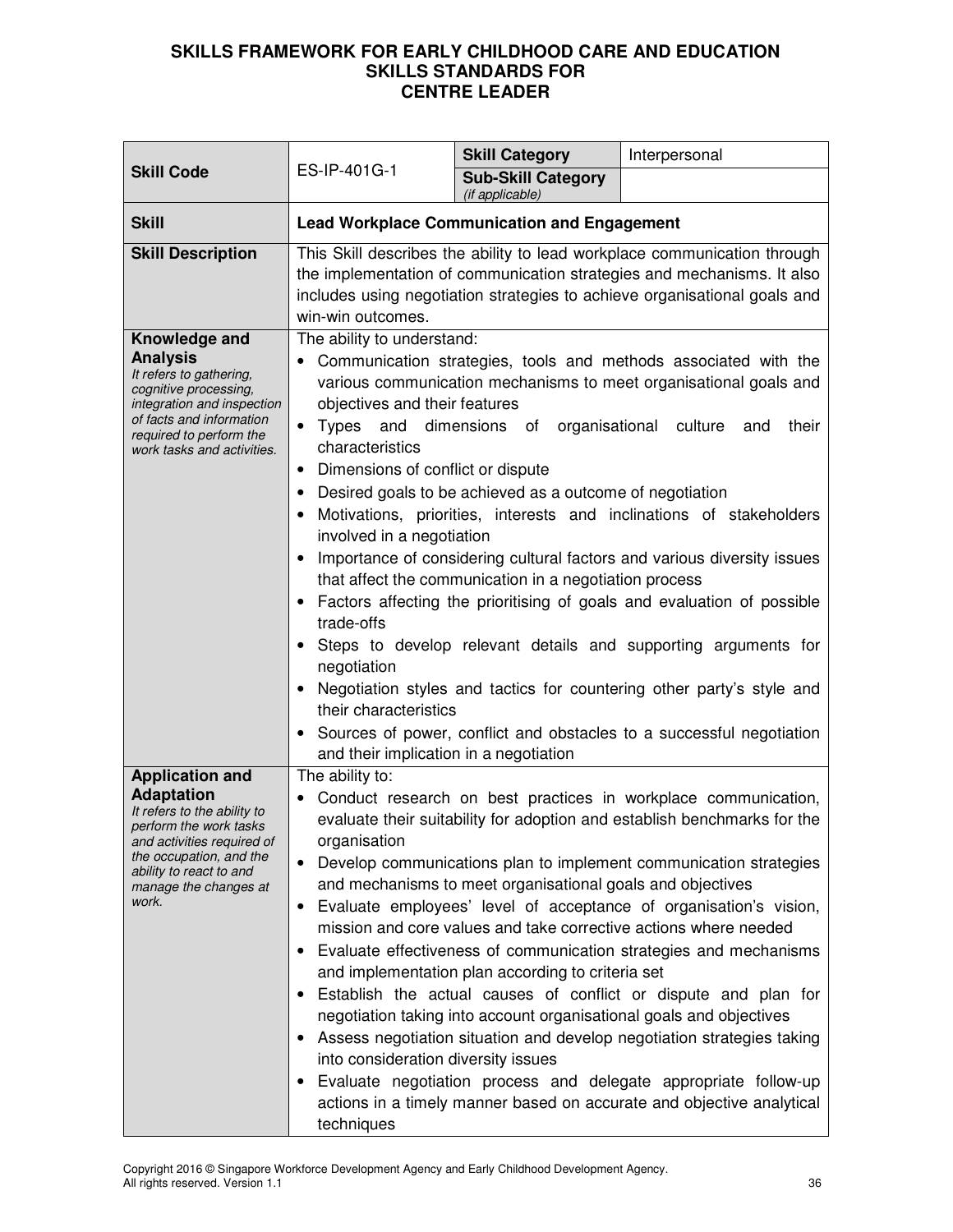| <b>Skill Code</b>                                                                                                                                                                                                          | ES-IP-401G-1                                                                                                                                                                                                                                                                                                                                                                                                                                                                                                                                                                                                                                                                                                                                                                                                                                                                                                                                                                                                                                                                 | <b>Skill Category</b>                              | Interpersonal |
|----------------------------------------------------------------------------------------------------------------------------------------------------------------------------------------------------------------------------|------------------------------------------------------------------------------------------------------------------------------------------------------------------------------------------------------------------------------------------------------------------------------------------------------------------------------------------------------------------------------------------------------------------------------------------------------------------------------------------------------------------------------------------------------------------------------------------------------------------------------------------------------------------------------------------------------------------------------------------------------------------------------------------------------------------------------------------------------------------------------------------------------------------------------------------------------------------------------------------------------------------------------------------------------------------------------|----------------------------------------------------|---------------|
|                                                                                                                                                                                                                            |                                                                                                                                                                                                                                                                                                                                                                                                                                                                                                                                                                                                                                                                                                                                                                                                                                                                                                                                                                                                                                                                              | <b>Sub-Skill Category</b><br>(if applicable)       |               |
| <b>Skill</b>                                                                                                                                                                                                               |                                                                                                                                                                                                                                                                                                                                                                                                                                                                                                                                                                                                                                                                                                                                                                                                                                                                                                                                                                                                                                                                              | <b>Lead Workplace Communication and Engagement</b> |               |
| <b>Skill Description</b>                                                                                                                                                                                                   | This Skill describes the ability to lead workplace communication through<br>the implementation of communication strategies and mechanisms. It also<br>includes using negotiation strategies to achieve organisational goals and<br>win-win outcomes.                                                                                                                                                                                                                                                                                                                                                                                                                                                                                                                                                                                                                                                                                                                                                                                                                         |                                                    |               |
| Knowledge and<br><b>Analysis</b><br>It refers to gathering,<br>cognitive processing,<br>integration and inspection<br>of facts and information<br>required to perform the<br>work tasks and activities.                    | The ability to understand:<br>• Communication strategies, tools and methods associated with the<br>various communication mechanisms to meet organisational goals and<br>objectives and their features<br>Types and dimensions of organisational culture<br>and<br>their<br>$\bullet$<br>characteristics<br>Dimensions of conflict or dispute<br>$\bullet$<br>Desired goals to be achieved as a outcome of negotiation<br>Motivations, priorities, interests and inclinations of stakeholders<br>involved in a negotiation<br>Importance of considering cultural factors and various diversity issues<br>that affect the communication in a negotiation process<br>Factors affecting the prioritising of goals and evaluation of possible<br>trade-offs<br>Steps to develop relevant details and supporting arguments for<br>negotiation<br>Negotiation styles and tactics for countering other party's style and<br>their characteristics<br>Sources of power, conflict and obstacles to a successful negotiation                                                            |                                                    |               |
| <b>Application and</b><br><b>Adaptation</b><br>It refers to the ability to<br>perform the work tasks<br>and activities required of<br>the occupation, and the<br>ability to react to and<br>manage the changes at<br>work. | and their implication in a negotiation<br>The ability to:<br>Conduct research on best practices in workplace communication,<br>$\bullet$<br>evaluate their suitability for adoption and establish benchmarks for the<br>organisation<br>Develop communications plan to implement communication strategies<br>$\bullet$<br>and mechanisms to meet organisational goals and objectives<br>Evaluate employees' level of acceptance of organisation's vision,<br>mission and core values and take corrective actions where needed<br>Evaluate effectiveness of communication strategies and mechanisms<br>and implementation plan according to criteria set<br>Establish the actual causes of conflict or dispute and plan for<br>negotiation taking into account organisational goals and objectives<br>Assess negotiation situation and develop negotiation strategies taking<br>into consideration diversity issues<br>Evaluate negotiation process and delegate appropriate follow-up<br>actions in a timely manner based on accurate and objective analytical<br>techniques |                                                    |               |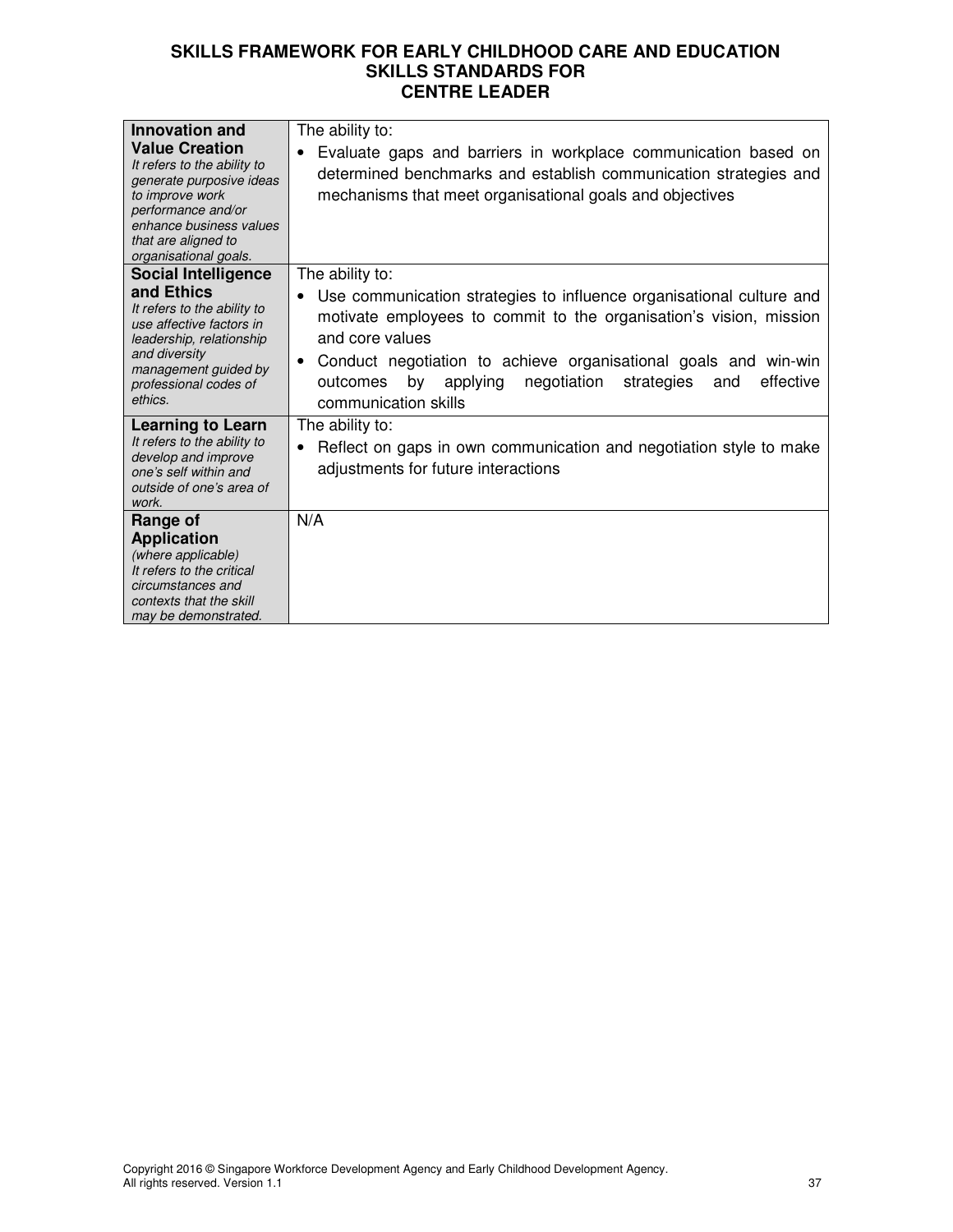| Innovation and                                                                                                                                                                                       | The ability to:                                                                                                                                                                                                                                                                                                                                           |
|------------------------------------------------------------------------------------------------------------------------------------------------------------------------------------------------------|-----------------------------------------------------------------------------------------------------------------------------------------------------------------------------------------------------------------------------------------------------------------------------------------------------------------------------------------------------------|
| <b>Value Creation</b><br>It refers to the ability to<br>generate purposive ideas<br>to improve work<br>performance and/or<br>enhance business values<br>that are aligned to<br>organisational goals. | Evaluate gaps and barriers in workplace communication based on<br>determined benchmarks and establish communication strategies and<br>mechanisms that meet organisational goals and objectives                                                                                                                                                            |
| <b>Social Intelligence</b>                                                                                                                                                                           | The ability to:                                                                                                                                                                                                                                                                                                                                           |
| and Ethics<br>It refers to the ability to<br>use affective factors in<br>leadership, relationship<br>and diversity<br>management guided by<br>professional codes of<br>ethics.                       | Use communication strategies to influence organisational culture and<br>٠<br>motivate employees to commit to the organisation's vision, mission<br>and core values<br>Conduct negotiation to achieve organisational goals and win-win<br>$\bullet$<br>applying<br>negotiation<br>effective<br>by<br>strategies<br>outcomes<br>and<br>communication skills |
| <b>Learning to Learn</b><br>It refers to the ability to<br>develop and improve<br>one's self within and<br>outside of one's area of<br>work.                                                         | The ability to:<br>Reflect on gaps in own communication and negotiation style to make<br>adjustments for future interactions                                                                                                                                                                                                                              |
| Range of                                                                                                                                                                                             | N/A                                                                                                                                                                                                                                                                                                                                                       |
| <b>Application</b>                                                                                                                                                                                   |                                                                                                                                                                                                                                                                                                                                                           |
| (where applicable)                                                                                                                                                                                   |                                                                                                                                                                                                                                                                                                                                                           |
| It refers to the critical<br>circumstances and                                                                                                                                                       |                                                                                                                                                                                                                                                                                                                                                           |
| contexts that the skill                                                                                                                                                                              |                                                                                                                                                                                                                                                                                                                                                           |
| may be demonstrated.                                                                                                                                                                                 |                                                                                                                                                                                                                                                                                                                                                           |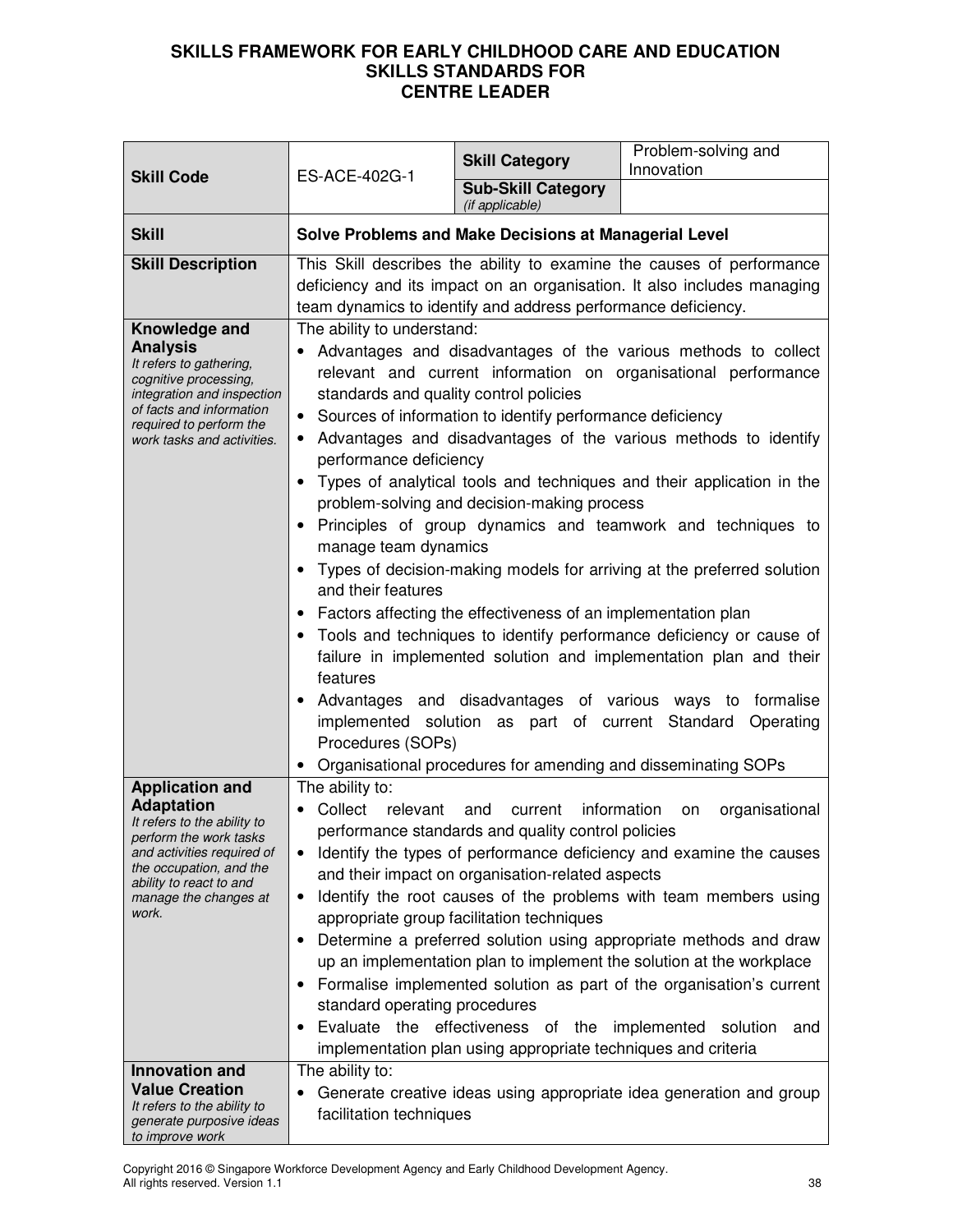| <b>Skill Code</b>                                                                                                                                                                                                                 | ES-ACE-402G-1                                                                                                                                                                                                     | <b>Skill Category</b>                                                                                                                                                                                                                                                                   | Problem-solving and<br>Innovation                                                                                                                                                                                                                                                                                                                                                                                                                                                                                                                                                                                                                                                                                          |
|-----------------------------------------------------------------------------------------------------------------------------------------------------------------------------------------------------------------------------------|-------------------------------------------------------------------------------------------------------------------------------------------------------------------------------------------------------------------|-----------------------------------------------------------------------------------------------------------------------------------------------------------------------------------------------------------------------------------------------------------------------------------------|----------------------------------------------------------------------------------------------------------------------------------------------------------------------------------------------------------------------------------------------------------------------------------------------------------------------------------------------------------------------------------------------------------------------------------------------------------------------------------------------------------------------------------------------------------------------------------------------------------------------------------------------------------------------------------------------------------------------------|
|                                                                                                                                                                                                                                   |                                                                                                                                                                                                                   | <b>Sub-Skill Category</b><br>(if applicable)                                                                                                                                                                                                                                            |                                                                                                                                                                                                                                                                                                                                                                                                                                                                                                                                                                                                                                                                                                                            |
| <b>Skill</b>                                                                                                                                                                                                                      | <b>Solve Problems and Make Decisions at Managerial Level</b>                                                                                                                                                      |                                                                                                                                                                                                                                                                                         |                                                                                                                                                                                                                                                                                                                                                                                                                                                                                                                                                                                                                                                                                                                            |
| <b>Skill Description</b>                                                                                                                                                                                                          | This Skill describes the ability to examine the causes of performance<br>deficiency and its impact on an organisation. It also includes managing<br>team dynamics to identify and address performance deficiency. |                                                                                                                                                                                                                                                                                         |                                                                                                                                                                                                                                                                                                                                                                                                                                                                                                                                                                                                                                                                                                                            |
| Knowledge and<br><b>Analysis</b><br>It refers to gathering,<br>cognitive processing,<br>integration and inspection<br>of facts and information<br>required to perform the<br>work tasks and activities.<br><b>Application and</b> | The ability to understand:<br>standards and quality control policies<br>$\bullet$<br>performance deficiency<br>manage team dynamics<br>and their features<br>features<br>Procedures (SOPs)<br>The ability to:     | Sources of information to identify performance deficiency<br>problem-solving and decision-making process<br>Factors affecting the effectiveness of an implementation plan<br>implemented solution as part of current                                                                    | Advantages and disadvantages of the various methods to collect<br>relevant and current information on organisational performance<br>• Advantages and disadvantages of the various methods to identify<br>Types of analytical tools and techniques and their application in the<br>Principles of group dynamics and teamwork and techniques to<br>Types of decision-making models for arriving at the preferred solution<br>Tools and techniques to identify performance deficiency or cause of<br>failure in implemented solution and implementation plan and their<br>Advantages and disadvantages of various ways to formalise<br>Standard<br>Operating<br>Organisational procedures for amending and disseminating SOPs |
| <b>Adaptation</b><br>It refers to the ability to<br>perform the work tasks<br>and activities required of<br>the occupation, and the<br>ability to react to and<br>manage the changes at<br>work.<br>Innovation and                | Collect<br>relevant<br>standard operating procedures<br>The ability to:                                                                                                                                           | current information<br>and<br>performance standards and quality control policies<br>and their impact on organisation-related aspects<br>appropriate group facilitation techniques<br>Evaluate the effectiveness of the<br>implementation plan using appropriate techniques and criteria | organisational<br>on<br>Identify the types of performance deficiency and examine the causes<br>Identify the root causes of the problems with team members using<br>Determine a preferred solution using appropriate methods and draw<br>up an implementation plan to implement the solution at the workplace<br>Formalise implemented solution as part of the organisation's current<br>implemented<br>solution<br>and                                                                                                                                                                                                                                                                                                     |
| <b>Value Creation</b><br>It refers to the ability to<br>generate purposive ideas<br>to improve work                                                                                                                               | facilitation techniques                                                                                                                                                                                           |                                                                                                                                                                                                                                                                                         | Generate creative ideas using appropriate idea generation and group                                                                                                                                                                                                                                                                                                                                                                                                                                                                                                                                                                                                                                                        |

Copyright 2016 © Singapore Workforce Development Agency and Early Childhood Development Agency. All rights reserved. Version 1.1 38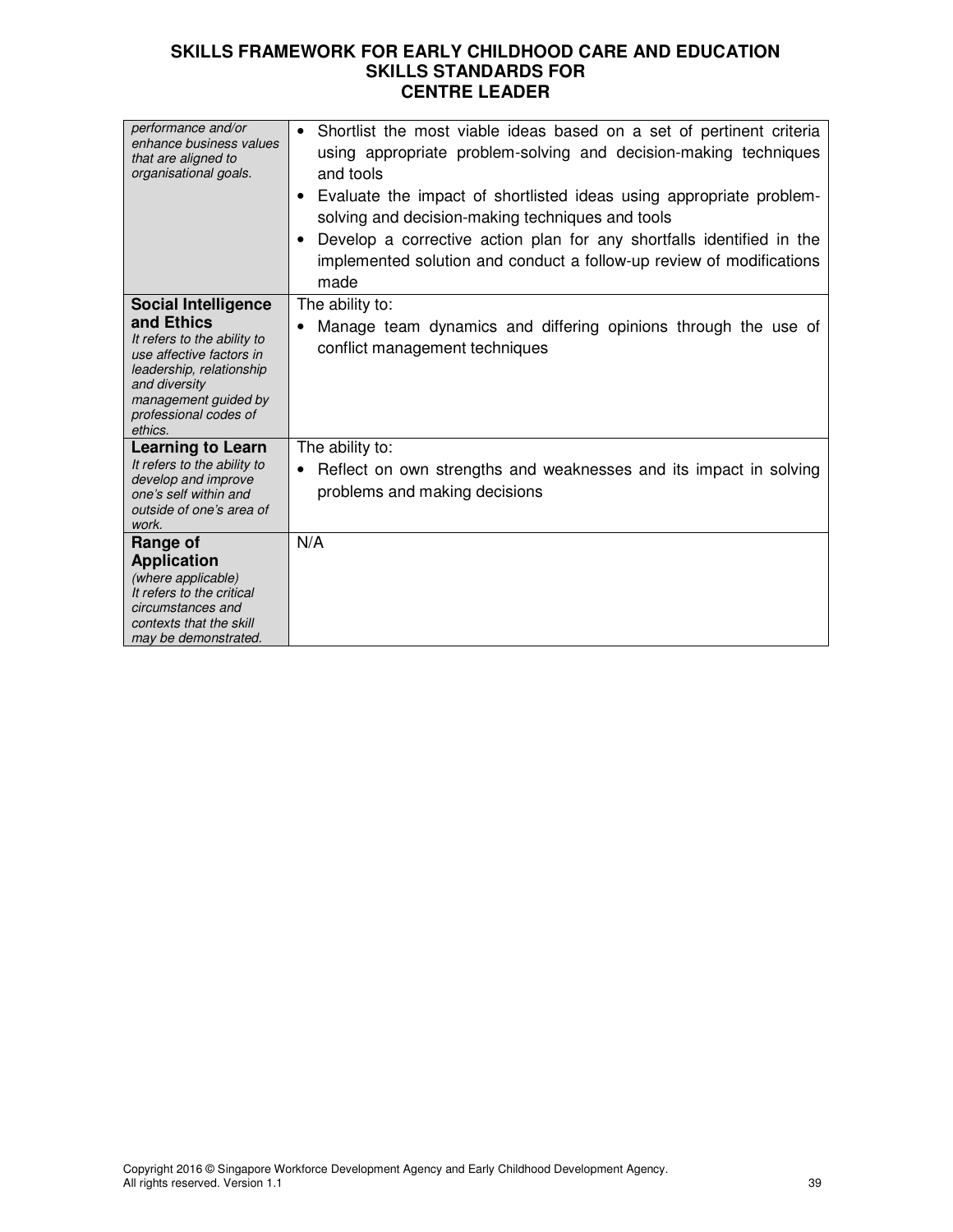| performance and/or<br>enhance business values<br>that are aligned to<br>organisational goals.                                                                                  | Shortlist the most viable ideas based on a set of pertinent criteria<br>$\bullet$<br>using appropriate problem-solving and decision-making techniques<br>and tools<br>Evaluate the impact of shortlisted ideas using appropriate problem-<br>٠<br>solving and decision-making techniques and tools<br>Develop a corrective action plan for any shortfalls identified in the<br>implemented solution and conduct a follow-up review of modifications<br>made |
|--------------------------------------------------------------------------------------------------------------------------------------------------------------------------------|-------------------------------------------------------------------------------------------------------------------------------------------------------------------------------------------------------------------------------------------------------------------------------------------------------------------------------------------------------------------------------------------------------------------------------------------------------------|
| <b>Social Intelligence</b>                                                                                                                                                     | The ability to:                                                                                                                                                                                                                                                                                                                                                                                                                                             |
| and Ethics<br>It refers to the ability to<br>use affective factors in<br>leadership, relationship<br>and diversity<br>management guided by<br>professional codes of<br>ethics. | Manage team dynamics and differing opinions through the use of<br>$\bullet$<br>conflict management techniques                                                                                                                                                                                                                                                                                                                                               |
| <b>Learning to Learn</b><br>It refers to the ability to<br>develop and improve<br>one's self within and<br>outside of one's area of<br>work.                                   | The ability to:<br>Reflect on own strengths and weaknesses and its impact in solving<br>$\bullet$<br>problems and making decisions                                                                                                                                                                                                                                                                                                                          |
| Range of                                                                                                                                                                       | N/A                                                                                                                                                                                                                                                                                                                                                                                                                                                         |
| <b>Application</b>                                                                                                                                                             |                                                                                                                                                                                                                                                                                                                                                                                                                                                             |
| (where applicable)                                                                                                                                                             |                                                                                                                                                                                                                                                                                                                                                                                                                                                             |
| It refers to the critical                                                                                                                                                      |                                                                                                                                                                                                                                                                                                                                                                                                                                                             |
| circumstances and                                                                                                                                                              |                                                                                                                                                                                                                                                                                                                                                                                                                                                             |
| contexts that the skill                                                                                                                                                        |                                                                                                                                                                                                                                                                                                                                                                                                                                                             |
|                                                                                                                                                                                |                                                                                                                                                                                                                                                                                                                                                                                                                                                             |
| may be demonstrated.                                                                                                                                                           |                                                                                                                                                                                                                                                                                                                                                                                                                                                             |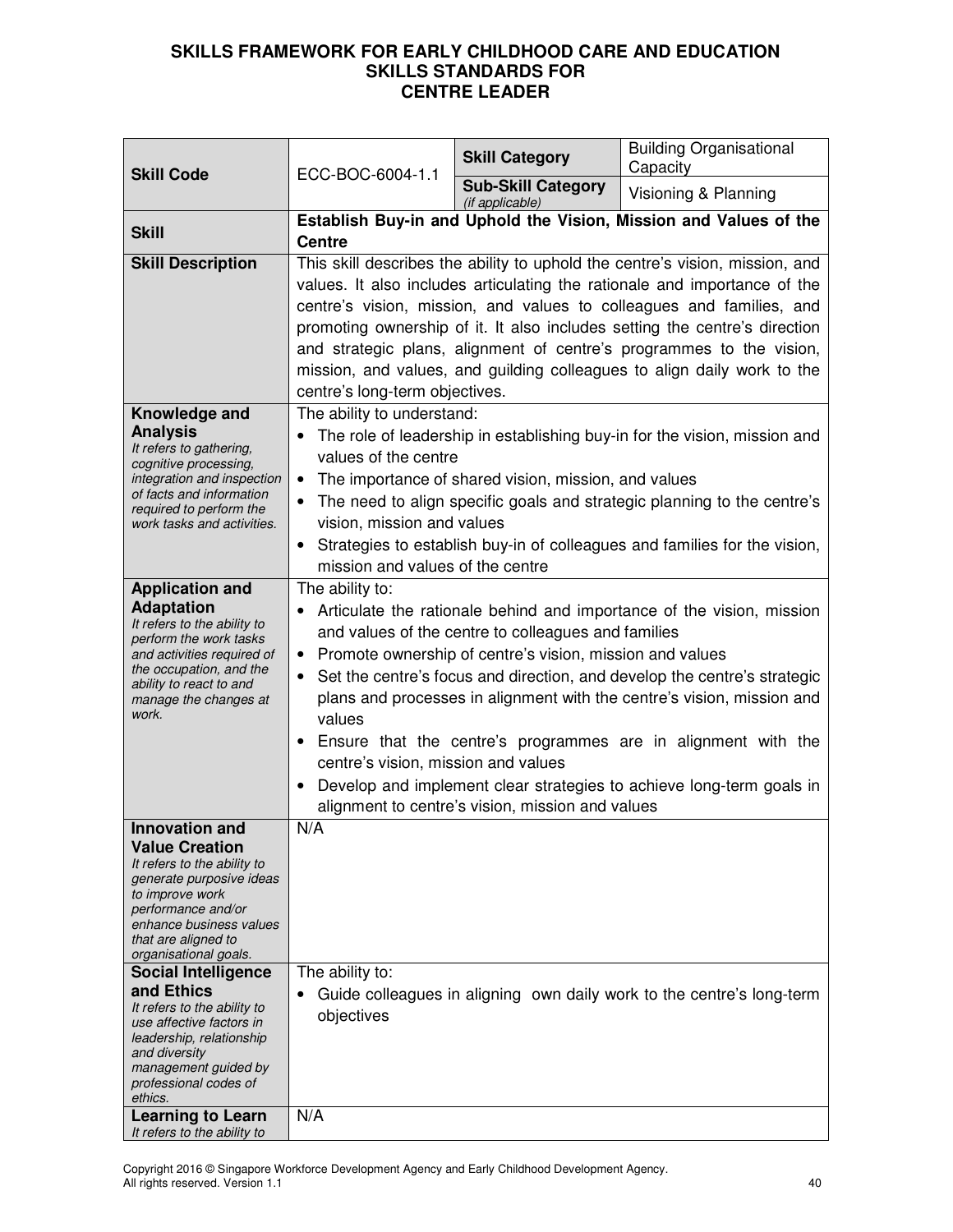| <b>Skill Code</b>                                                                                                                                                                                                                                                                                                                                                                                                                             |                                                                                                                                                                                                                                                                                                                                                                                                                                                                                                                                                                                                                                               | <b>Skill Category</b>                        | <b>Building Organisational</b><br>Capacity |
|-----------------------------------------------------------------------------------------------------------------------------------------------------------------------------------------------------------------------------------------------------------------------------------------------------------------------------------------------------------------------------------------------------------------------------------------------|-----------------------------------------------------------------------------------------------------------------------------------------------------------------------------------------------------------------------------------------------------------------------------------------------------------------------------------------------------------------------------------------------------------------------------------------------------------------------------------------------------------------------------------------------------------------------------------------------------------------------------------------------|----------------------------------------------|--------------------------------------------|
|                                                                                                                                                                                                                                                                                                                                                                                                                                               | ECC-BOC-6004-1.1                                                                                                                                                                                                                                                                                                                                                                                                                                                                                                                                                                                                                              | <b>Sub-Skill Category</b><br>(if applicable) | Visioning & Planning                       |
| <b>Skill</b>                                                                                                                                                                                                                                                                                                                                                                                                                                  | Establish Buy-in and Uphold the Vision, Mission and Values of the<br><b>Centre</b>                                                                                                                                                                                                                                                                                                                                                                                                                                                                                                                                                            |                                              |                                            |
| <b>Skill Description</b>                                                                                                                                                                                                                                                                                                                                                                                                                      | This skill describes the ability to uphold the centre's vision, mission, and<br>values. It also includes articulating the rationale and importance of the<br>centre's vision, mission, and values to colleagues and families, and<br>promoting ownership of it. It also includes setting the centre's direction<br>and strategic plans, alignment of centre's programmes to the vision,<br>mission, and values, and guilding colleagues to align daily work to the<br>centre's long-term objectives.                                                                                                                                          |                                              |                                            |
| Knowledge and<br><b>Analysis</b><br>It refers to gathering,<br>cognitive processing,<br>integration and inspection<br>of facts and information<br>required to perform the<br>work tasks and activities.                                                                                                                                                                                                                                       | The ability to understand:<br>The role of leadership in establishing buy-in for the vision, mission and<br>values of the centre<br>The importance of shared vision, mission, and values<br>$\bullet$<br>The need to align specific goals and strategic planning to the centre's<br>vision, mission and values<br>• Strategies to establish buy-in of colleagues and families for the vision,<br>mission and values of the centre                                                                                                                                                                                                              |                                              |                                            |
| <b>Application and</b><br><b>Adaptation</b><br>It refers to the ability to<br>perform the work tasks<br>and activities required of<br>the occupation, and the<br>ability to react to and<br>manage the changes at<br>work.                                                                                                                                                                                                                    | The ability to:<br>Articulate the rationale behind and importance of the vision, mission<br>and values of the centre to colleagues and families<br>• Promote ownership of centre's vision, mission and values<br>• Set the centre's focus and direction, and develop the centre's strategic<br>plans and processes in alignment with the centre's vision, mission and<br>values<br>Ensure that the centre's programmes are in alignment with the<br>$\bullet$<br>centre's vision, mission and values<br>Develop and implement clear strategies to achieve long-term goals in<br>$\bullet$<br>alignment to centre's vision, mission and values |                                              |                                            |
| <b>Innovation and</b><br><b>Value Creation</b><br>It refers to the ability to<br>generate purposive ideas<br>to improve work<br>performance and/or<br>enhance business values<br>that are aligned to<br>organisational goals.<br><b>Social Intelligence</b><br>and Ethics<br>It refers to the ability to<br>use affective factors in<br>leadership, relationship<br>and diversity<br>management guided by<br>professional codes of<br>ethics. | $\overline{N}/A$<br>The ability to:<br>Guide colleagues in aligning own daily work to the centre's long-term<br>objectives                                                                                                                                                                                                                                                                                                                                                                                                                                                                                                                    |                                              |                                            |
| <b>Learning to Learn</b><br>It refers to the ability to                                                                                                                                                                                                                                                                                                                                                                                       | N/A                                                                                                                                                                                                                                                                                                                                                                                                                                                                                                                                                                                                                                           |                                              |                                            |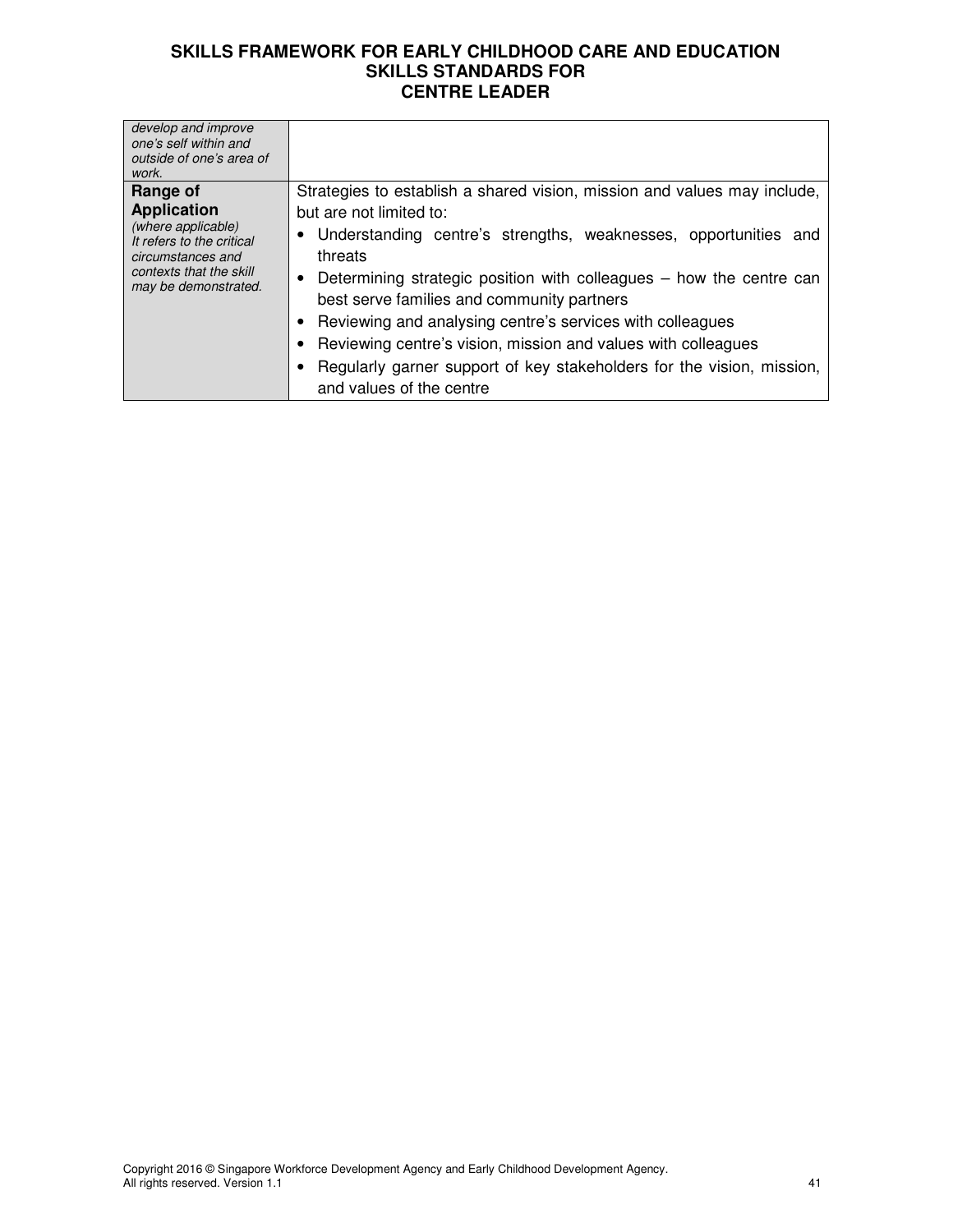| develop and improve<br>one's self within and<br>outside of one's area of<br>work.                                                                         |                                                                                                                                                                                                                                                                                                                                                                                                                                                                                                                                               |
|-----------------------------------------------------------------------------------------------------------------------------------------------------------|-----------------------------------------------------------------------------------------------------------------------------------------------------------------------------------------------------------------------------------------------------------------------------------------------------------------------------------------------------------------------------------------------------------------------------------------------------------------------------------------------------------------------------------------------|
| Range of<br><b>Application</b><br>(where applicable)<br>It refers to the critical<br>circumstances and<br>contexts that the skill<br>may be demonstrated. | Strategies to establish a shared vision, mission and values may include,<br>but are not limited to:<br>• Understanding centre's strengths, weaknesses, opportunities and<br>threats<br>• Determining strategic position with colleagues – how the centre can<br>best serve families and community partners<br>Reviewing and analysing centre's services with colleagues<br>Reviewing centre's vision, mission and values with colleagues<br>Regularly garner support of key stakeholders for the vision, mission,<br>and values of the centre |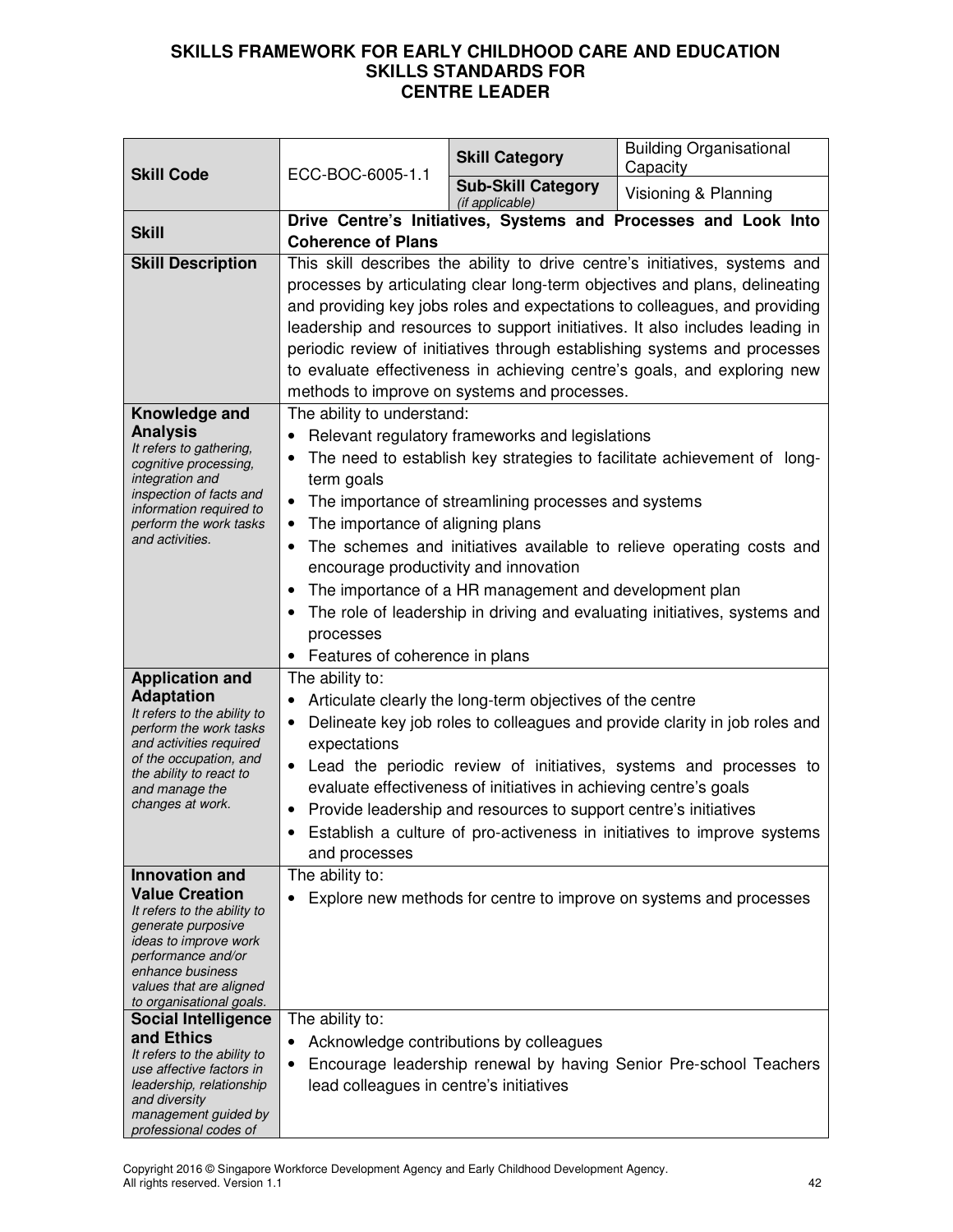| <b>Skill Code</b>                                                                                                                                                                                                             | ECC-BOC-6005-1.1                                                                                                                                                                                                                                                                                                                                                                                                                                                                                                                                                          | <b>Skill Category</b>                        | <b>Building Organisational</b><br>Capacity                         |
|-------------------------------------------------------------------------------------------------------------------------------------------------------------------------------------------------------------------------------|---------------------------------------------------------------------------------------------------------------------------------------------------------------------------------------------------------------------------------------------------------------------------------------------------------------------------------------------------------------------------------------------------------------------------------------------------------------------------------------------------------------------------------------------------------------------------|----------------------------------------------|--------------------------------------------------------------------|
|                                                                                                                                                                                                                               |                                                                                                                                                                                                                                                                                                                                                                                                                                                                                                                                                                           | <b>Sub-Skill Category</b><br>(if applicable) | Visioning & Planning                                               |
| <b>Skill</b>                                                                                                                                                                                                                  | <b>Coherence of Plans</b>                                                                                                                                                                                                                                                                                                                                                                                                                                                                                                                                                 |                                              | Drive Centre's Initiatives, Systems and Processes and Look Into    |
| <b>Skill Description</b>                                                                                                                                                                                                      | This skill describes the ability to drive centre's initiatives, systems and<br>processes by articulating clear long-term objectives and plans, delineating<br>and providing key jobs roles and expectations to colleagues, and providing<br>leadership and resources to support initiatives. It also includes leading in<br>periodic review of initiatives through establishing systems and processes<br>to evaluate effectiveness in achieving centre's goals, and exploring new<br>methods to improve on systems and processes.                                         |                                              |                                                                    |
| Knowledge and<br><b>Analysis</b><br>It refers to gathering,<br>cognitive processing,<br>integration and<br>inspection of facts and<br>information required to<br>perform the work tasks<br>and activities.                    | The ability to understand:<br>Relevant regulatory frameworks and legislations<br>The need to establish key strategies to facilitate achievement of long-<br>term goals<br>The importance of streamlining processes and systems<br>The importance of aligning plans<br>The schemes and initiatives available to relieve operating costs and<br>encourage productivity and innovation<br>The importance of a HR management and development plan<br>The role of leadership in driving and evaluating initiatives, systems and<br>processes<br>Features of coherence in plans |                                              |                                                                    |
| <b>Application and</b><br><b>Adaptation</b><br>It refers to the ability to<br>perform the work tasks<br>and activities required<br>of the occupation, and<br>the ability to react to<br>and manage the<br>changes at work.    | The ability to:<br>Articulate clearly the long-term objectives of the centre<br>$\bullet$<br>Delineate key job roles to colleagues and provide clarity in job roles and<br>expectations<br>Lead the periodic review of initiatives, systems and processes to<br>evaluate effectiveness of initiatives in achieving centre's goals<br>Provide leadership and resources to support centre's initiatives<br>Establish a culture of pro-activeness in initiatives to improve systems<br>and processes                                                                         |                                              |                                                                    |
| <b>Innovation and</b><br><b>Value Creation</b><br>It refers to the ability to<br>generate purposive<br>ideas to improve work<br>performance and/or<br>enhance business<br>values that are aligned<br>to organisational goals. | The ability to:                                                                                                                                                                                                                                                                                                                                                                                                                                                                                                                                                           |                                              | Explore new methods for centre to improve on systems and processes |
| <b>Social Intelligence</b><br>and Ethics<br>It refers to the ability to<br>use affective factors in<br>leadership, relationship<br>and diversity<br>management guided by<br>professional codes of                             | The ability to:<br>lead colleagues in centre's initiatives                                                                                                                                                                                                                                                                                                                                                                                                                                                                                                                | Acknowledge contributions by colleagues      | Encourage leadership renewal by having Senior Pre-school Teachers  |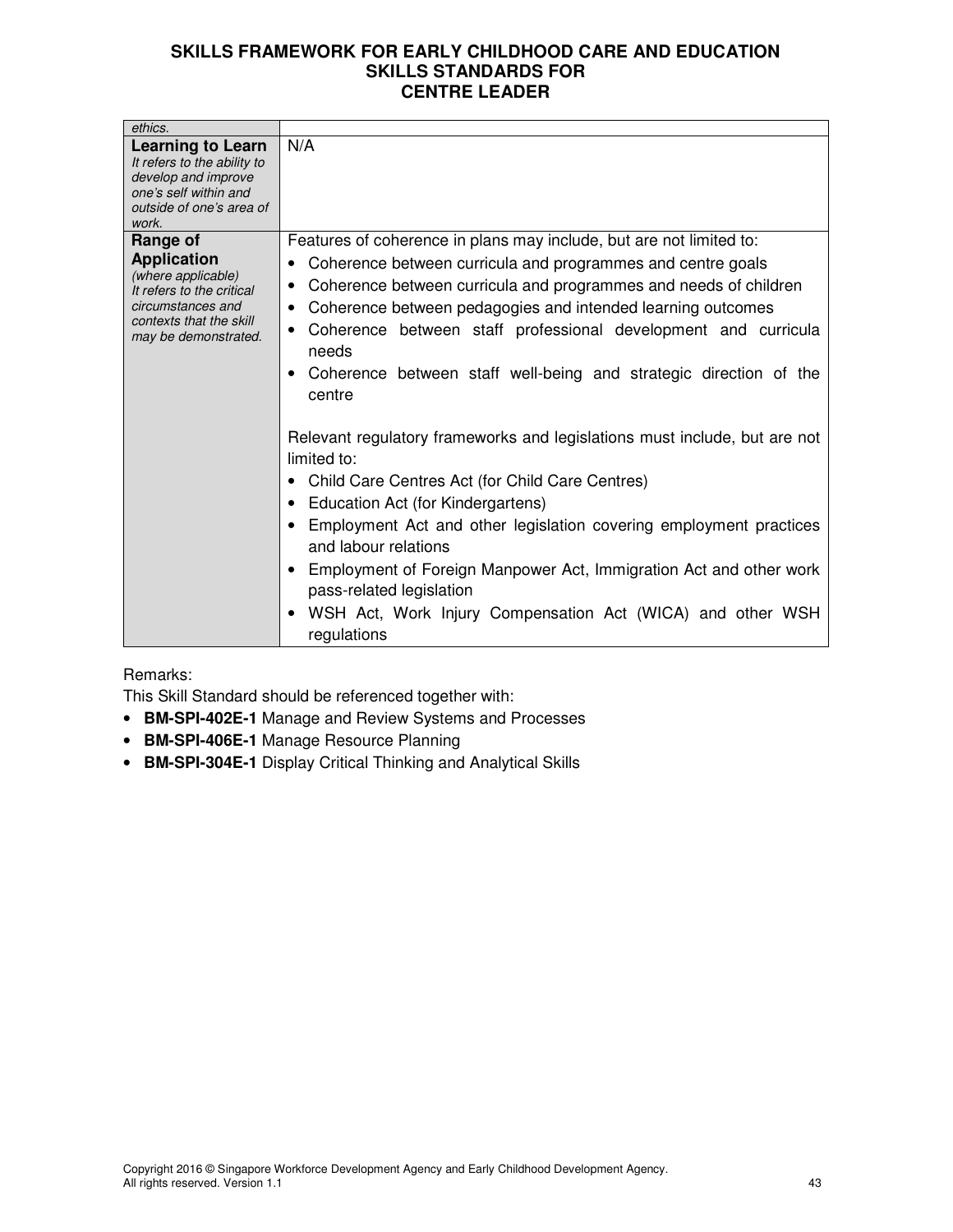| ethics.                                                                                                                                                   |                                                                                                                                                                                                                                                                                                                                                                                                                                                                                                                                                                                                                                                                                                                                                                                                                                                                                                                    |
|-----------------------------------------------------------------------------------------------------------------------------------------------------------|--------------------------------------------------------------------------------------------------------------------------------------------------------------------------------------------------------------------------------------------------------------------------------------------------------------------------------------------------------------------------------------------------------------------------------------------------------------------------------------------------------------------------------------------------------------------------------------------------------------------------------------------------------------------------------------------------------------------------------------------------------------------------------------------------------------------------------------------------------------------------------------------------------------------|
| <b>Learning to Learn</b><br>It refers to the ability to<br>develop and improve<br>one's self within and<br>outside of one's area of<br>work.              | N/A                                                                                                                                                                                                                                                                                                                                                                                                                                                                                                                                                                                                                                                                                                                                                                                                                                                                                                                |
| Range of<br><b>Application</b><br>(where applicable)<br>It refers to the critical<br>circumstances and<br>contexts that the skill<br>may be demonstrated. | Features of coherence in plans may include, but are not limited to:<br>Coherence between curricula and programmes and centre goals<br>Coherence between curricula and programmes and needs of children<br>٠<br>Coherence between pedagogies and intended learning outcomes<br>Coherence between staff professional development and curricula<br>needs<br>Coherence between staff well-being and strategic direction of the<br>centre<br>Relevant regulatory frameworks and legislations must include, but are not<br>limited to:<br>Child Care Centres Act (for Child Care Centres)<br>Education Act (for Kindergartens)<br>Employment Act and other legislation covering employment practices<br>and labour relations<br>Employment of Foreign Manpower Act, Immigration Act and other work<br>pass-related legislation<br>WSH Act, Work Injury Compensation Act (WICA) and other WSH<br>$\bullet$<br>regulations |

# Remarks:

This Skill Standard should be referenced together with:

- **BM-SPI-402E-1** Manage and Review Systems and Processes
- **BM-SPI-406E-1** Manage Resource Planning
- **BM-SPI-304E-1** Display Critical Thinking and Analytical Skills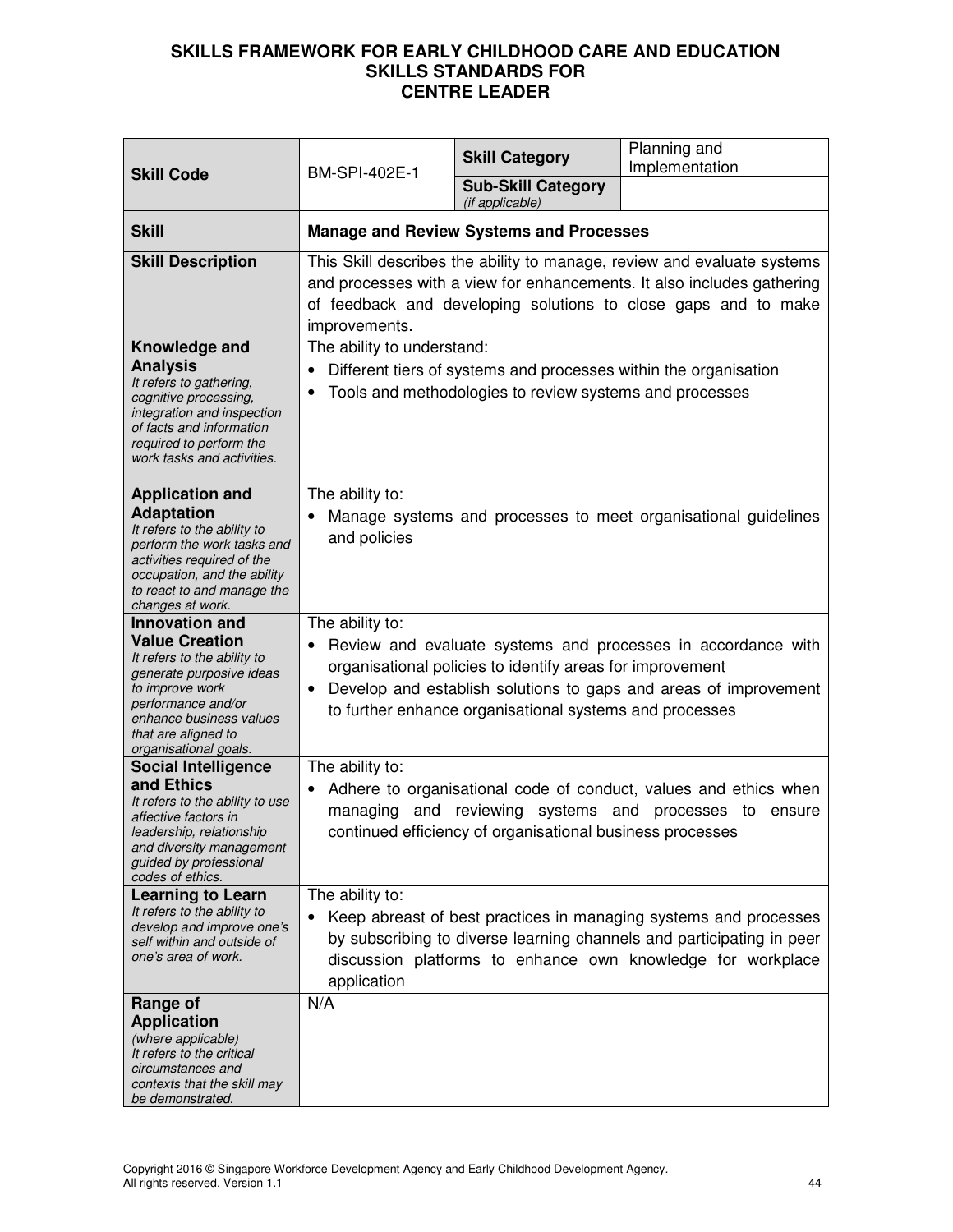| <b>Skill Code</b>                                                                                                                                                                                                             | BM-SPI-402E-1                                                                                                                                                                                                                        | <b>Skill Category</b>                                                                                                       | Planning and<br>Implementation                                                                                                                                                                           |
|-------------------------------------------------------------------------------------------------------------------------------------------------------------------------------------------------------------------------------|--------------------------------------------------------------------------------------------------------------------------------------------------------------------------------------------------------------------------------------|-----------------------------------------------------------------------------------------------------------------------------|----------------------------------------------------------------------------------------------------------------------------------------------------------------------------------------------------------|
|                                                                                                                                                                                                                               |                                                                                                                                                                                                                                      | <b>Sub-Skill Category</b><br>(if applicable)                                                                                |                                                                                                                                                                                                          |
| <b>Skill</b>                                                                                                                                                                                                                  |                                                                                                                                                                                                                                      | <b>Manage and Review Systems and Processes</b>                                                                              |                                                                                                                                                                                                          |
| <b>Skill Description</b>                                                                                                                                                                                                      | This Skill describes the ability to manage, review and evaluate systems<br>and processes with a view for enhancements. It also includes gathering<br>of feedback and developing solutions to close gaps and to make<br>improvements. |                                                                                                                             |                                                                                                                                                                                                          |
| Knowledge and<br><b>Analysis</b><br>It refers to gathering,<br>cognitive processing,<br>integration and inspection<br>of facts and information<br>required to perform the<br>work tasks and activities.                       | The ability to understand:                                                                                                                                                                                                           | Different tiers of systems and processes within the organisation<br>Tools and methodologies to review systems and processes |                                                                                                                                                                                                          |
| <b>Application and</b><br><b>Adaptation</b><br>It refers to the ability to<br>perform the work tasks and<br>activities required of the<br>occupation, and the ability<br>to react to and manage the<br>changes at work.       | The ability to:<br>and policies                                                                                                                                                                                                      |                                                                                                                             | Manage systems and processes to meet organisational guidelines                                                                                                                                           |
| <b>Innovation and</b><br><b>Value Creation</b><br>It refers to the ability to<br>generate purposive ideas<br>to improve work<br>performance and/or<br>enhance business values<br>that are aligned to<br>organisational goals. | The ability to:<br>$\bullet$                                                                                                                                                                                                         | organisational policies to identify areas for improvement<br>to further enhance organisational systems and processes        | Review and evaluate systems and processes in accordance with<br>Develop and establish solutions to gaps and areas of improvement                                                                         |
| <b>Social Intelligence</b><br>and Ethics<br>It refers to the ability to use<br>affective factors in<br>leadership, relationship<br>and diversity management<br>guided by professional<br>codes of ethics.                     | The ability to:<br>managing                                                                                                                                                                                                          | and reviewing systems and processes to<br>continued efficiency of organisational business processes                         | Adhere to organisational code of conduct, values and ethics when<br>ensure                                                                                                                               |
| <b>Learning to Learn</b><br>It refers to the ability to<br>develop and improve one's<br>self within and outside of<br>one's area of work.                                                                                     | The ability to:<br>application                                                                                                                                                                                                       |                                                                                                                             | Keep abreast of best practices in managing systems and processes<br>by subscribing to diverse learning channels and participating in peer<br>discussion platforms to enhance own knowledge for workplace |
| Range of<br><b>Application</b><br>(where applicable)<br>It refers to the critical<br>circumstances and<br>contexts that the skill may<br>be demonstrated.                                                                     | N/A                                                                                                                                                                                                                                  |                                                                                                                             |                                                                                                                                                                                                          |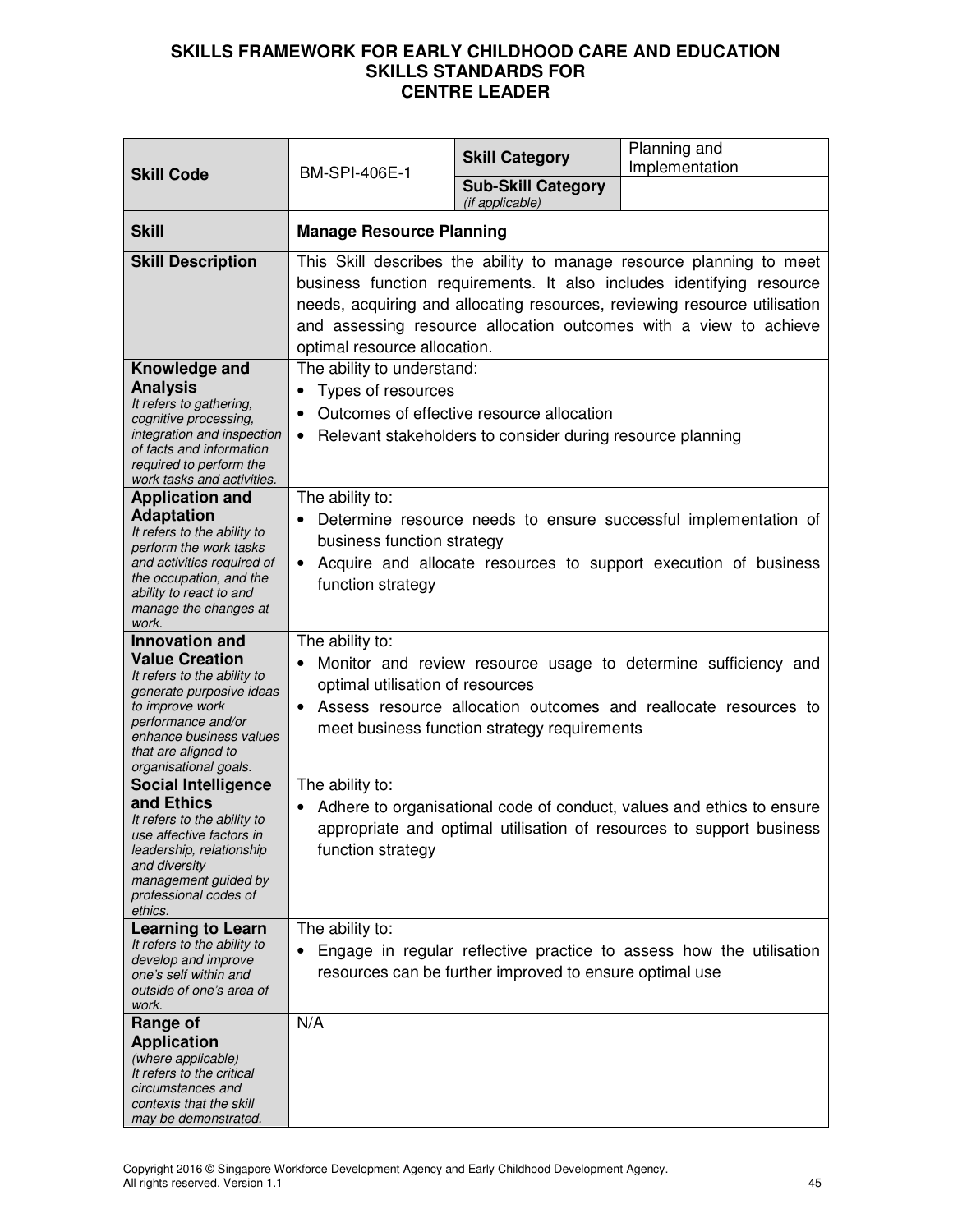| <b>Skill Code</b>                                                                                                                                                                                                             | <b>BM-SPI-406E-1</b>                                                                                                                                                                                                                                                                                                            | <b>Skill Category</b>                                                                                   | Planning and<br>Implementation                                                                                                                |
|-------------------------------------------------------------------------------------------------------------------------------------------------------------------------------------------------------------------------------|---------------------------------------------------------------------------------------------------------------------------------------------------------------------------------------------------------------------------------------------------------------------------------------------------------------------------------|---------------------------------------------------------------------------------------------------------|-----------------------------------------------------------------------------------------------------------------------------------------------|
|                                                                                                                                                                                                                               |                                                                                                                                                                                                                                                                                                                                 | <b>Sub-Skill Category</b><br>(if applicable)                                                            |                                                                                                                                               |
| <b>Skill</b>                                                                                                                                                                                                                  | <b>Manage Resource Planning</b>                                                                                                                                                                                                                                                                                                 |                                                                                                         |                                                                                                                                               |
| <b>Skill Description</b>                                                                                                                                                                                                      | This Skill describes the ability to manage resource planning to meet<br>business function requirements. It also includes identifying resource<br>needs, acquiring and allocating resources, reviewing resource utilisation<br>and assessing resource allocation outcomes with a view to achieve<br>optimal resource allocation. |                                                                                                         |                                                                                                                                               |
| Knowledge and<br><b>Analysis</b><br>It refers to gathering,<br>cognitive processing,<br>integration and inspection<br>of facts and information<br>required to perform the<br>work tasks and activities.                       | The ability to understand:<br>Types of resources<br>$\bullet$<br>$\bullet$<br>$\bullet$                                                                                                                                                                                                                                         | Outcomes of effective resource allocation<br>Relevant stakeholders to consider during resource planning |                                                                                                                                               |
| <b>Application and</b><br><b>Adaptation</b><br>It refers to the ability to<br>perform the work tasks<br>and activities required of<br>the occupation, and the<br>ability to react to and<br>manage the changes at<br>work.    | The ability to:<br>Determine resource needs to ensure successful implementation of<br>business function strategy<br>Acquire and allocate resources to support execution of business<br>function strategy                                                                                                                        |                                                                                                         |                                                                                                                                               |
| <b>Innovation and</b><br><b>Value Creation</b><br>It refers to the ability to<br>generate purposive ideas<br>to improve work<br>performance and/or<br>enhance business values<br>that are aligned to<br>organisational goals. | The ability to:<br>Monitor and review resource usage to determine sufficiency and<br>$\bullet$<br>optimal utilisation of resources<br>Assess resource allocation outcomes and reallocate resources to<br>$\bullet$<br>meet business function strategy requirements                                                              |                                                                                                         |                                                                                                                                               |
| <b>Social Intelligence</b><br>and Ethics<br>It refers to the ability to<br>use affective factors in<br>leadership, relationship<br>and diversity<br>management guided by<br>professional codes of<br>ethics.                  | The ability to:<br>$\bullet$<br>function strategy                                                                                                                                                                                                                                                                               |                                                                                                         | Adhere to organisational code of conduct, values and ethics to ensure<br>appropriate and optimal utilisation of resources to support business |
| <b>Learning to Learn</b><br>It refers to the ability to<br>develop and improve<br>one's self within and<br>outside of one's area of<br>work.                                                                                  | The ability to:<br>Engage in regular reflective practice to assess how the utilisation<br>$\bullet$<br>resources can be further improved to ensure optimal use                                                                                                                                                                  |                                                                                                         |                                                                                                                                               |
| Range of<br><b>Application</b><br>(where applicable)<br>It refers to the critical<br>circumstances and<br>contexts that the skill<br>may be demonstrated.                                                                     | N/A                                                                                                                                                                                                                                                                                                                             |                                                                                                         |                                                                                                                                               |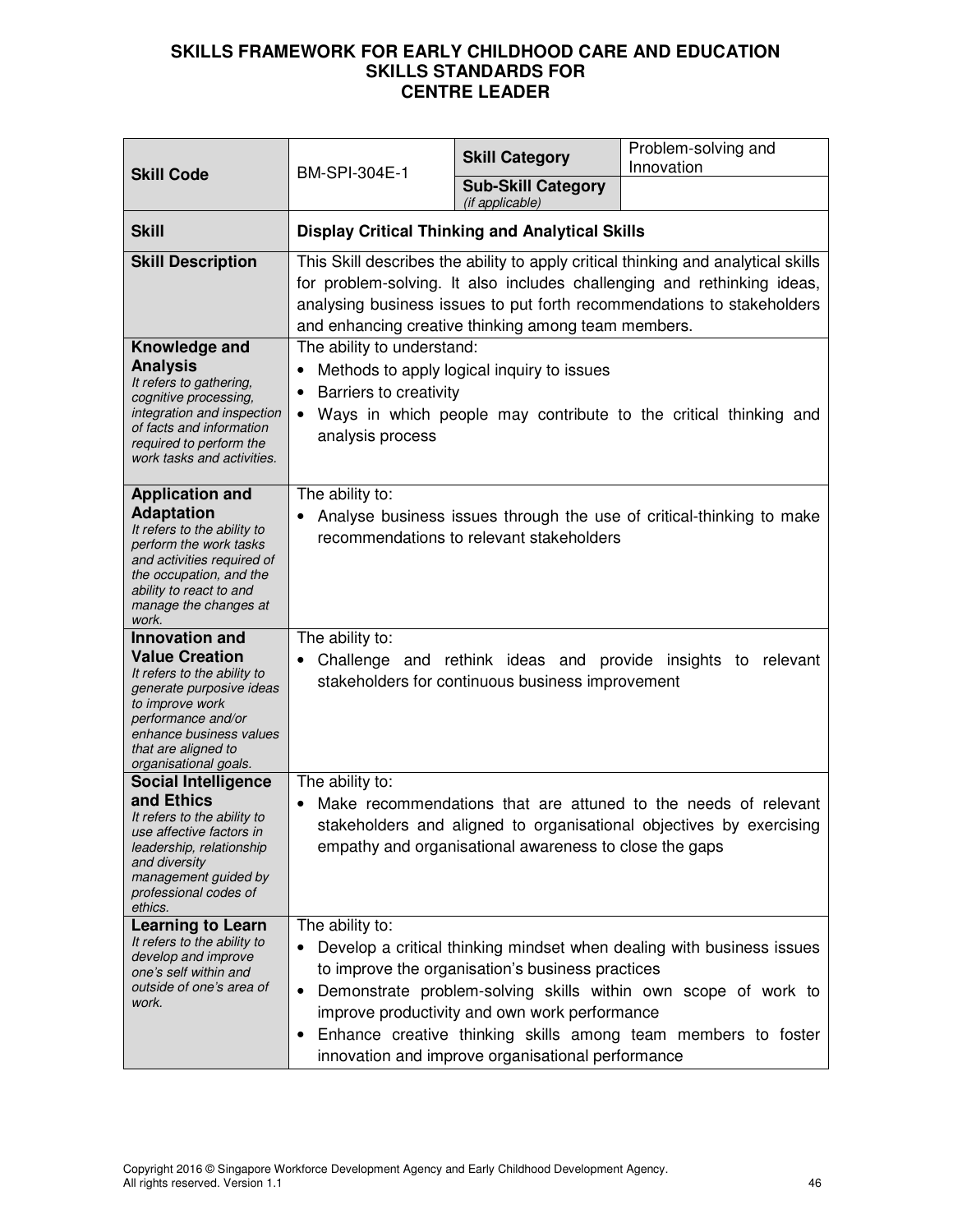| <b>Skill Code</b>                                                                                                                                                                                                          | <b>BM-SPI-304E-1</b>                                                                                            | <b>Skill Category</b>                                                                                                                                  | Problem-solving and<br>Innovation                                                                                                                                                                                                      |
|----------------------------------------------------------------------------------------------------------------------------------------------------------------------------------------------------------------------------|-----------------------------------------------------------------------------------------------------------------|--------------------------------------------------------------------------------------------------------------------------------------------------------|----------------------------------------------------------------------------------------------------------------------------------------------------------------------------------------------------------------------------------------|
|                                                                                                                                                                                                                            |                                                                                                                 | <b>Sub-Skill Category</b><br>(if applicable)                                                                                                           |                                                                                                                                                                                                                                        |
| <b>Skill</b>                                                                                                                                                                                                               | <b>Display Critical Thinking and Analytical Skills</b>                                                          |                                                                                                                                                        |                                                                                                                                                                                                                                        |
| <b>Skill Description</b>                                                                                                                                                                                                   |                                                                                                                 | and enhancing creative thinking among team members.                                                                                                    | This Skill describes the ability to apply critical thinking and analytical skills<br>for problem-solving. It also includes challenging and rethinking ideas,<br>analysing business issues to put forth recommendations to stakeholders |
| Knowledge and<br><b>Analysis</b><br>It refers to gathering,<br>cognitive processing,<br>integration and inspection<br>of facts and information<br>required to perform the<br>work tasks and activities.                    | The ability to understand:<br>$\bullet$<br>Barriers to creativity<br>$\bullet$<br>$\bullet$<br>analysis process | Methods to apply logical inquiry to issues                                                                                                             | Ways in which people may contribute to the critical thinking and                                                                                                                                                                       |
| <b>Application and</b><br><b>Adaptation</b><br>It refers to the ability to<br>perform the work tasks<br>and activities required of<br>the occupation, and the<br>ability to react to and<br>manage the changes at<br>work. | The ability to:                                                                                                 | recommendations to relevant stakeholders                                                                                                               | Analyse business issues through the use of critical-thinking to make                                                                                                                                                                   |
| <b>Innovation and</b>                                                                                                                                                                                                      | The ability to:                                                                                                 |                                                                                                                                                        |                                                                                                                                                                                                                                        |
| <b>Value Creation</b><br>It refers to the ability to<br>generate purposive ideas<br>to improve work<br>performance and/or<br>enhance business values<br>that are aligned to<br>organisational goals.                       | ٠                                                                                                               | Challenge and rethink ideas and provide insights to<br>stakeholders for continuous business improvement                                                | relevant                                                                                                                                                                                                                               |
| <b>Social Intelligence</b><br>and Ethics<br>It refers to the ability to<br>use affective factors in<br>leadership, relationship<br>and diversity<br>management guided by<br>professional codes of<br>ethics.               | The ability to:                                                                                                 | empathy and organisational awareness to close the gaps                                                                                                 | Make recommendations that are attuned to the needs of relevant<br>stakeholders and aligned to organisational objectives by exercising                                                                                                  |
| <b>Learning to Learn</b><br>It refers to the ability to<br>develop and improve<br>one's self within and<br>outside of one's area of<br>work.                                                                               | The ability to:<br>$\bullet$<br>$\bullet$                                                                       | to improve the organisation's business practices<br>improve productivity and own work performance<br>innovation and improve organisational performance | Develop a critical thinking mindset when dealing with business issues<br>Demonstrate problem-solving skills within own scope of work to<br>Enhance creative thinking skills among team members to foster                               |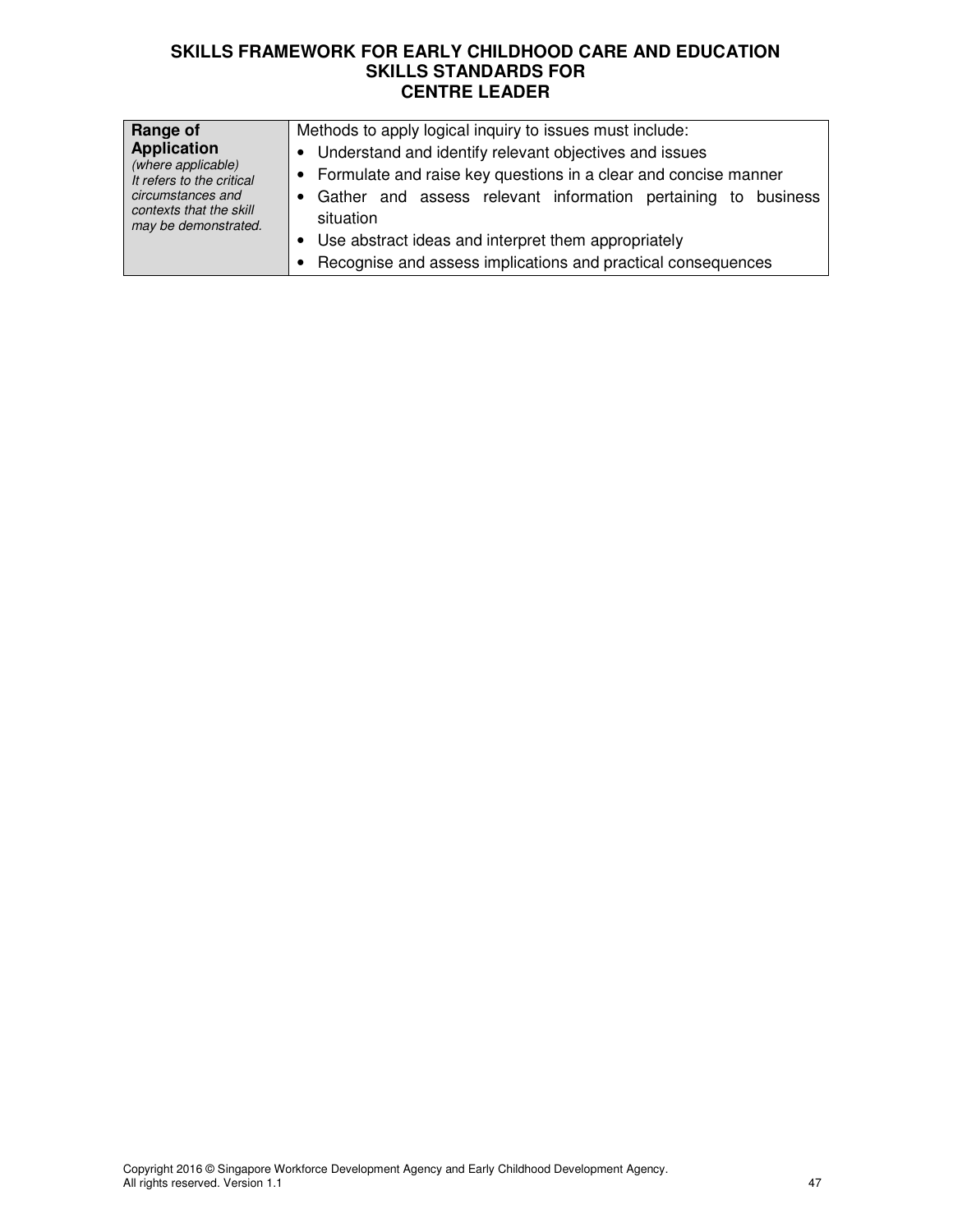| Range of<br><b>Application</b><br>(where applicable)<br>It refers to the critical<br>circumstances and<br>contexts that the skill<br>may be demonstrated. | Methods to apply logical inquiry to issues must include:<br>• Understand and identify relevant objectives and issues<br>• Formulate and raise key questions in a clear and concise manner<br>• Gather and assess relevant information pertaining to business<br>situation |
|-----------------------------------------------------------------------------------------------------------------------------------------------------------|---------------------------------------------------------------------------------------------------------------------------------------------------------------------------------------------------------------------------------------------------------------------------|
|                                                                                                                                                           | • Use abstract ideas and interpret them appropriately<br>Recognise and assess implications and practical consequences                                                                                                                                                     |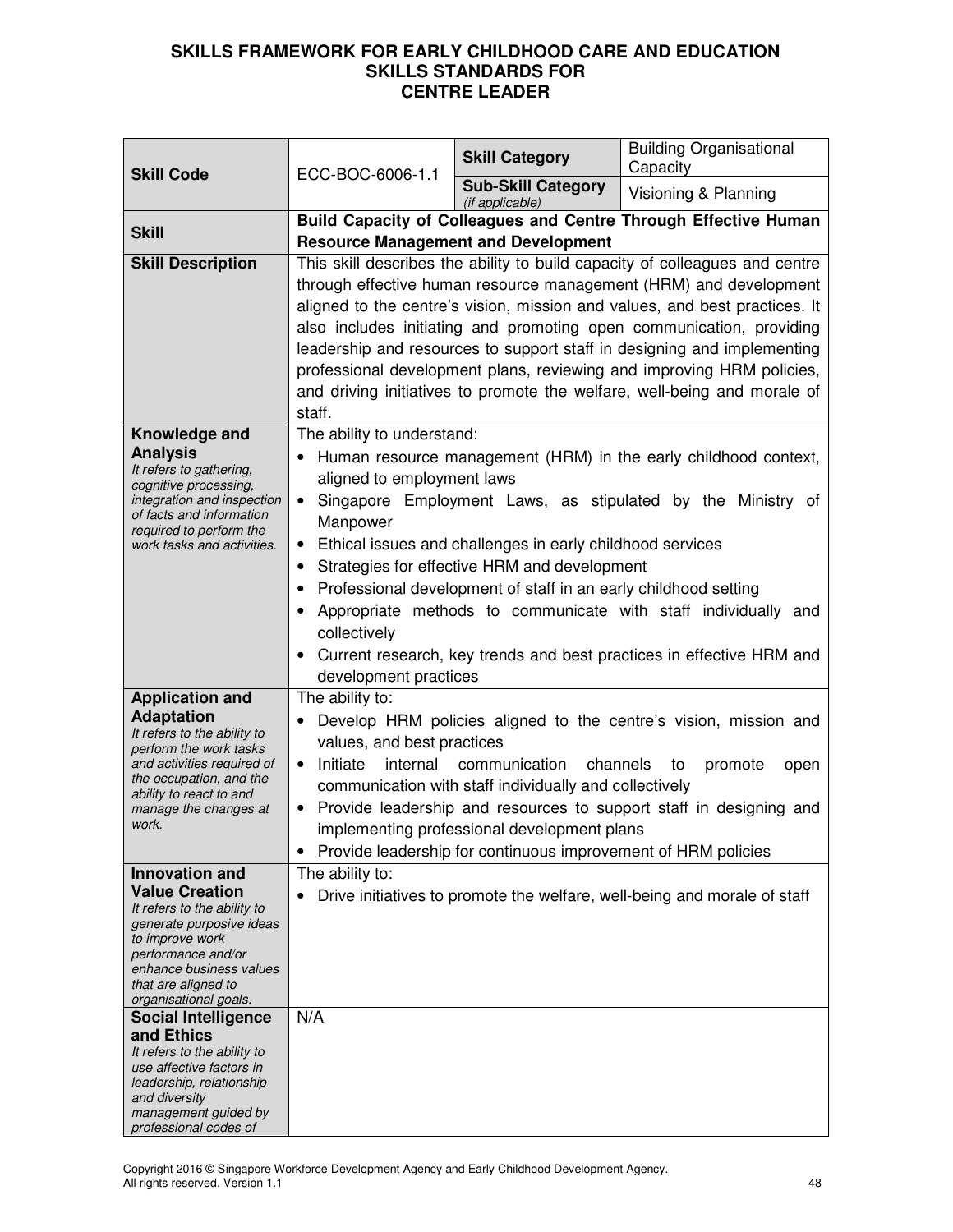| <b>Skill Code</b>                                                                                                                                                                                                                                                                                                                                                                                         | ECC-BOC-6006-1.1                                                                                                                                                                                                                                                                                                                                                                                                                                                                                                                                                                               | <b>Skill Category</b>                                                                                                                                                                               | <b>Building Organisational</b><br>Capacity                                                                                                                                                                                                                               |
|-----------------------------------------------------------------------------------------------------------------------------------------------------------------------------------------------------------------------------------------------------------------------------------------------------------------------------------------------------------------------------------------------------------|------------------------------------------------------------------------------------------------------------------------------------------------------------------------------------------------------------------------------------------------------------------------------------------------------------------------------------------------------------------------------------------------------------------------------------------------------------------------------------------------------------------------------------------------------------------------------------------------|-----------------------------------------------------------------------------------------------------------------------------------------------------------------------------------------------------|--------------------------------------------------------------------------------------------------------------------------------------------------------------------------------------------------------------------------------------------------------------------------|
|                                                                                                                                                                                                                                                                                                                                                                                                           |                                                                                                                                                                                                                                                                                                                                                                                                                                                                                                                                                                                                | <b>Sub-Skill Category</b><br>(if applicable)                                                                                                                                                        | Visioning & Planning                                                                                                                                                                                                                                                     |
| <b>Skill</b>                                                                                                                                                                                                                                                                                                                                                                                              |                                                                                                                                                                                                                                                                                                                                                                                                                                                                                                                                                                                                |                                                                                                                                                                                                     | Build Capacity of Colleagues and Centre Through Effective Human                                                                                                                                                                                                          |
| <b>Skill Description</b>                                                                                                                                                                                                                                                                                                                                                                                  | <b>Resource Management and Development</b><br>This skill describes the ability to build capacity of colleagues and centre<br>through effective human resource management (HRM) and development<br>aligned to the centre's vision, mission and values, and best practices. It<br>also includes initiating and promoting open communication, providing<br>leadership and resources to support staff in designing and implementing<br>professional development plans, reviewing and improving HRM policies,<br>and driving initiatives to promote the welfare, well-being and morale of<br>staff. |                                                                                                                                                                                                     |                                                                                                                                                                                                                                                                          |
| Knowledge and<br><b>Analysis</b><br>It refers to gathering,<br>cognitive processing,<br>integration and inspection<br>of facts and information<br>required to perform the<br>work tasks and activities.                                                                                                                                                                                                   | The ability to understand:<br>$\bullet$<br>aligned to employment laws<br>$\bullet$<br>Manpower<br>٠<br>collectively<br>development practices                                                                                                                                                                                                                                                                                                                                                                                                                                                   | Ethical issues and challenges in early childhood services<br>Strategies for effective HRM and development<br>Professional development of staff in an early childhood setting                        | Human resource management (HRM) in the early childhood context,<br>Singapore Employment Laws, as stipulated by the Ministry of<br>Appropriate methods to communicate with staff individually and<br>Current research, key trends and best practices in effective HRM and |
| <b>Application and</b><br><b>Adaptation</b><br>It refers to the ability to<br>perform the work tasks<br>and activities required of<br>the occupation, and the<br>ability to react to and<br>manage the changes at<br>work.                                                                                                                                                                                | The ability to:<br>values, and best practices<br>internal<br>Initiate<br>$\bullet$                                                                                                                                                                                                                                                                                                                                                                                                                                                                                                             | communication<br>channels<br>communication with staff individually and collectively<br>implementing professional development plans<br>Provide leadership for continuous improvement of HRM policies | Develop HRM policies aligned to the centre's vision, mission and<br>promote<br>to<br>open<br>Provide leadership and resources to support staff in designing and                                                                                                          |
| <b>Innovation and</b><br><b>Value Creation</b><br>It refers to the ability to<br>generate purposive ideas<br>to improve work<br>performance and/or<br>enhance business values<br>that are aligned to<br>organisational goals.<br><b>Social Intelligence</b><br>and Ethics<br>It refers to the ability to<br>use affective factors in<br>leadership, relationship<br>and diversity<br>management guided by | The ability to:<br>N/A                                                                                                                                                                                                                                                                                                                                                                                                                                                                                                                                                                         |                                                                                                                                                                                                     | Drive initiatives to promote the welfare, well-being and morale of staff                                                                                                                                                                                                 |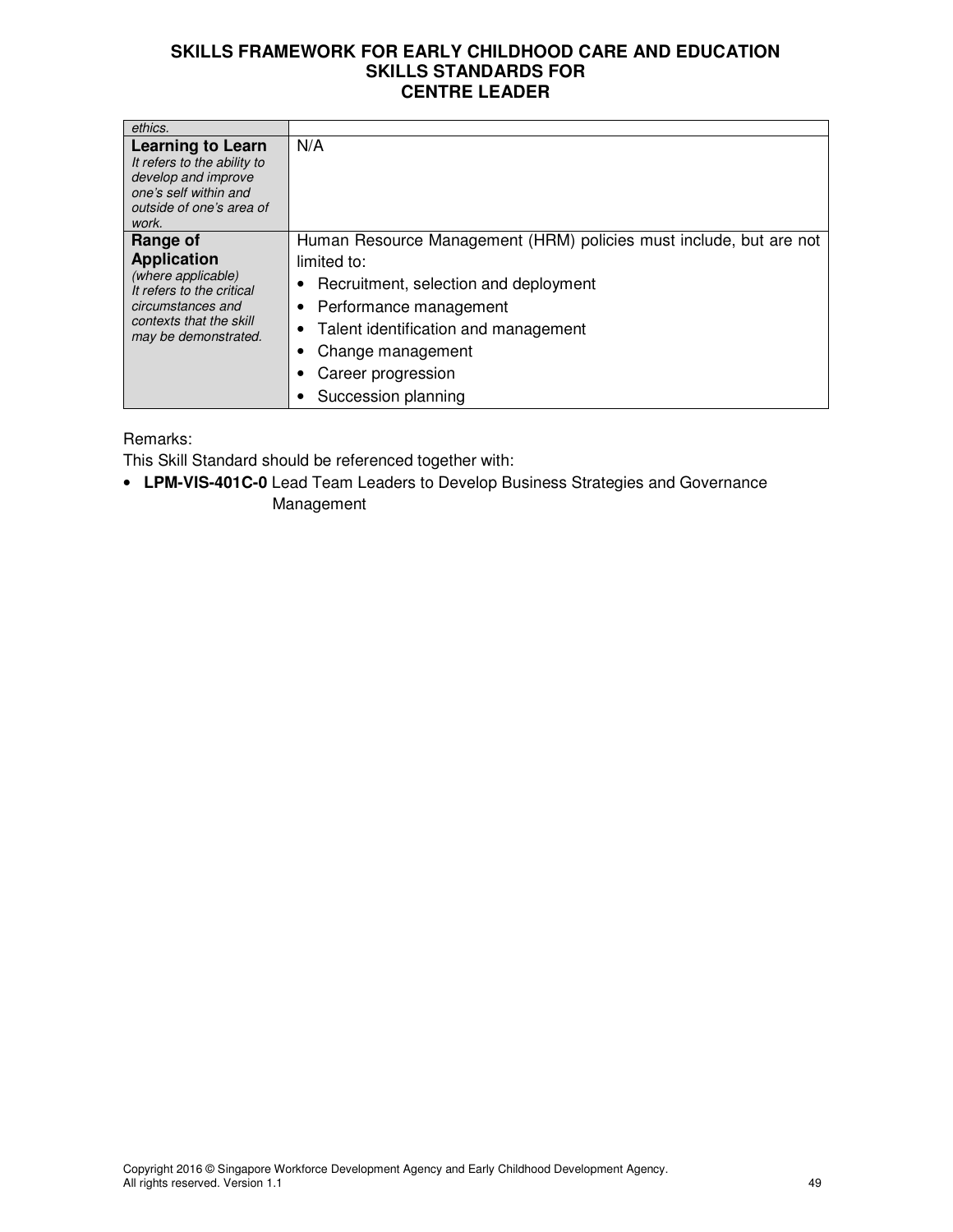| ethics.                                                                                                                                                   |                                                                                                                                                                                                                                                                    |
|-----------------------------------------------------------------------------------------------------------------------------------------------------------|--------------------------------------------------------------------------------------------------------------------------------------------------------------------------------------------------------------------------------------------------------------------|
| <b>Learning to Learn</b><br>It refers to the ability to<br>develop and improve<br>one's self within and<br>outside of one's area of<br>work.              | N/A                                                                                                                                                                                                                                                                |
| Range of<br><b>Application</b><br>(where applicable)<br>It refers to the critical<br>circumstances and<br>contexts that the skill<br>may be demonstrated. | Human Resource Management (HRM) policies must include, but are not<br>limited to:<br>Recruitment, selection and deployment<br>• Performance management<br>• Talent identification and management<br>Change management<br>Career progression<br>Succession planning |

Remarks:

This Skill Standard should be referenced together with:

• **LPM-VIS-401C-0** Lead Team Leaders to Develop Business Strategies and Governance Management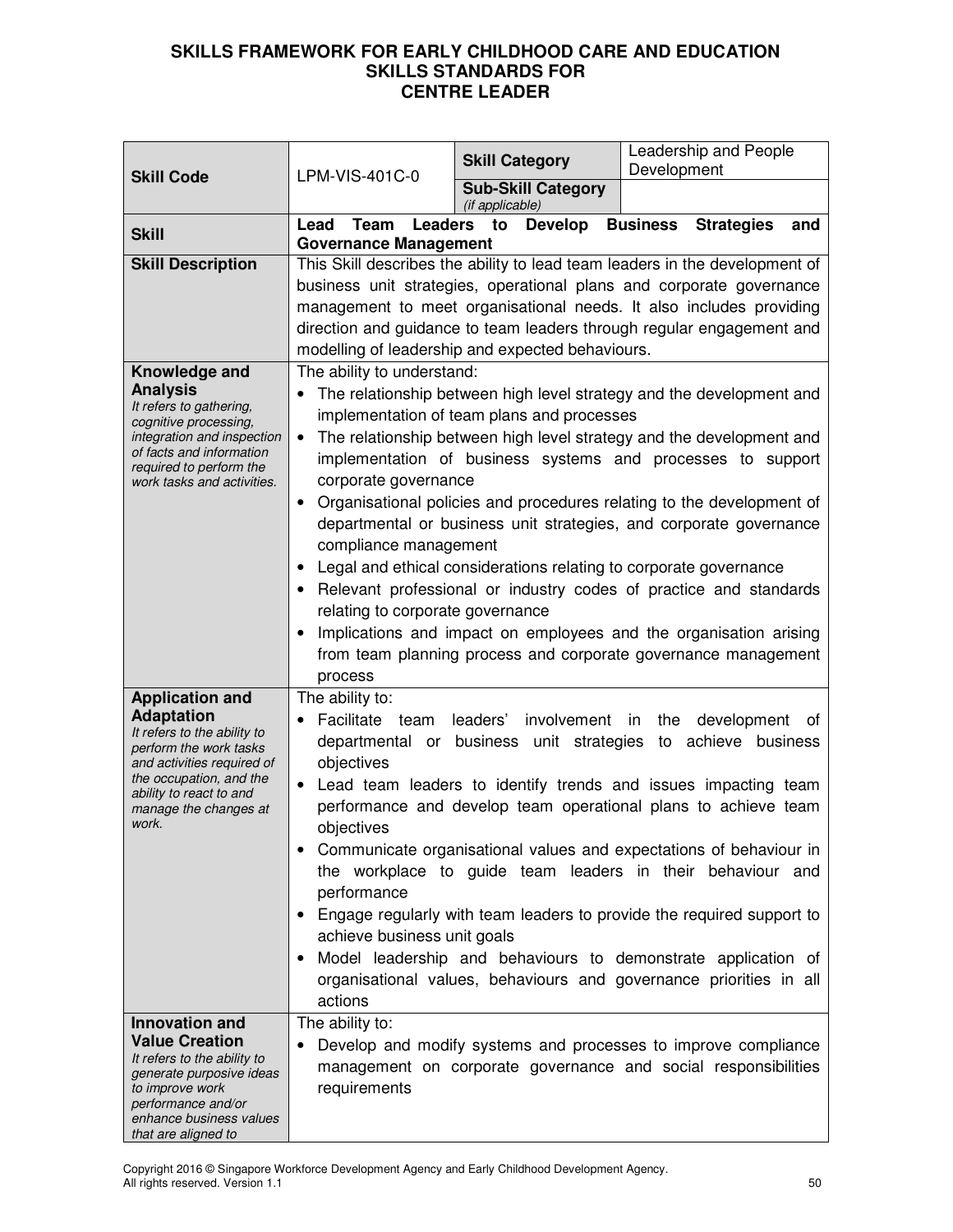|                                                       |                                                                                | <b>Skill Category</b>                      | Leadership and People<br>Development                                        |
|-------------------------------------------------------|--------------------------------------------------------------------------------|--------------------------------------------|-----------------------------------------------------------------------------|
| <b>Skill Code</b>                                     | LPM-VIS-401C-0                                                                 | <b>Sub-Skill Category</b>                  |                                                                             |
|                                                       | Lead<br><b>Leaders</b><br>Team                                                 | (if applicable)<br><b>Develop</b><br>to    | <b>Business</b><br><b>Strategies</b><br>and                                 |
| <b>Skill</b>                                          | <b>Governance Management</b>                                                   |                                            |                                                                             |
| <b>Skill Description</b>                              |                                                                                |                                            | This Skill describes the ability to lead team leaders in the development of |
|                                                       |                                                                                |                                            | business unit strategies, operational plans and corporate governance        |
|                                                       |                                                                                |                                            | management to meet organisational needs. It also includes providing         |
|                                                       |                                                                                |                                            | direction and guidance to team leaders through regular engagement and       |
|                                                       | modelling of leadership and expected behaviours.<br>The ability to understand: |                                            |                                                                             |
| Knowledge and<br><b>Analysis</b>                      |                                                                                |                                            | The relationship between high level strategy and the development and        |
| It refers to gathering,                               |                                                                                | implementation of team plans and processes |                                                                             |
| cognitive processing,<br>integration and inspection   |                                                                                |                                            | The relationship between high level strategy and the development and        |
| of facts and information                              |                                                                                |                                            | implementation of business systems and processes to support                 |
| required to perform the<br>work tasks and activities. | corporate governance                                                           |                                            |                                                                             |
|                                                       |                                                                                |                                            | • Organisational policies and procedures relating to the development of     |
|                                                       |                                                                                |                                            | departmental or business unit strategies, and corporate governance          |
|                                                       | compliance management                                                          |                                            |                                                                             |
|                                                       |                                                                                |                                            | Legal and ethical considerations relating to corporate governance           |
|                                                       |                                                                                |                                            | Relevant professional or industry codes of practice and standards           |
|                                                       | relating to corporate governance                                               |                                            |                                                                             |
|                                                       |                                                                                |                                            | Implications and impact on employees and the organisation arising           |
|                                                       |                                                                                |                                            | from team planning process and corporate governance management              |
|                                                       | process                                                                        |                                            |                                                                             |
| <b>Application and</b><br><b>Adaptation</b>           | The ability to:<br>Facilitate<br>team                                          | leaders'<br>involvement in                 | the                                                                         |
| It refers to the ability to                           |                                                                                | departmental or business unit strategies   | development<br>of<br>achieve business<br>to                                 |
| perform the work tasks<br>and activities required of  | objectives                                                                     |                                            |                                                                             |
| the occupation, and the                               |                                                                                |                                            | Lead team leaders to identify trends and issues impacting team              |
| ability to react to and<br>manage the changes at      |                                                                                |                                            | performance and develop team operational plans to achieve team              |
| work.                                                 | objectives                                                                     |                                            |                                                                             |
|                                                       |                                                                                |                                            | Communicate organisational values and expectations of behaviour in          |
|                                                       |                                                                                |                                            | the workplace to guide team leaders in their behaviour and                  |
|                                                       | performance                                                                    |                                            |                                                                             |
|                                                       |                                                                                |                                            | Engage regularly with team leaders to provide the required support to       |
|                                                       | achieve business unit goals                                                    |                                            |                                                                             |
|                                                       |                                                                                |                                            | Model leadership and behaviours to demonstrate application of               |
|                                                       | actions                                                                        |                                            | organisational values, behaviours and governance priorities in all          |
| Innovation and                                        | The ability to:                                                                |                                            |                                                                             |
| <b>Value Creation</b>                                 |                                                                                |                                            | Develop and modify systems and processes to improve compliance              |
| It refers to the ability to                           |                                                                                |                                            | management on corporate governance and social responsibilities              |
| generate purposive ideas<br>to improve work           | requirements                                                                   |                                            |                                                                             |
| performance and/or<br>enhance business values         |                                                                                |                                            |                                                                             |
| that are aligned to                                   |                                                                                |                                            |                                                                             |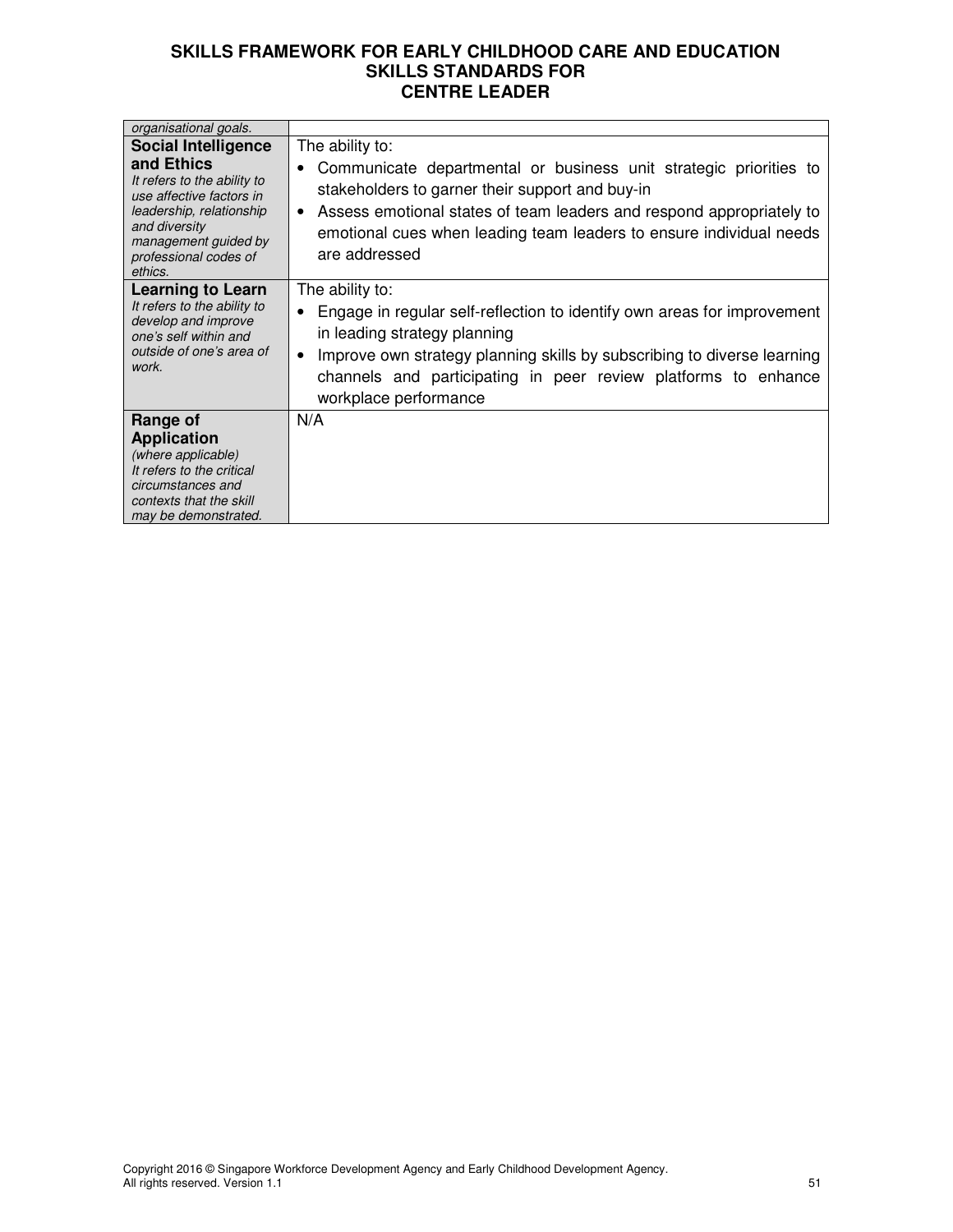| organisational goals.                                                                                                                                                          |                                                                                                                                                                                                                                                                                                                            |  |
|--------------------------------------------------------------------------------------------------------------------------------------------------------------------------------|----------------------------------------------------------------------------------------------------------------------------------------------------------------------------------------------------------------------------------------------------------------------------------------------------------------------------|--|
| <b>Social Intelligence</b>                                                                                                                                                     | The ability to:                                                                                                                                                                                                                                                                                                            |  |
| and Ethics<br>It refers to the ability to<br>use affective factors in<br>leadership, relationship<br>and diversity<br>management guided by<br>professional codes of<br>ethics. | Communicate departmental or business unit strategic priorities to<br>stakeholders to garner their support and buy-in<br>Assess emotional states of team leaders and respond appropriately to<br>٠<br>emotional cues when leading team leaders to ensure individual needs<br>are addressed                                  |  |
| <b>Learning to Learn</b><br>It refers to the ability to<br>develop and improve<br>one's self within and<br>outside of one's area of<br>work.                                   | The ability to:<br>Engage in regular self-reflection to identify own areas for improvement<br>$\bullet$<br>in leading strategy planning<br>Improve own strategy planning skills by subscribing to diverse learning<br>$\bullet$<br>channels and participating in peer review platforms to enhance<br>workplace performance |  |
| Range of<br><b>Application</b><br>(where applicable)<br>It refers to the critical<br>circumstances and<br>contexts that the skill<br>may be demonstrated.                      | N/A                                                                                                                                                                                                                                                                                                                        |  |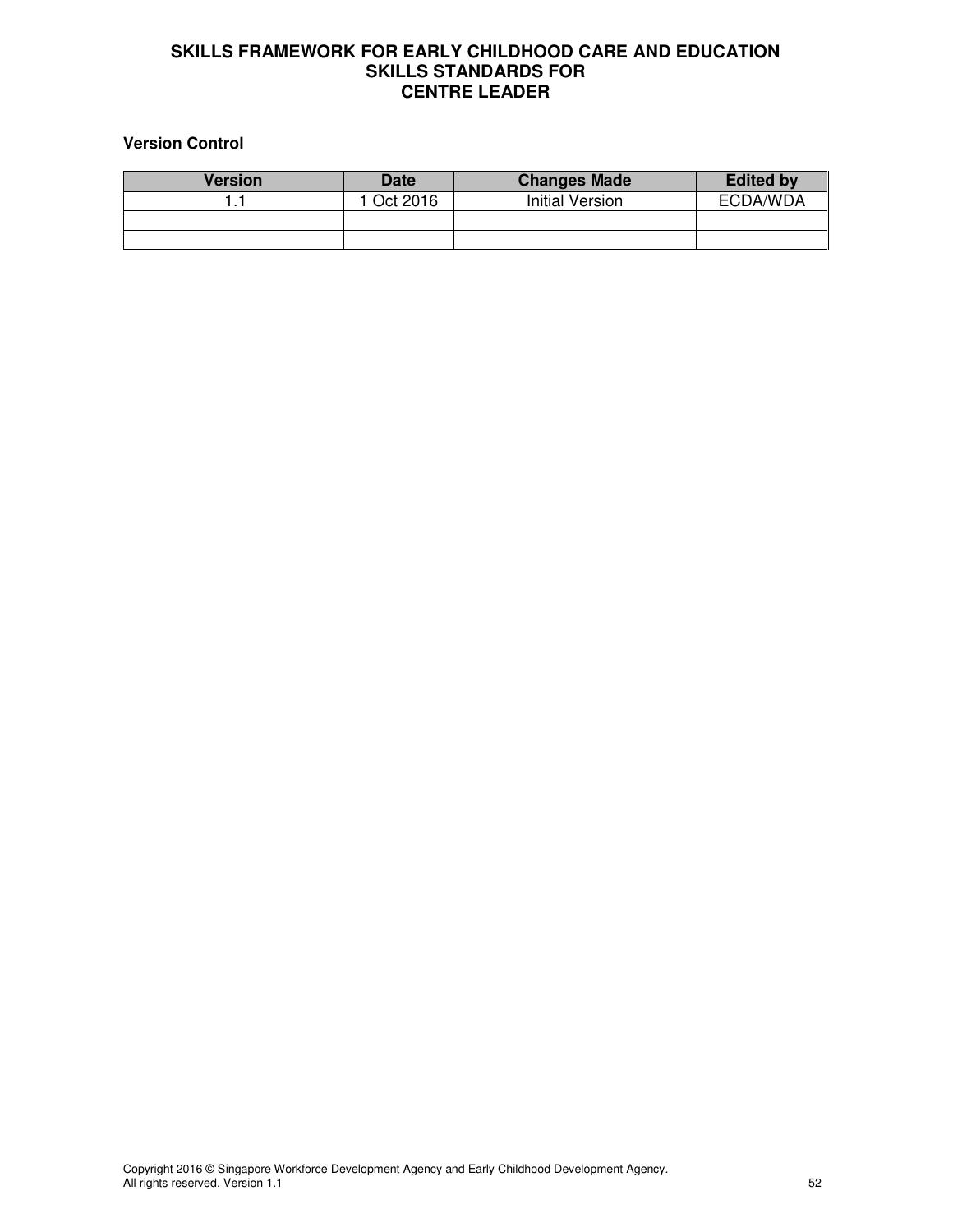#### **Version Control**

| <b>Version</b> | <b>Date</b> | <b>Changes Made</b> | <b>Edited by</b> |
|----------------|-------------|---------------------|------------------|
|                | l Oct 2016  | Initial Version     | ECDA/WDA         |
|                |             |                     |                  |
|                |             |                     |                  |